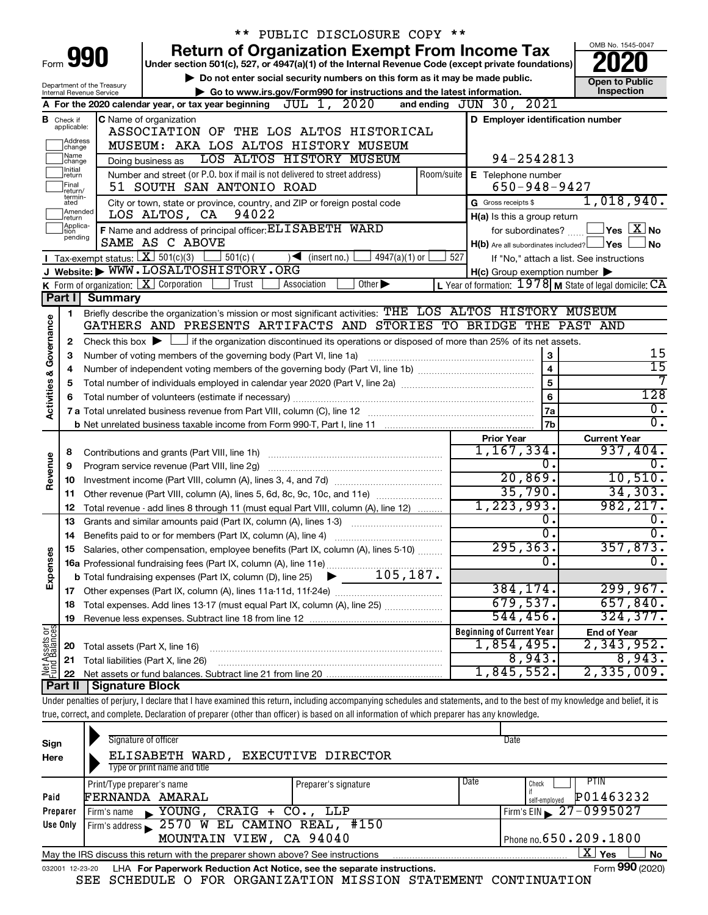|                         |                                  |                                                            | $***$<br>PUBLIC DISCLOSURE COPY **                                                                                                                                         |                                                           |                                          |
|-------------------------|----------------------------------|------------------------------------------------------------|----------------------------------------------------------------------------------------------------------------------------------------------------------------------------|-----------------------------------------------------------|------------------------------------------|
|                         |                                  |                                                            | <b>Return of Organization Exempt From Income Tax</b>                                                                                                                       |                                                           | OMB No. 1545-0047                        |
|                         |                                  | Form 990                                                   | Under section 501(c), 527, or 4947(a)(1) of the Internal Revenue Code (except private foundations)                                                                         |                                                           |                                          |
|                         |                                  |                                                            | Do not enter social security numbers on this form as it may be made public.                                                                                                |                                                           | <b>Open to Public</b>                    |
|                         |                                  | Department of the Treasury<br>Internal Revenue Service     | Go to www.irs.gov/Form990 for instructions and the latest information.                                                                                                     |                                                           | Inspection                               |
|                         |                                  |                                                            | JUL 1, 2020<br>A For the 2020 calendar year, or tax year beginning                                                                                                         | and ending $JUN$ 30, $2021$                               |                                          |
|                         | <b>B</b> Check if<br>applicable: |                                                            | C Name of organization                                                                                                                                                     | D Employer identification number                          |                                          |
|                         | Address                          |                                                            | ASSOCIATION OF THE LOS ALTOS HISTORICAL                                                                                                                                    |                                                           |                                          |
|                         | change<br>Name                   |                                                            | MUSEUM: AKA LOS ALTOS HISTORY MUSEUM                                                                                                                                       |                                                           |                                          |
|                         | change<br>Initial                |                                                            | LOS ALTOS HISTORY MUSEUM<br>Doing business as                                                                                                                              | 94-2542813                                                |                                          |
|                         | return<br>Final                  |                                                            | Number and street (or P.O. box if mail is not delivered to street address)<br>Room/suite                                                                                   | E Telephone number                                        |                                          |
|                         | return/<br>termin-               |                                                            | 51 SOUTH SAN ANTONIO ROAD                                                                                                                                                  | $650 - 948 - 9427$                                        | 1,018,940.                               |
|                         | ated<br>Amended                  |                                                            | City or town, state or province, country, and ZIP or foreign postal code<br>94022<br>LOS ALTOS, CA                                                                         | G Gross receipts \$                                       |                                          |
|                         | return<br>Applica-<br>Ition      |                                                            | F Name and address of principal officer: ELI SABETH WARD                                                                                                                   | H(a) Is this a group return<br>for subordinates?          | $\mathsf{l}$ Yes $\boxed{\mathrm{X}}$ No |
|                         | pending                          |                                                            | SAME AS C ABOVE                                                                                                                                                            | $H(b)$ Are all subordinates included? $\Box$ Yes          | <b>No</b>                                |
|                         |                                  | <b>I</b> Tax-exempt status: $\boxed{\mathbf{X}}$ 501(c)(3) | $\frac{1}{2}$ 501(c) (<br>$\sqrt{\frac{1}{1}}$ (insert no.)<br>$4947(a)(1)$ or                                                                                             | 527                                                       | If "No," attach a list. See instructions |
|                         |                                  |                                                            | J Website: WWW.LOSALTOSHISTORY.ORG                                                                                                                                         | $H(c)$ Group exemption number $\blacktriangleright$       |                                          |
|                         |                                  | K Form of organization: $X$ Corporation                    | Trust<br>Association<br>Other $\blacktriangleright$                                                                                                                        | L Year of formation: $1978$ M State of legal domicile: CA |                                          |
|                         | Part I                           | <b>Summary</b>                                             |                                                                                                                                                                            |                                                           |                                          |
|                         | 1                                |                                                            | Briefly describe the organization's mission or most significant activities: THE LOS ALTOS HISTORY MUSEUM                                                                   |                                                           |                                          |
| Governance              |                                  |                                                            | GATHERS AND PRESENTS ARTIFACTS AND STORIES TO BRIDGE THE PAST AND                                                                                                          |                                                           |                                          |
|                         | 2                                |                                                            | Check this box $\blacktriangleright$ $\Box$ if the organization discontinued its operations or disposed of more than 25% of its net assets.                                |                                                           |                                          |
|                         | 3                                |                                                            | Number of voting members of the governing body (Part VI, line 1a)                                                                                                          | 3<br>$\overline{4}$                                       | 15                                       |
|                         | 4                                |                                                            | $\overline{15}$                                                                                                                                                            |                                                           |                                          |
|                         | 5                                |                                                            | 7                                                                                                                                                                          |                                                           |                                          |
| <b>Activities &amp;</b> | 6                                |                                                            | 128                                                                                                                                                                        |                                                           |                                          |
|                         |                                  |                                                            |                                                                                                                                                                            | 7a                                                        | $\overline{0}$ .                         |
|                         |                                  |                                                            |                                                                                                                                                                            | 7 <sub>b</sub>                                            | σ.                                       |
|                         |                                  |                                                            |                                                                                                                                                                            | <b>Prior Year</b>                                         | <b>Current Year</b>                      |
|                         | 8                                |                                                            | Contributions and grants (Part VIII, line 1h)                                                                                                                              | $1,167,334$ .                                             | 937,404.                                 |
| Revenue                 | 9                                |                                                            | Program service revenue (Part VIII, line 2g)                                                                                                                               | $\mathbf{0}$ .<br>20,869.                                 | 0.<br>10,510.                            |
|                         | 10                               |                                                            |                                                                                                                                                                            | 35,790.                                                   | 34,303.                                  |
|                         | 11                               |                                                            | Other revenue (Part VIII, column (A), lines 5, 6d, 8c, 9c, 10c, and 11e)                                                                                                   | 1,223,993.                                                | 982, 217.                                |
|                         | 12<br>13                         |                                                            | Total revenue - add lines 8 through 11 (must equal Part VIII, column (A), line 12)<br>Grants and similar amounts paid (Part IX, column (A), lines 1-3)                     | 0.                                                        | О.                                       |
|                         | 14                               |                                                            | Benefits paid to or for members (Part IX, column (A), line 4)                                                                                                              | $\overline{0}$ .                                          | Ο.                                       |
|                         |                                  |                                                            | 15 Salaries, other compensation, employee benefits (Part IX, column (A), lines 5-10)                                                                                       | 295, 363.                                                 | 357,873.                                 |
| Expenses                |                                  |                                                            |                                                                                                                                                                            | $\overline{0}$                                            | σ.                                       |
|                         |                                  |                                                            |                                                                                                                                                                            |                                                           |                                          |
|                         |                                  |                                                            |                                                                                                                                                                            | 384,174.                                                  | 299, 967.                                |
|                         | 18                               |                                                            | Total expenses. Add lines 13-17 (must equal Part IX, column (A), line 25)                                                                                                  | 679,537.                                                  | 657,840.                                 |
|                         | 19                               |                                                            |                                                                                                                                                                            | 544,456.                                                  | 324, 377.                                |
| Net Assets or           |                                  |                                                            |                                                                                                                                                                            | <b>Beginning of Current Year</b>                          | <b>End of Year</b>                       |
|                         | 20                               | Total assets (Part X, line 16)                             |                                                                                                                                                                            | 1,854,495.                                                | 2,343,952.                               |
|                         | 21                               |                                                            | Total liabilities (Part X, line 26)                                                                                                                                        | 8,943.                                                    | 8,943.                                   |
|                         | 22                               |                                                            |                                                                                                                                                                            | 1,845,552.                                                | 2,335,009.                               |
|                         | Part II                          | <b>Signature Block</b>                                     |                                                                                                                                                                            |                                                           |                                          |
|                         |                                  |                                                            | Under penalties of perjury, I declare that I have examined this return, including accompanying schedules and statements, and to the best of my knowledge and belief, it is |                                                           |                                          |
|                         |                                  |                                                            | true, correct, and complete. Declaration of preparer (other than officer) is based on all information of which preparer has any knowledge.                                 |                                                           |                                          |
|                         |                                  |                                                            | Signature of officer                                                                                                                                                       | Date                                                      |                                          |
| Sign                    |                                  |                                                            |                                                                                                                                                                            |                                                           |                                          |

| ப்பூப           |                                                                                 |                              |                                |  |  |  |  |  |  |  |
|-----------------|---------------------------------------------------------------------------------|------------------------------|--------------------------------|--|--|--|--|--|--|--|
| Here            | ELISABETH WARD,<br><b>EXECUTIVE DIRECTOR</b>                                    |                              |                                |  |  |  |  |  |  |  |
|                 | Type or print name and title                                                    |                              |                                |  |  |  |  |  |  |  |
|                 | Print/Type preparer's name                                                      | Date<br>Preparer's signature | <b>PTIN</b><br>Check           |  |  |  |  |  |  |  |
| Paid            | FERNANDA AMARAL                                                                 |                              | P01463232<br>self-employed     |  |  |  |  |  |  |  |
| Preparer        | $\blacktriangleright$ YOUNG, CRAIG + CO., LLP<br>Firm's name                    |                              | Firm's EIN $\sqrt{27-0995027}$ |  |  |  |  |  |  |  |
| Use Only        | $\lvert$ Firm's address $\gtrsim 2570$ W EL CAMINO REAL, #150                   |                              |                                |  |  |  |  |  |  |  |
|                 | MOUNTAIN VIEW, CA 94040                                                         |                              | Phone no. $650.209.1800$       |  |  |  |  |  |  |  |
|                 | May the IRS discuss this return with the preparer shown above? See instructions |                              | ΧI<br>Yes<br><b>No</b>         |  |  |  |  |  |  |  |
| 032001 12-23-20 | LHA For Paperwork Reduction Act Notice, see the separate instructions.          |                              | Form 990 (2020)                |  |  |  |  |  |  |  |

SEE SCHEDULE O FOR ORGANIZATION MISSION STATEMENT CONTINUATION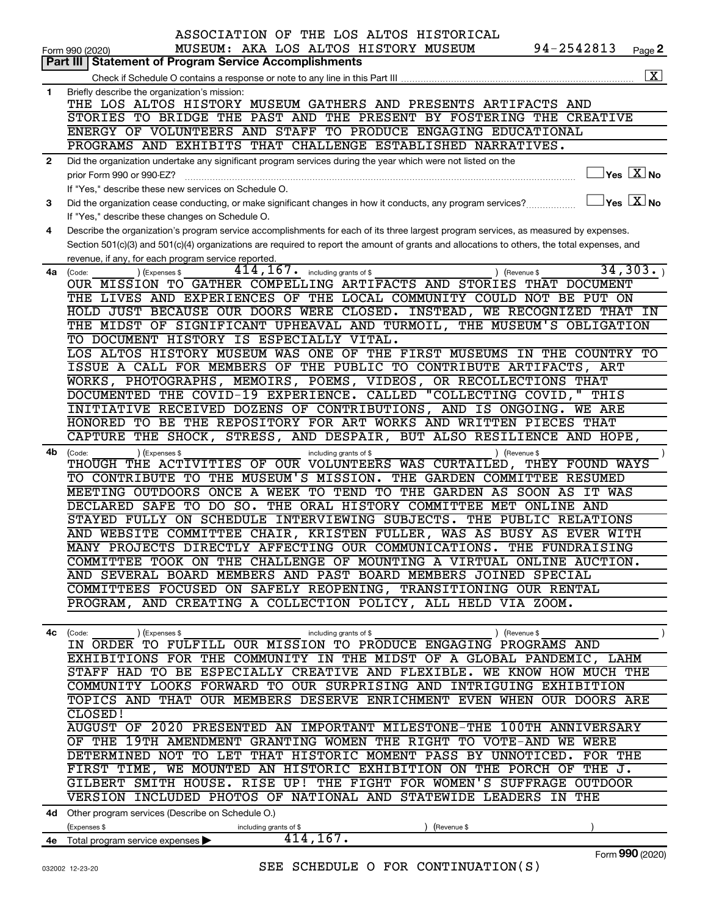|              | ASSOCIATION OF THE LOS ALTOS HISTORICAL<br>94-2542813<br>MUSEUM: AKA LOS ALTOS HISTORY MUSEUM<br>Page 2<br>Form 990 (2020)                                                                                               |
|--------------|--------------------------------------------------------------------------------------------------------------------------------------------------------------------------------------------------------------------------|
|              | <b>Part III   Statement of Program Service Accomplishments</b>                                                                                                                                                           |
|              | $\overline{\mathbf{x}}$<br>Check if Schedule O contains a response or note to any line in this Part III                                                                                                                  |
| $\mathbf 1$  | Briefly describe the organization's mission:                                                                                                                                                                             |
|              | THE LOS ALTOS HISTORY MUSEUM GATHERS AND PRESENTS ARTIFACTS AND                                                                                                                                                          |
|              | STORIES TO BRIDGE THE PAST AND THE PRESENT BY FOSTERING THE CREATIVE                                                                                                                                                     |
|              | ENERGY OF VOLUNTEERS AND STAFF TO PRODUCE ENGAGING EDUCATIONAL                                                                                                                                                           |
|              | PROGRAMS AND EXHIBITS THAT CHALLENGE ESTABLISHED NARRATIVES.                                                                                                                                                             |
| $\mathbf{2}$ | Did the organization undertake any significant program services during the year which were not listed on the<br>$Yes \quad X$ No                                                                                         |
|              | prior Form 990 or 990-EZ?                                                                                                                                                                                                |
| 3            | If "Yes," describe these new services on Schedule O.<br>$\overline{\ }$ Yes $\overline{\phantom{a}X}$ No<br>Did the organization cease conducting, or make significant changes in how it conducts, any program services? |
|              | If "Yes," describe these changes on Schedule O.                                                                                                                                                                          |
| 4            | Describe the organization's program service accomplishments for each of its three largest program services, as measured by expenses.                                                                                     |
|              | Section 501(c)(3) and 501(c)(4) organizations are required to report the amount of grants and allocations to others, the total expenses, and                                                                             |
|              | revenue, if any, for each program service reported.                                                                                                                                                                      |
| 4a           | 34, 303.<br>$414$ , $167$ $\cdot$ including grants of \$<br>(Code:<br>(Expenses \$<br>) (Revenue \$                                                                                                                      |
|              | OUR MISSION TO GATHER COMPELLING ARTIFACTS AND STORIES<br>THAT DOCUMENT                                                                                                                                                  |
|              | THE LIVES AND EXPERIENCES OF THE LOCAL COMMUNITY COULD NOT BE PUT ON                                                                                                                                                     |
|              | HOLD JUST BECAUSE OUR DOORS WERE CLOSED. INSTEAD, WE RECOGNIZED THAT<br>IN                                                                                                                                               |
|              | THE MIDST OF SIGNIFICANT UPHEAVAL AND TURMOIL, THE MUSEUM'S OBLIGATION                                                                                                                                                   |
|              | TO DOCUMENT HISTORY IS ESPECIALLY VITAL.                                                                                                                                                                                 |
|              | LOS ALTOS HISTORY MUSEUM WAS ONE OF THE FIRST MUSEUMS IN THE COUNTRY TO<br>ISSUE A CALL FOR MEMBERS OF THE PUBLIC TO CONTRIBUTE ARTIFACTS, ART                                                                           |
|              | WORKS, PHOTOGRAPHS, MEMOIRS, POEMS, VIDEOS, OR RECOLLECTIONS THAT                                                                                                                                                        |
|              | DOCUMENTED THE COVID-19 EXPERIENCE. CALLED "COLLECTING COVID," THIS                                                                                                                                                      |
|              | INITIATIVE RECEIVED DOZENS OF CONTRIBUTIONS, AND IS ONGOING. WE ARE                                                                                                                                                      |
|              | HONORED TO BE THE REPOSITORY FOR ART WORKS AND WRITTEN PIECES THAT                                                                                                                                                       |
|              | CAPTURE THE SHOCK, STRESS, AND DESPAIR, BUT ALSO RESILIENCE AND HOPE,                                                                                                                                                    |
| 4b           | (Expenses \$<br>) (Revenue \$<br>(Code:<br>including grants of \$                                                                                                                                                        |
|              | THOUGH THE ACTIVITIES OF OUR VOLUNTEERS WAS CURTAILED, THEY FOUND WAYS                                                                                                                                                   |
|              | THE MUSEUM'S MISSION.<br>THE GARDEN COMMITTEE RESUMED<br>CONTRIBUTE TO<br>TO.                                                                                                                                            |
|              | ONCE A WEEK TO TEND TO THE GARDEN AS SOON AS<br>MEETING OUTDOORS<br>IT WAS                                                                                                                                               |
|              | DECLARED SAFE TO<br>$DO$ $SO$ .<br>THE ORAL HISTORY COMMITTEE MET ONLINE AND                                                                                                                                             |
|              | STAYED FULLY ON SCHEDULE INTERVIEWING SUBJECTS. THE PUBLIC RELATIONS<br>AND WEBSITE COMMITTEE CHAIR, KRISTEN FULLER, WAS AS BUSY AS EVER WITH                                                                            |
|              | MANY PROJECTS DIRECTLY AFFECTING OUR COMMUNICATIONS. THE FUNDRAISING                                                                                                                                                     |
|              | COMMITTEE TOOK ON THE CHALLENGE OF MOUNTING A VIRTUAL ONLINE AUCTION.                                                                                                                                                    |
|              | AND SEVERAL BOARD MEMBERS AND PAST BOARD MEMBERS JOINED SPECIAL                                                                                                                                                          |
|              | COMMITTEES FOCUSED ON SAFELY REOPENING, TRANSITIONING OUR RENTAL                                                                                                                                                         |
|              | PROGRAM, AND CREATING A COLLECTION POLICY, ALL HELD VIA ZOOM.                                                                                                                                                            |
|              |                                                                                                                                                                                                                          |
|              | 4c (Code:<br>(Expenses \$<br>including grants of \$<br>) (Revenue \$                                                                                                                                                     |
|              | IN ORDER TO FULFILL OUR MISSION TO PRODUCE ENGAGING PROGRAMS AND                                                                                                                                                         |
|              | EXHIBITIONS FOR THE COMMUNITY IN THE MIDST OF A GLOBAL PANDEMIC, LAHM<br>STAFF HAD TO BE ESPECIALLY CREATIVE AND FLEXIBLE. WE KNOW HOW MUCH THE                                                                          |
|              | COMMUNITY LOOKS FORWARD TO OUR SURPRISING AND INTRIGUING EXHIBITION                                                                                                                                                      |
|              | TOPICS AND THAT OUR MEMBERS DESERVE ENRICHMENT EVEN WHEN OUR DOORS ARE                                                                                                                                                   |
|              | CLOSED!                                                                                                                                                                                                                  |
|              | AUGUST OF 2020 PRESENTED AN IMPORTANT MILESTONE-THE 100TH ANNIVERSARY                                                                                                                                                    |
|              | OF THE 19TH AMENDMENT GRANTING WOMEN THE RIGHT TO VOTE-AND WE WERE                                                                                                                                                       |
|              | DETERMINED NOT TO LET THAT HISTORIC MOMENT PASS BY UNNOTICED. FOR THE                                                                                                                                                    |
|              | FIRST TIME, WE MOUNTED AN HISTORIC EXHIBITION ON THE PORCH OF THE J.                                                                                                                                                     |
|              | GILBERT SMITH HOUSE. RISE UP! THE FIGHT FOR WOMEN'S SUFFRAGE OUTDOOR                                                                                                                                                     |
|              | VERSION INCLUDED PHOTOS OF NATIONAL AND STATEWIDE LEADERS IN THE                                                                                                                                                         |
|              | 4d Other program services (Describe on Schedule O.)                                                                                                                                                                      |
|              | (Expenses \$<br>including grants of \$<br>(Revenue \$<br>414, 167.                                                                                                                                                       |
|              | 4e Total program service expenses ><br>Form 990 (2020)                                                                                                                                                                   |

020) **990**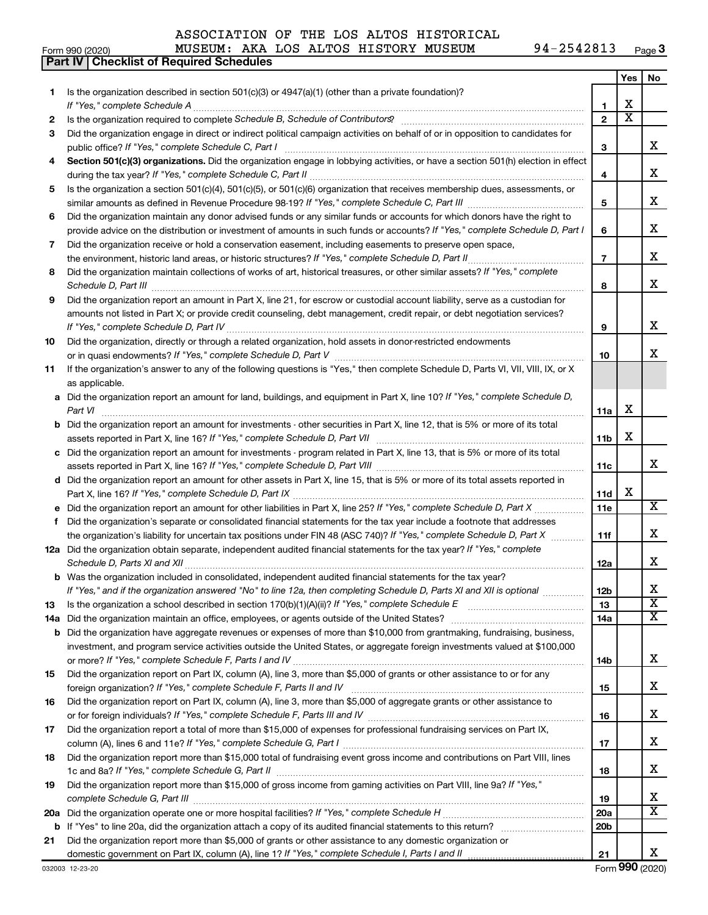#### Form 990 (2020) Page MUSEUM: AKA LOS ALTOS HISTORY MUSEUM 94-2542813 **Part IV Checklist of Required Schedules**

|        |                                                                                                                                       |                     | Yes                   | No                      |
|--------|---------------------------------------------------------------------------------------------------------------------------------------|---------------------|-----------------------|-------------------------|
| 1.     | Is the organization described in section 501(c)(3) or 4947(a)(1) (other than a private foundation)?                                   |                     | X                     |                         |
|        |                                                                                                                                       | 1<br>$\overline{2}$ | $\overline{\text{x}}$ |                         |
| 2<br>3 | Did the organization engage in direct or indirect political campaign activities on behalf of or in opposition to candidates for       |                     |                       |                         |
|        |                                                                                                                                       | 3                   |                       | x                       |
| 4      | Section 501(c)(3) organizations. Did the organization engage in lobbying activities, or have a section 501(h) election in effect      |                     |                       |                         |
|        |                                                                                                                                       | 4                   |                       | х                       |
| 5      | Is the organization a section 501(c)(4), 501(c)(5), or 501(c)(6) organization that receives membership dues, assessments, or          |                     |                       |                         |
|        |                                                                                                                                       | 5                   |                       | х                       |
| 6      | Did the organization maintain any donor advised funds or any similar funds or accounts for which donors have the right to             |                     |                       |                         |
|        | provide advice on the distribution or investment of amounts in such funds or accounts? If "Yes," complete Schedule D, Part I          | 6                   |                       | х                       |
| 7      | Did the organization receive or hold a conservation easement, including easements to preserve open space,                             |                     |                       |                         |
|        |                                                                                                                                       | $\overline{7}$      |                       | х                       |
| 8      | Did the organization maintain collections of works of art, historical treasures, or other similar assets? If "Yes," complete          |                     |                       |                         |
|        |                                                                                                                                       | 8                   |                       | x                       |
| 9      | Did the organization report an amount in Part X, line 21, for escrow or custodial account liability, serve as a custodian for         |                     |                       |                         |
|        | amounts not listed in Part X; or provide credit counseling, debt management, credit repair, or debt negotiation services?             |                     |                       |                         |
|        |                                                                                                                                       | 9                   |                       | х                       |
| 10     | Did the organization, directly or through a related organization, hold assets in donor-restricted endowments                          |                     |                       |                         |
|        |                                                                                                                                       | 10                  |                       | x                       |
| 11     | If the organization's answer to any of the following questions is "Yes," then complete Schedule D, Parts VI, VII, VIII, IX, or X      |                     |                       |                         |
|        | as applicable.                                                                                                                        |                     |                       |                         |
|        | a Did the organization report an amount for land, buildings, and equipment in Part X, line 10? If "Yes," complete Schedule D,         |                     |                       |                         |
|        | Part VI                                                                                                                               | 11a                 | X                     |                         |
|        | <b>b</b> Did the organization report an amount for investments - other securities in Part X, line 12, that is 5% or more of its total |                     | X                     |                         |
|        |                                                                                                                                       | 11b                 |                       |                         |
|        | c Did the organization report an amount for investments - program related in Part X, line 13, that is 5% or more of its total         | 11c                 |                       | x                       |
|        | d Did the organization report an amount for other assets in Part X, line 15, that is 5% or more of its total assets reported in       |                     |                       |                         |
|        |                                                                                                                                       | 11d                 | х                     |                         |
|        |                                                                                                                                       | 11e                 |                       | X                       |
| f      | Did the organization's separate or consolidated financial statements for the tax year include a footnote that addresses               |                     |                       |                         |
|        | the organization's liability for uncertain tax positions under FIN 48 (ASC 740)? If "Yes," complete Schedule D, Part X                | 11f                 |                       | х                       |
|        | 12a Did the organization obtain separate, independent audited financial statements for the tax year? If "Yes," complete               |                     |                       |                         |
|        |                                                                                                                                       | 12a                 |                       | х                       |
|        | <b>b</b> Was the organization included in consolidated, independent audited financial statements for the tax year?                    |                     |                       |                         |
|        | If "Yes," and if the organization answered "No" to line 12a, then completing Schedule D, Parts XI and XII is optional                 | 12 <sub>b</sub>     |                       |                         |
| 13     |                                                                                                                                       | 13                  |                       | $\overline{\textbf{x}}$ |
|        |                                                                                                                                       | 14a                 |                       | $\overline{\mathbf{X}}$ |
|        | <b>b</b> Did the organization have aggregate revenues or expenses of more than \$10,000 from grantmaking, fundraising, business,      |                     |                       |                         |
|        | investment, and program service activities outside the United States, or aggregate foreign investments valued at \$100,000            |                     |                       |                         |
|        |                                                                                                                                       | 14b                 |                       | х                       |
| 15     | Did the organization report on Part IX, column (A), line 3, more than \$5,000 of grants or other assistance to or for any             |                     |                       |                         |
|        |                                                                                                                                       | 15                  |                       | х                       |
| 16     | Did the organization report on Part IX, column (A), line 3, more than \$5,000 of aggregate grants or other assistance to              |                     |                       | х                       |
| 17     | Did the organization report a total of more than \$15,000 of expenses for professional fundraising services on Part IX,               | 16                  |                       |                         |
|        |                                                                                                                                       | 17                  |                       | x                       |
| 18     | Did the organization report more than \$15,000 total of fundraising event gross income and contributions on Part VIII, lines          |                     |                       |                         |
|        |                                                                                                                                       | 18                  |                       | x                       |
| 19     | Did the organization report more than \$15,000 of gross income from gaming activities on Part VIII, line 9a? If "Yes,"                |                     |                       |                         |
|        |                                                                                                                                       | 19                  |                       | x                       |
|        |                                                                                                                                       | 20a                 |                       | X                       |
|        |                                                                                                                                       | 20 <sub>b</sub>     |                       |                         |
| 21     | Did the organization report more than \$5,000 of grants or other assistance to any domestic organization or                           |                     |                       |                         |
|        |                                                                                                                                       | 21                  |                       | X                       |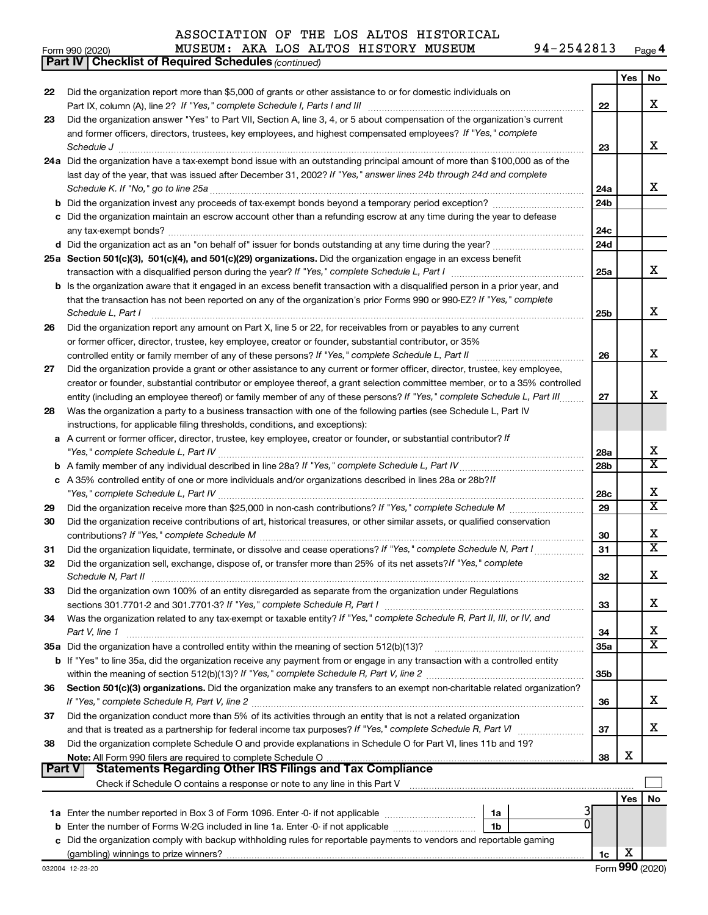#### *(continued)* **Part IV Checklist of Required Schedules** Form 990 (2020) Page MUSEUM: AKA LOS ALTOS HISTORY MUSEUM 94-2542813

| Did the organization report more than \$5,000 of grants or other assistance to or for domestic individuals on<br>22<br>x<br>22<br>Did the organization answer "Yes" to Part VII, Section A, line 3, 4, or 5 about compensation of the organization's current<br>23<br>and former officers, directors, trustees, key employees, and highest compensated employees? If "Yes," complete<br>x<br>23<br>$\textit{Schedule J} \textit{ \textbf{}} \textit{ \textbf{}} \textit{ \textbf{}} \textit{ \textbf{}} \textit{ \textbf{}} \textit{ \textbf{}} \textit{ \textbf{}} \textit{ \textbf{}} \textit{ \textbf{}} \textit{ \textbf{}} \textit{ \textbf{}} \textit{ \textbf{}} \textit{ \textbf{}} \textit{ \textbf{}} \textit{ \textbf{}} \textit{ \textbf{}} \textit{ \textbf{}} \textit{ \textbf{}} \textit{ \textbf{}} \textit{ \textbf{}} \textit{ \textbf{}}$<br>24a Did the organization have a tax-exempt bond issue with an outstanding principal amount of more than \$100,000 as of the<br>last day of the year, that was issued after December 31, 2002? If "Yes," answer lines 24b through 24d and complete<br>x<br>24a<br><b>b</b> Did the organization invest any proceeds of tax-exempt bonds beyond a temporary period exception?<br>24b<br>c Did the organization maintain an escrow account other than a refunding escrow at any time during the year to defease<br>24c<br>d Did the organization act as an "on behalf of" issuer for bonds outstanding at any time during the year?<br>24d<br>25a Section 501(c)(3), 501(c)(4), and 501(c)(29) organizations. Did the organization engage in an excess benefit<br>x<br>25a<br><b>b</b> Is the organization aware that it engaged in an excess benefit transaction with a disqualified person in a prior year, and<br>that the transaction has not been reported on any of the organization's prior Forms 990 or 990-EZ? If "Yes," complete<br>x<br>Schedule L, Part I<br>25 <sub>b</sub><br>Did the organization report any amount on Part X, line 5 or 22, for receivables from or payables to any current<br>26<br>or former officer, director, trustee, key employee, creator or founder, substantial contributor, or 35%<br>х<br>26<br>controlled entity or family member of any of these persons? If "Yes," complete Schedule L, Part II [11] [12] [12] [13] [13] [13] [13] [13] [13] controlled entity or family member of any of these persons? If "Yes," complete<br>Did the organization provide a grant or other assistance to any current or former officer, director, trustee, key employee,<br>27<br>creator or founder, substantial contributor or employee thereof, a grant selection committee member, or to a 35% controlled<br>x<br>27<br>entity (including an employee thereof) or family member of any of these persons? If "Yes," complete Schedule L, Part III.<br>Was the organization a party to a business transaction with one of the following parties (see Schedule L, Part IV<br>28<br>instructions, for applicable filing thresholds, conditions, and exceptions):<br>a A current or former officer, director, trustee, key employee, creator or founder, or substantial contributor? If<br>х<br>28a<br>$\overline{\textbf{X}}$<br>28b<br>c A 35% controlled entity of one or more individuals and/or organizations described in lines 28a or 28b?If<br>х<br>28c<br>$\overline{\text{x}}$<br>29<br>29<br>Did the organization receive contributions of art, historical treasures, or other similar assets, or qualified conservation<br>30<br>x<br>30<br>$\overline{\textbf{X}}$<br>Did the organization liquidate, terminate, or dissolve and cease operations? If "Yes," complete Schedule N, Part I<br>31<br>31<br>Did the organization sell, exchange, dispose of, or transfer more than 25% of its net assets? If "Yes," complete<br>32<br>x<br>32<br>Did the organization own 100% of an entity disregarded as separate from the organization under Regulations<br>33<br>x.<br>33<br>Was the organization related to any tax-exempt or taxable entity? If "Yes," complete Schedule R, Part II, III, or IV, and<br>34<br>х<br>Part V, line 1<br>34<br>$\overline{\textbf{X}}$<br><b>35a</b><br>b If "Yes" to line 35a, did the organization receive any payment from or engage in any transaction with a controlled entity<br>35 <sub>b</sub><br>Section 501(c)(3) organizations. Did the organization make any transfers to an exempt non-charitable related organization?<br>36<br>x.<br>If "Yes," complete Schedule R, Part V, line 2<br>36<br>Did the organization conduct more than 5% of its activities through an entity that is not a related organization<br>37<br>x.<br>37<br>Did the organization complete Schedule O and provide explanations in Schedule O for Part VI, lines 11b and 19?<br>38<br>х<br>38<br><b>Statements Regarding Other IRS Filings and Tax Compliance</b><br>∣ Part V<br>Yes<br>No<br>1a<br>Enter the number of Forms W-2G included in line 1a. Enter -0- if not applicable<br>1b<br>b<br>c Did the organization comply with backup withholding rules for reportable payments to vendors and reportable gaming |  |    | Yes | No |
|--------------------------------------------------------------------------------------------------------------------------------------------------------------------------------------------------------------------------------------------------------------------------------------------------------------------------------------------------------------------------------------------------------------------------------------------------------------------------------------------------------------------------------------------------------------------------------------------------------------------------------------------------------------------------------------------------------------------------------------------------------------------------------------------------------------------------------------------------------------------------------------------------------------------------------------------------------------------------------------------------------------------------------------------------------------------------------------------------------------------------------------------------------------------------------------------------------------------------------------------------------------------------------------------------------------------------------------------------------------------------------------------------------------------------------------------------------------------------------------------------------------------------------------------------------------------------------------------------------------------------------------------------------------------------------------------------------------------------------------------------------------------------------------------------------------------------------------------------------------------------------------------------------------------------------------------------------------------------------------------------------------------------------------------------------------------------------------------------------------------------------------------------------------------------------------------------------------------------------------------------------------------------------------------------------------------------------------------------------------------------------------------------------------------------------------------------------------------------------------------------------------------------------------------------------------------------------------------------------------------------------------------------------------------------------------------------------------------------------------------------------------------------------------------------------------------------------------------------------------------------------------------------------------------------------------------------------------------------------------------------------------------------------------------------------------------------------------------------------------------------------------------------------------------------------------------------------------------------------------------------------------------------------------------------------------------------------------------------------------------------------------------------------------------------------------------------------------------------------------------------------------------------------------------------------------------------------------------------------------------------------------------------------------------------------------------------------------------------------------------------------------------------------------------------------------------------------------------------------------------------------------------------------------------------------------------------------------------------------------------------------------------------------------------------------------------------------------------------------------------------------------------------------------------------------------------------------------------------------------------------------------------------------------------------------------------------------------------------------------------------------------------------------------------------------------------------------------------------------------------------------------------------------------------------------------------------------------------------------------------------------------------------------------------------------------------------------------------------------------------------------------------------------------------------------------------------------------------------------------------------------------------------------------------------------------------------------------------------------------------------------------------------------------------------------------------------------------------------------------------------------------------------|--|----|-----|----|
|                                                                                                                                                                                                                                                                                                                                                                                                                                                                                                                                                                                                                                                                                                                                                                                                                                                                                                                                                                                                                                                                                                                                                                                                                                                                                                                                                                                                                                                                                                                                                                                                                                                                                                                                                                                                                                                                                                                                                                                                                                                                                                                                                                                                                                                                                                                                                                                                                                                                                                                                                                                                                                                                                                                                                                                                                                                                                                                                                                                                                                                                                                                                                                                                                                                                                                                                                                                                                                                                                                                                                                                                                                                                                                                                                                                                                                                                                                                                                                                                                                                                                                                                                                                                                                                                                                                                                                                                                                                                                                                                                                                                                                                                                                                                                                                                                                                                                                                                                                                                                                                                                                                                                  |  |    |     |    |
|                                                                                                                                                                                                                                                                                                                                                                                                                                                                                                                                                                                                                                                                                                                                                                                                                                                                                                                                                                                                                                                                                                                                                                                                                                                                                                                                                                                                                                                                                                                                                                                                                                                                                                                                                                                                                                                                                                                                                                                                                                                                                                                                                                                                                                                                                                                                                                                                                                                                                                                                                                                                                                                                                                                                                                                                                                                                                                                                                                                                                                                                                                                                                                                                                                                                                                                                                                                                                                                                                                                                                                                                                                                                                                                                                                                                                                                                                                                                                                                                                                                                                                                                                                                                                                                                                                                                                                                                                                                                                                                                                                                                                                                                                                                                                                                                                                                                                                                                                                                                                                                                                                                                                  |  |    |     |    |
|                                                                                                                                                                                                                                                                                                                                                                                                                                                                                                                                                                                                                                                                                                                                                                                                                                                                                                                                                                                                                                                                                                                                                                                                                                                                                                                                                                                                                                                                                                                                                                                                                                                                                                                                                                                                                                                                                                                                                                                                                                                                                                                                                                                                                                                                                                                                                                                                                                                                                                                                                                                                                                                                                                                                                                                                                                                                                                                                                                                                                                                                                                                                                                                                                                                                                                                                                                                                                                                                                                                                                                                                                                                                                                                                                                                                                                                                                                                                                                                                                                                                                                                                                                                                                                                                                                                                                                                                                                                                                                                                                                                                                                                                                                                                                                                                                                                                                                                                                                                                                                                                                                                                                  |  |    |     |    |
|                                                                                                                                                                                                                                                                                                                                                                                                                                                                                                                                                                                                                                                                                                                                                                                                                                                                                                                                                                                                                                                                                                                                                                                                                                                                                                                                                                                                                                                                                                                                                                                                                                                                                                                                                                                                                                                                                                                                                                                                                                                                                                                                                                                                                                                                                                                                                                                                                                                                                                                                                                                                                                                                                                                                                                                                                                                                                                                                                                                                                                                                                                                                                                                                                                                                                                                                                                                                                                                                                                                                                                                                                                                                                                                                                                                                                                                                                                                                                                                                                                                                                                                                                                                                                                                                                                                                                                                                                                                                                                                                                                                                                                                                                                                                                                                                                                                                                                                                                                                                                                                                                                                                                  |  |    |     |    |
|                                                                                                                                                                                                                                                                                                                                                                                                                                                                                                                                                                                                                                                                                                                                                                                                                                                                                                                                                                                                                                                                                                                                                                                                                                                                                                                                                                                                                                                                                                                                                                                                                                                                                                                                                                                                                                                                                                                                                                                                                                                                                                                                                                                                                                                                                                                                                                                                                                                                                                                                                                                                                                                                                                                                                                                                                                                                                                                                                                                                                                                                                                                                                                                                                                                                                                                                                                                                                                                                                                                                                                                                                                                                                                                                                                                                                                                                                                                                                                                                                                                                                                                                                                                                                                                                                                                                                                                                                                                                                                                                                                                                                                                                                                                                                                                                                                                                                                                                                                                                                                                                                                                                                  |  |    |     |    |
|                                                                                                                                                                                                                                                                                                                                                                                                                                                                                                                                                                                                                                                                                                                                                                                                                                                                                                                                                                                                                                                                                                                                                                                                                                                                                                                                                                                                                                                                                                                                                                                                                                                                                                                                                                                                                                                                                                                                                                                                                                                                                                                                                                                                                                                                                                                                                                                                                                                                                                                                                                                                                                                                                                                                                                                                                                                                                                                                                                                                                                                                                                                                                                                                                                                                                                                                                                                                                                                                                                                                                                                                                                                                                                                                                                                                                                                                                                                                                                                                                                                                                                                                                                                                                                                                                                                                                                                                                                                                                                                                                                                                                                                                                                                                                                                                                                                                                                                                                                                                                                                                                                                                                  |  |    |     |    |
|                                                                                                                                                                                                                                                                                                                                                                                                                                                                                                                                                                                                                                                                                                                                                                                                                                                                                                                                                                                                                                                                                                                                                                                                                                                                                                                                                                                                                                                                                                                                                                                                                                                                                                                                                                                                                                                                                                                                                                                                                                                                                                                                                                                                                                                                                                                                                                                                                                                                                                                                                                                                                                                                                                                                                                                                                                                                                                                                                                                                                                                                                                                                                                                                                                                                                                                                                                                                                                                                                                                                                                                                                                                                                                                                                                                                                                                                                                                                                                                                                                                                                                                                                                                                                                                                                                                                                                                                                                                                                                                                                                                                                                                                                                                                                                                                                                                                                                                                                                                                                                                                                                                                                  |  |    |     |    |
|                                                                                                                                                                                                                                                                                                                                                                                                                                                                                                                                                                                                                                                                                                                                                                                                                                                                                                                                                                                                                                                                                                                                                                                                                                                                                                                                                                                                                                                                                                                                                                                                                                                                                                                                                                                                                                                                                                                                                                                                                                                                                                                                                                                                                                                                                                                                                                                                                                                                                                                                                                                                                                                                                                                                                                                                                                                                                                                                                                                                                                                                                                                                                                                                                                                                                                                                                                                                                                                                                                                                                                                                                                                                                                                                                                                                                                                                                                                                                                                                                                                                                                                                                                                                                                                                                                                                                                                                                                                                                                                                                                                                                                                                                                                                                                                                                                                                                                                                                                                                                                                                                                                                                  |  |    |     |    |
|                                                                                                                                                                                                                                                                                                                                                                                                                                                                                                                                                                                                                                                                                                                                                                                                                                                                                                                                                                                                                                                                                                                                                                                                                                                                                                                                                                                                                                                                                                                                                                                                                                                                                                                                                                                                                                                                                                                                                                                                                                                                                                                                                                                                                                                                                                                                                                                                                                                                                                                                                                                                                                                                                                                                                                                                                                                                                                                                                                                                                                                                                                                                                                                                                                                                                                                                                                                                                                                                                                                                                                                                                                                                                                                                                                                                                                                                                                                                                                                                                                                                                                                                                                                                                                                                                                                                                                                                                                                                                                                                                                                                                                                                                                                                                                                                                                                                                                                                                                                                                                                                                                                                                  |  |    |     |    |
|                                                                                                                                                                                                                                                                                                                                                                                                                                                                                                                                                                                                                                                                                                                                                                                                                                                                                                                                                                                                                                                                                                                                                                                                                                                                                                                                                                                                                                                                                                                                                                                                                                                                                                                                                                                                                                                                                                                                                                                                                                                                                                                                                                                                                                                                                                                                                                                                                                                                                                                                                                                                                                                                                                                                                                                                                                                                                                                                                                                                                                                                                                                                                                                                                                                                                                                                                                                                                                                                                                                                                                                                                                                                                                                                                                                                                                                                                                                                                                                                                                                                                                                                                                                                                                                                                                                                                                                                                                                                                                                                                                                                                                                                                                                                                                                                                                                                                                                                                                                                                                                                                                                                                  |  |    |     |    |
|                                                                                                                                                                                                                                                                                                                                                                                                                                                                                                                                                                                                                                                                                                                                                                                                                                                                                                                                                                                                                                                                                                                                                                                                                                                                                                                                                                                                                                                                                                                                                                                                                                                                                                                                                                                                                                                                                                                                                                                                                                                                                                                                                                                                                                                                                                                                                                                                                                                                                                                                                                                                                                                                                                                                                                                                                                                                                                                                                                                                                                                                                                                                                                                                                                                                                                                                                                                                                                                                                                                                                                                                                                                                                                                                                                                                                                                                                                                                                                                                                                                                                                                                                                                                                                                                                                                                                                                                                                                                                                                                                                                                                                                                                                                                                                                                                                                                                                                                                                                                                                                                                                                                                  |  |    |     |    |
|                                                                                                                                                                                                                                                                                                                                                                                                                                                                                                                                                                                                                                                                                                                                                                                                                                                                                                                                                                                                                                                                                                                                                                                                                                                                                                                                                                                                                                                                                                                                                                                                                                                                                                                                                                                                                                                                                                                                                                                                                                                                                                                                                                                                                                                                                                                                                                                                                                                                                                                                                                                                                                                                                                                                                                                                                                                                                                                                                                                                                                                                                                                                                                                                                                                                                                                                                                                                                                                                                                                                                                                                                                                                                                                                                                                                                                                                                                                                                                                                                                                                                                                                                                                                                                                                                                                                                                                                                                                                                                                                                                                                                                                                                                                                                                                                                                                                                                                                                                                                                                                                                                                                                  |  |    |     |    |
|                                                                                                                                                                                                                                                                                                                                                                                                                                                                                                                                                                                                                                                                                                                                                                                                                                                                                                                                                                                                                                                                                                                                                                                                                                                                                                                                                                                                                                                                                                                                                                                                                                                                                                                                                                                                                                                                                                                                                                                                                                                                                                                                                                                                                                                                                                                                                                                                                                                                                                                                                                                                                                                                                                                                                                                                                                                                                                                                                                                                                                                                                                                                                                                                                                                                                                                                                                                                                                                                                                                                                                                                                                                                                                                                                                                                                                                                                                                                                                                                                                                                                                                                                                                                                                                                                                                                                                                                                                                                                                                                                                                                                                                                                                                                                                                                                                                                                                                                                                                                                                                                                                                                                  |  |    |     |    |
|                                                                                                                                                                                                                                                                                                                                                                                                                                                                                                                                                                                                                                                                                                                                                                                                                                                                                                                                                                                                                                                                                                                                                                                                                                                                                                                                                                                                                                                                                                                                                                                                                                                                                                                                                                                                                                                                                                                                                                                                                                                                                                                                                                                                                                                                                                                                                                                                                                                                                                                                                                                                                                                                                                                                                                                                                                                                                                                                                                                                                                                                                                                                                                                                                                                                                                                                                                                                                                                                                                                                                                                                                                                                                                                                                                                                                                                                                                                                                                                                                                                                                                                                                                                                                                                                                                                                                                                                                                                                                                                                                                                                                                                                                                                                                                                                                                                                                                                                                                                                                                                                                                                                                  |  |    |     |    |
|                                                                                                                                                                                                                                                                                                                                                                                                                                                                                                                                                                                                                                                                                                                                                                                                                                                                                                                                                                                                                                                                                                                                                                                                                                                                                                                                                                                                                                                                                                                                                                                                                                                                                                                                                                                                                                                                                                                                                                                                                                                                                                                                                                                                                                                                                                                                                                                                                                                                                                                                                                                                                                                                                                                                                                                                                                                                                                                                                                                                                                                                                                                                                                                                                                                                                                                                                                                                                                                                                                                                                                                                                                                                                                                                                                                                                                                                                                                                                                                                                                                                                                                                                                                                                                                                                                                                                                                                                                                                                                                                                                                                                                                                                                                                                                                                                                                                                                                                                                                                                                                                                                                                                  |  |    |     |    |
|                                                                                                                                                                                                                                                                                                                                                                                                                                                                                                                                                                                                                                                                                                                                                                                                                                                                                                                                                                                                                                                                                                                                                                                                                                                                                                                                                                                                                                                                                                                                                                                                                                                                                                                                                                                                                                                                                                                                                                                                                                                                                                                                                                                                                                                                                                                                                                                                                                                                                                                                                                                                                                                                                                                                                                                                                                                                                                                                                                                                                                                                                                                                                                                                                                                                                                                                                                                                                                                                                                                                                                                                                                                                                                                                                                                                                                                                                                                                                                                                                                                                                                                                                                                                                                                                                                                                                                                                                                                                                                                                                                                                                                                                                                                                                                                                                                                                                                                                                                                                                                                                                                                                                  |  |    |     |    |
|                                                                                                                                                                                                                                                                                                                                                                                                                                                                                                                                                                                                                                                                                                                                                                                                                                                                                                                                                                                                                                                                                                                                                                                                                                                                                                                                                                                                                                                                                                                                                                                                                                                                                                                                                                                                                                                                                                                                                                                                                                                                                                                                                                                                                                                                                                                                                                                                                                                                                                                                                                                                                                                                                                                                                                                                                                                                                                                                                                                                                                                                                                                                                                                                                                                                                                                                                                                                                                                                                                                                                                                                                                                                                                                                                                                                                                                                                                                                                                                                                                                                                                                                                                                                                                                                                                                                                                                                                                                                                                                                                                                                                                                                                                                                                                                                                                                                                                                                                                                                                                                                                                                                                  |  |    |     |    |
|                                                                                                                                                                                                                                                                                                                                                                                                                                                                                                                                                                                                                                                                                                                                                                                                                                                                                                                                                                                                                                                                                                                                                                                                                                                                                                                                                                                                                                                                                                                                                                                                                                                                                                                                                                                                                                                                                                                                                                                                                                                                                                                                                                                                                                                                                                                                                                                                                                                                                                                                                                                                                                                                                                                                                                                                                                                                                                                                                                                                                                                                                                                                                                                                                                                                                                                                                                                                                                                                                                                                                                                                                                                                                                                                                                                                                                                                                                                                                                                                                                                                                                                                                                                                                                                                                                                                                                                                                                                                                                                                                                                                                                                                                                                                                                                                                                                                                                                                                                                                                                                                                                                                                  |  |    |     |    |
|                                                                                                                                                                                                                                                                                                                                                                                                                                                                                                                                                                                                                                                                                                                                                                                                                                                                                                                                                                                                                                                                                                                                                                                                                                                                                                                                                                                                                                                                                                                                                                                                                                                                                                                                                                                                                                                                                                                                                                                                                                                                                                                                                                                                                                                                                                                                                                                                                                                                                                                                                                                                                                                                                                                                                                                                                                                                                                                                                                                                                                                                                                                                                                                                                                                                                                                                                                                                                                                                                                                                                                                                                                                                                                                                                                                                                                                                                                                                                                                                                                                                                                                                                                                                                                                                                                                                                                                                                                                                                                                                                                                                                                                                                                                                                                                                                                                                                                                                                                                                                                                                                                                                                  |  |    |     |    |
|                                                                                                                                                                                                                                                                                                                                                                                                                                                                                                                                                                                                                                                                                                                                                                                                                                                                                                                                                                                                                                                                                                                                                                                                                                                                                                                                                                                                                                                                                                                                                                                                                                                                                                                                                                                                                                                                                                                                                                                                                                                                                                                                                                                                                                                                                                                                                                                                                                                                                                                                                                                                                                                                                                                                                                                                                                                                                                                                                                                                                                                                                                                                                                                                                                                                                                                                                                                                                                                                                                                                                                                                                                                                                                                                                                                                                                                                                                                                                                                                                                                                                                                                                                                                                                                                                                                                                                                                                                                                                                                                                                                                                                                                                                                                                                                                                                                                                                                                                                                                                                                                                                                                                  |  |    |     |    |
|                                                                                                                                                                                                                                                                                                                                                                                                                                                                                                                                                                                                                                                                                                                                                                                                                                                                                                                                                                                                                                                                                                                                                                                                                                                                                                                                                                                                                                                                                                                                                                                                                                                                                                                                                                                                                                                                                                                                                                                                                                                                                                                                                                                                                                                                                                                                                                                                                                                                                                                                                                                                                                                                                                                                                                                                                                                                                                                                                                                                                                                                                                                                                                                                                                                                                                                                                                                                                                                                                                                                                                                                                                                                                                                                                                                                                                                                                                                                                                                                                                                                                                                                                                                                                                                                                                                                                                                                                                                                                                                                                                                                                                                                                                                                                                                                                                                                                                                                                                                                                                                                                                                                                  |  |    |     |    |
|                                                                                                                                                                                                                                                                                                                                                                                                                                                                                                                                                                                                                                                                                                                                                                                                                                                                                                                                                                                                                                                                                                                                                                                                                                                                                                                                                                                                                                                                                                                                                                                                                                                                                                                                                                                                                                                                                                                                                                                                                                                                                                                                                                                                                                                                                                                                                                                                                                                                                                                                                                                                                                                                                                                                                                                                                                                                                                                                                                                                                                                                                                                                                                                                                                                                                                                                                                                                                                                                                                                                                                                                                                                                                                                                                                                                                                                                                                                                                                                                                                                                                                                                                                                                                                                                                                                                                                                                                                                                                                                                                                                                                                                                                                                                                                                                                                                                                                                                                                                                                                                                                                                                                  |  |    |     |    |
|                                                                                                                                                                                                                                                                                                                                                                                                                                                                                                                                                                                                                                                                                                                                                                                                                                                                                                                                                                                                                                                                                                                                                                                                                                                                                                                                                                                                                                                                                                                                                                                                                                                                                                                                                                                                                                                                                                                                                                                                                                                                                                                                                                                                                                                                                                                                                                                                                                                                                                                                                                                                                                                                                                                                                                                                                                                                                                                                                                                                                                                                                                                                                                                                                                                                                                                                                                                                                                                                                                                                                                                                                                                                                                                                                                                                                                                                                                                                                                                                                                                                                                                                                                                                                                                                                                                                                                                                                                                                                                                                                                                                                                                                                                                                                                                                                                                                                                                                                                                                                                                                                                                                                  |  |    |     |    |
|                                                                                                                                                                                                                                                                                                                                                                                                                                                                                                                                                                                                                                                                                                                                                                                                                                                                                                                                                                                                                                                                                                                                                                                                                                                                                                                                                                                                                                                                                                                                                                                                                                                                                                                                                                                                                                                                                                                                                                                                                                                                                                                                                                                                                                                                                                                                                                                                                                                                                                                                                                                                                                                                                                                                                                                                                                                                                                                                                                                                                                                                                                                                                                                                                                                                                                                                                                                                                                                                                                                                                                                                                                                                                                                                                                                                                                                                                                                                                                                                                                                                                                                                                                                                                                                                                                                                                                                                                                                                                                                                                                                                                                                                                                                                                                                                                                                                                                                                                                                                                                                                                                                                                  |  |    |     |    |
|                                                                                                                                                                                                                                                                                                                                                                                                                                                                                                                                                                                                                                                                                                                                                                                                                                                                                                                                                                                                                                                                                                                                                                                                                                                                                                                                                                                                                                                                                                                                                                                                                                                                                                                                                                                                                                                                                                                                                                                                                                                                                                                                                                                                                                                                                                                                                                                                                                                                                                                                                                                                                                                                                                                                                                                                                                                                                                                                                                                                                                                                                                                                                                                                                                                                                                                                                                                                                                                                                                                                                                                                                                                                                                                                                                                                                                                                                                                                                                                                                                                                                                                                                                                                                                                                                                                                                                                                                                                                                                                                                                                                                                                                                                                                                                                                                                                                                                                                                                                                                                                                                                                                                  |  |    |     |    |
|                                                                                                                                                                                                                                                                                                                                                                                                                                                                                                                                                                                                                                                                                                                                                                                                                                                                                                                                                                                                                                                                                                                                                                                                                                                                                                                                                                                                                                                                                                                                                                                                                                                                                                                                                                                                                                                                                                                                                                                                                                                                                                                                                                                                                                                                                                                                                                                                                                                                                                                                                                                                                                                                                                                                                                                                                                                                                                                                                                                                                                                                                                                                                                                                                                                                                                                                                                                                                                                                                                                                                                                                                                                                                                                                                                                                                                                                                                                                                                                                                                                                                                                                                                                                                                                                                                                                                                                                                                                                                                                                                                                                                                                                                                                                                                                                                                                                                                                                                                                                                                                                                                                                                  |  |    |     |    |
|                                                                                                                                                                                                                                                                                                                                                                                                                                                                                                                                                                                                                                                                                                                                                                                                                                                                                                                                                                                                                                                                                                                                                                                                                                                                                                                                                                                                                                                                                                                                                                                                                                                                                                                                                                                                                                                                                                                                                                                                                                                                                                                                                                                                                                                                                                                                                                                                                                                                                                                                                                                                                                                                                                                                                                                                                                                                                                                                                                                                                                                                                                                                                                                                                                                                                                                                                                                                                                                                                                                                                                                                                                                                                                                                                                                                                                                                                                                                                                                                                                                                                                                                                                                                                                                                                                                                                                                                                                                                                                                                                                                                                                                                                                                                                                                                                                                                                                                                                                                                                                                                                                                                                  |  |    |     |    |
|                                                                                                                                                                                                                                                                                                                                                                                                                                                                                                                                                                                                                                                                                                                                                                                                                                                                                                                                                                                                                                                                                                                                                                                                                                                                                                                                                                                                                                                                                                                                                                                                                                                                                                                                                                                                                                                                                                                                                                                                                                                                                                                                                                                                                                                                                                                                                                                                                                                                                                                                                                                                                                                                                                                                                                                                                                                                                                                                                                                                                                                                                                                                                                                                                                                                                                                                                                                                                                                                                                                                                                                                                                                                                                                                                                                                                                                                                                                                                                                                                                                                                                                                                                                                                                                                                                                                                                                                                                                                                                                                                                                                                                                                                                                                                                                                                                                                                                                                                                                                                                                                                                                                                  |  |    |     |    |
|                                                                                                                                                                                                                                                                                                                                                                                                                                                                                                                                                                                                                                                                                                                                                                                                                                                                                                                                                                                                                                                                                                                                                                                                                                                                                                                                                                                                                                                                                                                                                                                                                                                                                                                                                                                                                                                                                                                                                                                                                                                                                                                                                                                                                                                                                                                                                                                                                                                                                                                                                                                                                                                                                                                                                                                                                                                                                                                                                                                                                                                                                                                                                                                                                                                                                                                                                                                                                                                                                                                                                                                                                                                                                                                                                                                                                                                                                                                                                                                                                                                                                                                                                                                                                                                                                                                                                                                                                                                                                                                                                                                                                                                                                                                                                                                                                                                                                                                                                                                                                                                                                                                                                  |  |    |     |    |
|                                                                                                                                                                                                                                                                                                                                                                                                                                                                                                                                                                                                                                                                                                                                                                                                                                                                                                                                                                                                                                                                                                                                                                                                                                                                                                                                                                                                                                                                                                                                                                                                                                                                                                                                                                                                                                                                                                                                                                                                                                                                                                                                                                                                                                                                                                                                                                                                                                                                                                                                                                                                                                                                                                                                                                                                                                                                                                                                                                                                                                                                                                                                                                                                                                                                                                                                                                                                                                                                                                                                                                                                                                                                                                                                                                                                                                                                                                                                                                                                                                                                                                                                                                                                                                                                                                                                                                                                                                                                                                                                                                                                                                                                                                                                                                                                                                                                                                                                                                                                                                                                                                                                                  |  |    |     |    |
|                                                                                                                                                                                                                                                                                                                                                                                                                                                                                                                                                                                                                                                                                                                                                                                                                                                                                                                                                                                                                                                                                                                                                                                                                                                                                                                                                                                                                                                                                                                                                                                                                                                                                                                                                                                                                                                                                                                                                                                                                                                                                                                                                                                                                                                                                                                                                                                                                                                                                                                                                                                                                                                                                                                                                                                                                                                                                                                                                                                                                                                                                                                                                                                                                                                                                                                                                                                                                                                                                                                                                                                                                                                                                                                                                                                                                                                                                                                                                                                                                                                                                                                                                                                                                                                                                                                                                                                                                                                                                                                                                                                                                                                                                                                                                                                                                                                                                                                                                                                                                                                                                                                                                  |  |    |     |    |
|                                                                                                                                                                                                                                                                                                                                                                                                                                                                                                                                                                                                                                                                                                                                                                                                                                                                                                                                                                                                                                                                                                                                                                                                                                                                                                                                                                                                                                                                                                                                                                                                                                                                                                                                                                                                                                                                                                                                                                                                                                                                                                                                                                                                                                                                                                                                                                                                                                                                                                                                                                                                                                                                                                                                                                                                                                                                                                                                                                                                                                                                                                                                                                                                                                                                                                                                                                                                                                                                                                                                                                                                                                                                                                                                                                                                                                                                                                                                                                                                                                                                                                                                                                                                                                                                                                                                                                                                                                                                                                                                                                                                                                                                                                                                                                                                                                                                                                                                                                                                                                                                                                                                                  |  |    |     |    |
|                                                                                                                                                                                                                                                                                                                                                                                                                                                                                                                                                                                                                                                                                                                                                                                                                                                                                                                                                                                                                                                                                                                                                                                                                                                                                                                                                                                                                                                                                                                                                                                                                                                                                                                                                                                                                                                                                                                                                                                                                                                                                                                                                                                                                                                                                                                                                                                                                                                                                                                                                                                                                                                                                                                                                                                                                                                                                                                                                                                                                                                                                                                                                                                                                                                                                                                                                                                                                                                                                                                                                                                                                                                                                                                                                                                                                                                                                                                                                                                                                                                                                                                                                                                                                                                                                                                                                                                                                                                                                                                                                                                                                                                                                                                                                                                                                                                                                                                                                                                                                                                                                                                                                  |  |    |     |    |
|                                                                                                                                                                                                                                                                                                                                                                                                                                                                                                                                                                                                                                                                                                                                                                                                                                                                                                                                                                                                                                                                                                                                                                                                                                                                                                                                                                                                                                                                                                                                                                                                                                                                                                                                                                                                                                                                                                                                                                                                                                                                                                                                                                                                                                                                                                                                                                                                                                                                                                                                                                                                                                                                                                                                                                                                                                                                                                                                                                                                                                                                                                                                                                                                                                                                                                                                                                                                                                                                                                                                                                                                                                                                                                                                                                                                                                                                                                                                                                                                                                                                                                                                                                                                                                                                                                                                                                                                                                                                                                                                                                                                                                                                                                                                                                                                                                                                                                                                                                                                                                                                                                                                                  |  |    |     |    |
|                                                                                                                                                                                                                                                                                                                                                                                                                                                                                                                                                                                                                                                                                                                                                                                                                                                                                                                                                                                                                                                                                                                                                                                                                                                                                                                                                                                                                                                                                                                                                                                                                                                                                                                                                                                                                                                                                                                                                                                                                                                                                                                                                                                                                                                                                                                                                                                                                                                                                                                                                                                                                                                                                                                                                                                                                                                                                                                                                                                                                                                                                                                                                                                                                                                                                                                                                                                                                                                                                                                                                                                                                                                                                                                                                                                                                                                                                                                                                                                                                                                                                                                                                                                                                                                                                                                                                                                                                                                                                                                                                                                                                                                                                                                                                                                                                                                                                                                                                                                                                                                                                                                                                  |  |    |     |    |
|                                                                                                                                                                                                                                                                                                                                                                                                                                                                                                                                                                                                                                                                                                                                                                                                                                                                                                                                                                                                                                                                                                                                                                                                                                                                                                                                                                                                                                                                                                                                                                                                                                                                                                                                                                                                                                                                                                                                                                                                                                                                                                                                                                                                                                                                                                                                                                                                                                                                                                                                                                                                                                                                                                                                                                                                                                                                                                                                                                                                                                                                                                                                                                                                                                                                                                                                                                                                                                                                                                                                                                                                                                                                                                                                                                                                                                                                                                                                                                                                                                                                                                                                                                                                                                                                                                                                                                                                                                                                                                                                                                                                                                                                                                                                                                                                                                                                                                                                                                                                                                                                                                                                                  |  |    |     |    |
|                                                                                                                                                                                                                                                                                                                                                                                                                                                                                                                                                                                                                                                                                                                                                                                                                                                                                                                                                                                                                                                                                                                                                                                                                                                                                                                                                                                                                                                                                                                                                                                                                                                                                                                                                                                                                                                                                                                                                                                                                                                                                                                                                                                                                                                                                                                                                                                                                                                                                                                                                                                                                                                                                                                                                                                                                                                                                                                                                                                                                                                                                                                                                                                                                                                                                                                                                                                                                                                                                                                                                                                                                                                                                                                                                                                                                                                                                                                                                                                                                                                                                                                                                                                                                                                                                                                                                                                                                                                                                                                                                                                                                                                                                                                                                                                                                                                                                                                                                                                                                                                                                                                                                  |  |    |     |    |
|                                                                                                                                                                                                                                                                                                                                                                                                                                                                                                                                                                                                                                                                                                                                                                                                                                                                                                                                                                                                                                                                                                                                                                                                                                                                                                                                                                                                                                                                                                                                                                                                                                                                                                                                                                                                                                                                                                                                                                                                                                                                                                                                                                                                                                                                                                                                                                                                                                                                                                                                                                                                                                                                                                                                                                                                                                                                                                                                                                                                                                                                                                                                                                                                                                                                                                                                                                                                                                                                                                                                                                                                                                                                                                                                                                                                                                                                                                                                                                                                                                                                                                                                                                                                                                                                                                                                                                                                                                                                                                                                                                                                                                                                                                                                                                                                                                                                                                                                                                                                                                                                                                                                                  |  |    |     |    |
|                                                                                                                                                                                                                                                                                                                                                                                                                                                                                                                                                                                                                                                                                                                                                                                                                                                                                                                                                                                                                                                                                                                                                                                                                                                                                                                                                                                                                                                                                                                                                                                                                                                                                                                                                                                                                                                                                                                                                                                                                                                                                                                                                                                                                                                                                                                                                                                                                                                                                                                                                                                                                                                                                                                                                                                                                                                                                                                                                                                                                                                                                                                                                                                                                                                                                                                                                                                                                                                                                                                                                                                                                                                                                                                                                                                                                                                                                                                                                                                                                                                                                                                                                                                                                                                                                                                                                                                                                                                                                                                                                                                                                                                                                                                                                                                                                                                                                                                                                                                                                                                                                                                                                  |  |    |     |    |
|                                                                                                                                                                                                                                                                                                                                                                                                                                                                                                                                                                                                                                                                                                                                                                                                                                                                                                                                                                                                                                                                                                                                                                                                                                                                                                                                                                                                                                                                                                                                                                                                                                                                                                                                                                                                                                                                                                                                                                                                                                                                                                                                                                                                                                                                                                                                                                                                                                                                                                                                                                                                                                                                                                                                                                                                                                                                                                                                                                                                                                                                                                                                                                                                                                                                                                                                                                                                                                                                                                                                                                                                                                                                                                                                                                                                                                                                                                                                                                                                                                                                                                                                                                                                                                                                                                                                                                                                                                                                                                                                                                                                                                                                                                                                                                                                                                                                                                                                                                                                                                                                                                                                                  |  |    |     |    |
|                                                                                                                                                                                                                                                                                                                                                                                                                                                                                                                                                                                                                                                                                                                                                                                                                                                                                                                                                                                                                                                                                                                                                                                                                                                                                                                                                                                                                                                                                                                                                                                                                                                                                                                                                                                                                                                                                                                                                                                                                                                                                                                                                                                                                                                                                                                                                                                                                                                                                                                                                                                                                                                                                                                                                                                                                                                                                                                                                                                                                                                                                                                                                                                                                                                                                                                                                                                                                                                                                                                                                                                                                                                                                                                                                                                                                                                                                                                                                                                                                                                                                                                                                                                                                                                                                                                                                                                                                                                                                                                                                                                                                                                                                                                                                                                                                                                                                                                                                                                                                                                                                                                                                  |  |    |     |    |
|                                                                                                                                                                                                                                                                                                                                                                                                                                                                                                                                                                                                                                                                                                                                                                                                                                                                                                                                                                                                                                                                                                                                                                                                                                                                                                                                                                                                                                                                                                                                                                                                                                                                                                                                                                                                                                                                                                                                                                                                                                                                                                                                                                                                                                                                                                                                                                                                                                                                                                                                                                                                                                                                                                                                                                                                                                                                                                                                                                                                                                                                                                                                                                                                                                                                                                                                                                                                                                                                                                                                                                                                                                                                                                                                                                                                                                                                                                                                                                                                                                                                                                                                                                                                                                                                                                                                                                                                                                                                                                                                                                                                                                                                                                                                                                                                                                                                                                                                                                                                                                                                                                                                                  |  |    |     |    |
|                                                                                                                                                                                                                                                                                                                                                                                                                                                                                                                                                                                                                                                                                                                                                                                                                                                                                                                                                                                                                                                                                                                                                                                                                                                                                                                                                                                                                                                                                                                                                                                                                                                                                                                                                                                                                                                                                                                                                                                                                                                                                                                                                                                                                                                                                                                                                                                                                                                                                                                                                                                                                                                                                                                                                                                                                                                                                                                                                                                                                                                                                                                                                                                                                                                                                                                                                                                                                                                                                                                                                                                                                                                                                                                                                                                                                                                                                                                                                                                                                                                                                                                                                                                                                                                                                                                                                                                                                                                                                                                                                                                                                                                                                                                                                                                                                                                                                                                                                                                                                                                                                                                                                  |  |    |     |    |
|                                                                                                                                                                                                                                                                                                                                                                                                                                                                                                                                                                                                                                                                                                                                                                                                                                                                                                                                                                                                                                                                                                                                                                                                                                                                                                                                                                                                                                                                                                                                                                                                                                                                                                                                                                                                                                                                                                                                                                                                                                                                                                                                                                                                                                                                                                                                                                                                                                                                                                                                                                                                                                                                                                                                                                                                                                                                                                                                                                                                                                                                                                                                                                                                                                                                                                                                                                                                                                                                                                                                                                                                                                                                                                                                                                                                                                                                                                                                                                                                                                                                                                                                                                                                                                                                                                                                                                                                                                                                                                                                                                                                                                                                                                                                                                                                                                                                                                                                                                                                                                                                                                                                                  |  |    |     |    |
|                                                                                                                                                                                                                                                                                                                                                                                                                                                                                                                                                                                                                                                                                                                                                                                                                                                                                                                                                                                                                                                                                                                                                                                                                                                                                                                                                                                                                                                                                                                                                                                                                                                                                                                                                                                                                                                                                                                                                                                                                                                                                                                                                                                                                                                                                                                                                                                                                                                                                                                                                                                                                                                                                                                                                                                                                                                                                                                                                                                                                                                                                                                                                                                                                                                                                                                                                                                                                                                                                                                                                                                                                                                                                                                                                                                                                                                                                                                                                                                                                                                                                                                                                                                                                                                                                                                                                                                                                                                                                                                                                                                                                                                                                                                                                                                                                                                                                                                                                                                                                                                                                                                                                  |  |    |     |    |
|                                                                                                                                                                                                                                                                                                                                                                                                                                                                                                                                                                                                                                                                                                                                                                                                                                                                                                                                                                                                                                                                                                                                                                                                                                                                                                                                                                                                                                                                                                                                                                                                                                                                                                                                                                                                                                                                                                                                                                                                                                                                                                                                                                                                                                                                                                                                                                                                                                                                                                                                                                                                                                                                                                                                                                                                                                                                                                                                                                                                                                                                                                                                                                                                                                                                                                                                                                                                                                                                                                                                                                                                                                                                                                                                                                                                                                                                                                                                                                                                                                                                                                                                                                                                                                                                                                                                                                                                                                                                                                                                                                                                                                                                                                                                                                                                                                                                                                                                                                                                                                                                                                                                                  |  |    |     |    |
|                                                                                                                                                                                                                                                                                                                                                                                                                                                                                                                                                                                                                                                                                                                                                                                                                                                                                                                                                                                                                                                                                                                                                                                                                                                                                                                                                                                                                                                                                                                                                                                                                                                                                                                                                                                                                                                                                                                                                                                                                                                                                                                                                                                                                                                                                                                                                                                                                                                                                                                                                                                                                                                                                                                                                                                                                                                                                                                                                                                                                                                                                                                                                                                                                                                                                                                                                                                                                                                                                                                                                                                                                                                                                                                                                                                                                                                                                                                                                                                                                                                                                                                                                                                                                                                                                                                                                                                                                                                                                                                                                                                                                                                                                                                                                                                                                                                                                                                                                                                                                                                                                                                                                  |  |    |     |    |
|                                                                                                                                                                                                                                                                                                                                                                                                                                                                                                                                                                                                                                                                                                                                                                                                                                                                                                                                                                                                                                                                                                                                                                                                                                                                                                                                                                                                                                                                                                                                                                                                                                                                                                                                                                                                                                                                                                                                                                                                                                                                                                                                                                                                                                                                                                                                                                                                                                                                                                                                                                                                                                                                                                                                                                                                                                                                                                                                                                                                                                                                                                                                                                                                                                                                                                                                                                                                                                                                                                                                                                                                                                                                                                                                                                                                                                                                                                                                                                                                                                                                                                                                                                                                                                                                                                                                                                                                                                                                                                                                                                                                                                                                                                                                                                                                                                                                                                                                                                                                                                                                                                                                                  |  |    |     |    |
|                                                                                                                                                                                                                                                                                                                                                                                                                                                                                                                                                                                                                                                                                                                                                                                                                                                                                                                                                                                                                                                                                                                                                                                                                                                                                                                                                                                                                                                                                                                                                                                                                                                                                                                                                                                                                                                                                                                                                                                                                                                                                                                                                                                                                                                                                                                                                                                                                                                                                                                                                                                                                                                                                                                                                                                                                                                                                                                                                                                                                                                                                                                                                                                                                                                                                                                                                                                                                                                                                                                                                                                                                                                                                                                                                                                                                                                                                                                                                                                                                                                                                                                                                                                                                                                                                                                                                                                                                                                                                                                                                                                                                                                                                                                                                                                                                                                                                                                                                                                                                                                                                                                                                  |  |    |     |    |
|                                                                                                                                                                                                                                                                                                                                                                                                                                                                                                                                                                                                                                                                                                                                                                                                                                                                                                                                                                                                                                                                                                                                                                                                                                                                                                                                                                                                                                                                                                                                                                                                                                                                                                                                                                                                                                                                                                                                                                                                                                                                                                                                                                                                                                                                                                                                                                                                                                                                                                                                                                                                                                                                                                                                                                                                                                                                                                                                                                                                                                                                                                                                                                                                                                                                                                                                                                                                                                                                                                                                                                                                                                                                                                                                                                                                                                                                                                                                                                                                                                                                                                                                                                                                                                                                                                                                                                                                                                                                                                                                                                                                                                                                                                                                                                                                                                                                                                                                                                                                                                                                                                                                                  |  |    |     |    |
|                                                                                                                                                                                                                                                                                                                                                                                                                                                                                                                                                                                                                                                                                                                                                                                                                                                                                                                                                                                                                                                                                                                                                                                                                                                                                                                                                                                                                                                                                                                                                                                                                                                                                                                                                                                                                                                                                                                                                                                                                                                                                                                                                                                                                                                                                                                                                                                                                                                                                                                                                                                                                                                                                                                                                                                                                                                                                                                                                                                                                                                                                                                                                                                                                                                                                                                                                                                                                                                                                                                                                                                                                                                                                                                                                                                                                                                                                                                                                                                                                                                                                                                                                                                                                                                                                                                                                                                                                                                                                                                                                                                                                                                                                                                                                                                                                                                                                                                                                                                                                                                                                                                                                  |  |    |     |    |
|                                                                                                                                                                                                                                                                                                                                                                                                                                                                                                                                                                                                                                                                                                                                                                                                                                                                                                                                                                                                                                                                                                                                                                                                                                                                                                                                                                                                                                                                                                                                                                                                                                                                                                                                                                                                                                                                                                                                                                                                                                                                                                                                                                                                                                                                                                                                                                                                                                                                                                                                                                                                                                                                                                                                                                                                                                                                                                                                                                                                                                                                                                                                                                                                                                                                                                                                                                                                                                                                                                                                                                                                                                                                                                                                                                                                                                                                                                                                                                                                                                                                                                                                                                                                                                                                                                                                                                                                                                                                                                                                                                                                                                                                                                                                                                                                                                                                                                                                                                                                                                                                                                                                                  |  | 1c | х   |    |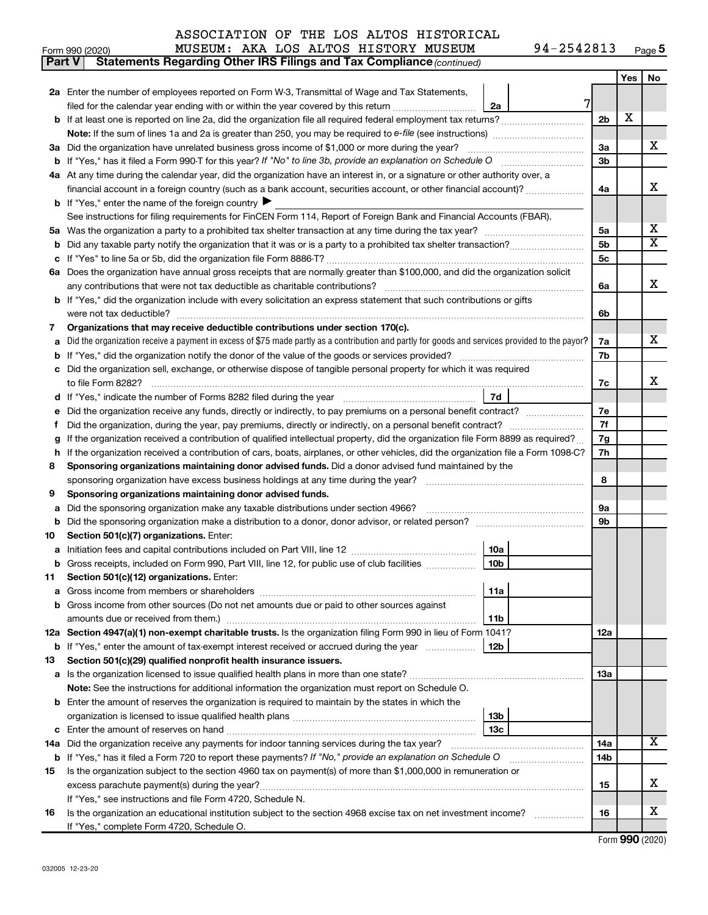| Form 990 (2020) | <b>MUSEUM:</b> | AKA |  |  | LOS ALTOS HISTORY MUSEUM |  | 94-2542813 | Page 5 |
|-----------------|----------------|-----|--|--|--------------------------|--|------------|--------|
|-----------------|----------------|-----|--|--|--------------------------|--|------------|--------|

| Part V | Statements Regarding Other IRS Filings and Tax Compliance (continued)                                                                           |                |     |                         |  |  |  |  |  |  |
|--------|-------------------------------------------------------------------------------------------------------------------------------------------------|----------------|-----|-------------------------|--|--|--|--|--|--|
|        |                                                                                                                                                 |                | Yes | No                      |  |  |  |  |  |  |
|        | 2a Enter the number of employees reported on Form W-3, Transmittal of Wage and Tax Statements,                                                  |                |     |                         |  |  |  |  |  |  |
|        | 7<br>filed for the calendar year ending with or within the year covered by this return<br>2a                                                    |                |     |                         |  |  |  |  |  |  |
| b      |                                                                                                                                                 | 2 <sub>b</sub> | х   |                         |  |  |  |  |  |  |
|        |                                                                                                                                                 |                |     |                         |  |  |  |  |  |  |
|        | 3a Did the organization have unrelated business gross income of \$1,000 or more during the year?                                                |                |     |                         |  |  |  |  |  |  |
| b      |                                                                                                                                                 | 3b             |     |                         |  |  |  |  |  |  |
|        | 4a At any time during the calendar year, did the organization have an interest in, or a signature or other authority over, a                    |                |     |                         |  |  |  |  |  |  |
|        | financial account in a foreign country (such as a bank account, securities account, or other financial account)?                                | 4a             |     | х                       |  |  |  |  |  |  |
|        | <b>b</b> If "Yes," enter the name of the foreign country $\blacktriangleright$                                                                  |                |     |                         |  |  |  |  |  |  |
|        | See instructions for filing requirements for FinCEN Form 114, Report of Foreign Bank and Financial Accounts (FBAR).                             |                |     |                         |  |  |  |  |  |  |
| 5a     |                                                                                                                                                 | 5a             |     | x                       |  |  |  |  |  |  |
| b      |                                                                                                                                                 | 5b             |     | $\overline{\mathtt{x}}$ |  |  |  |  |  |  |
| с      |                                                                                                                                                 | 5c             |     |                         |  |  |  |  |  |  |
|        | 6a Does the organization have annual gross receipts that are normally greater than \$100,000, and did the organization solicit                  |                |     |                         |  |  |  |  |  |  |
|        |                                                                                                                                                 | 6a             |     | x                       |  |  |  |  |  |  |
|        | If "Yes," did the organization include with every solicitation an express statement that such contributions or gifts                            |                |     |                         |  |  |  |  |  |  |
|        | were not tax deductible?                                                                                                                        | 6b             |     |                         |  |  |  |  |  |  |
| 7      | Organizations that may receive deductible contributions under section 170(c).                                                                   |                |     |                         |  |  |  |  |  |  |
| a      | Did the organization receive a payment in excess of \$75 made partly as a contribution and partly for goods and services provided to the payor? | 7a             |     | x                       |  |  |  |  |  |  |
| b      |                                                                                                                                                 | 7b             |     |                         |  |  |  |  |  |  |
|        | Did the organization sell, exchange, or otherwise dispose of tangible personal property for which it was required                               |                |     |                         |  |  |  |  |  |  |
|        |                                                                                                                                                 | 7c             |     | x                       |  |  |  |  |  |  |
| d      | 7d                                                                                                                                              |                |     |                         |  |  |  |  |  |  |
| е      | Did the organization receive any funds, directly or indirectly, to pay premiums on a personal benefit contract?                                 | 7е             |     |                         |  |  |  |  |  |  |
| f      |                                                                                                                                                 | 7f             |     |                         |  |  |  |  |  |  |
|        | If the organization received a contribution of qualified intellectual property, did the organization file Form 8899 as required?                | 7g             |     |                         |  |  |  |  |  |  |
| h      | If the organization received a contribution of cars, boats, airplanes, or other vehicles, did the organization file a Form 1098-C?              | 7h             |     |                         |  |  |  |  |  |  |
| 8      | Sponsoring organizations maintaining donor advised funds. Did a donor advised fund maintained by the                                            |                |     |                         |  |  |  |  |  |  |
|        | sponsoring organization have excess business holdings at any time during the year?                                                              | 8              |     |                         |  |  |  |  |  |  |
| 9      | Sponsoring organizations maintaining donor advised funds.                                                                                       |                |     |                         |  |  |  |  |  |  |
| а      | Did the sponsoring organization make any taxable distributions under section 4966?                                                              | 9а             |     |                         |  |  |  |  |  |  |
| b      |                                                                                                                                                 | 9b             |     |                         |  |  |  |  |  |  |
| 10     | Section 501(c)(7) organizations. Enter:                                                                                                         |                |     |                         |  |  |  |  |  |  |
| а      | 10a                                                                                                                                             |                |     |                         |  |  |  |  |  |  |
|        | 10 <sub>b</sub><br>Gross receipts, included on Form 990, Part VIII, line 12, for public use of club facilities                                  |                |     |                         |  |  |  |  |  |  |
| 11     | Section 501(c)(12) organizations. Enter:                                                                                                        |                |     |                         |  |  |  |  |  |  |
| а      | 11a                                                                                                                                             |                |     |                         |  |  |  |  |  |  |
| b      | Gross income from other sources (Do not net amounts due or paid to other sources against                                                        |                |     |                         |  |  |  |  |  |  |
|        | 11 <sub>b</sub>                                                                                                                                 |                |     |                         |  |  |  |  |  |  |
|        | 12a Section 4947(a)(1) non-exempt charitable trusts. Is the organization filing Form 990 in lieu of Form 1041?                                  | 12a            |     |                         |  |  |  |  |  |  |
|        | 12b<br><b>b</b> If "Yes," enter the amount of tax-exempt interest received or accrued during the year                                           |                |     |                         |  |  |  |  |  |  |
| 13     | Section 501(c)(29) qualified nonprofit health insurance issuers.                                                                                |                |     |                         |  |  |  |  |  |  |
|        | a Is the organization licensed to issue qualified health plans in more than one state?                                                          | 1За            |     |                         |  |  |  |  |  |  |
|        | Note: See the instructions for additional information the organization must report on Schedule O.                                               |                |     |                         |  |  |  |  |  |  |
| b      | Enter the amount of reserves the organization is required to maintain by the states in which the                                                |                |     |                         |  |  |  |  |  |  |
|        | 13 <sub>b</sub>                                                                                                                                 |                |     |                         |  |  |  |  |  |  |
| с      | 13 <sub>c</sub><br>Enter the amount of reserves on hand                                                                                         |                |     |                         |  |  |  |  |  |  |
| 14a    | Did the organization receive any payments for indoor tanning services during the tax year?                                                      | 14a            |     | х                       |  |  |  |  |  |  |
|        | <b>b</b> If "Yes," has it filed a Form 720 to report these payments? If "No," provide an explanation on Schedule O                              | 14b            |     |                         |  |  |  |  |  |  |
| 15     | Is the organization subject to the section 4960 tax on payment(s) of more than \$1,000,000 in remuneration or                                   |                |     |                         |  |  |  |  |  |  |
|        | excess parachute payment(s) during the year?                                                                                                    | 15             |     | х                       |  |  |  |  |  |  |
|        | If "Yes," see instructions and file Form 4720, Schedule N.                                                                                      |                |     |                         |  |  |  |  |  |  |
| 16     | Is the organization an educational institution subject to the section 4968 excise tax on net investment income?                                 | 16             |     | x                       |  |  |  |  |  |  |
|        | If "Yes," complete Form 4720, Schedule O.                                                                                                       |                |     |                         |  |  |  |  |  |  |

Form (2020) **990**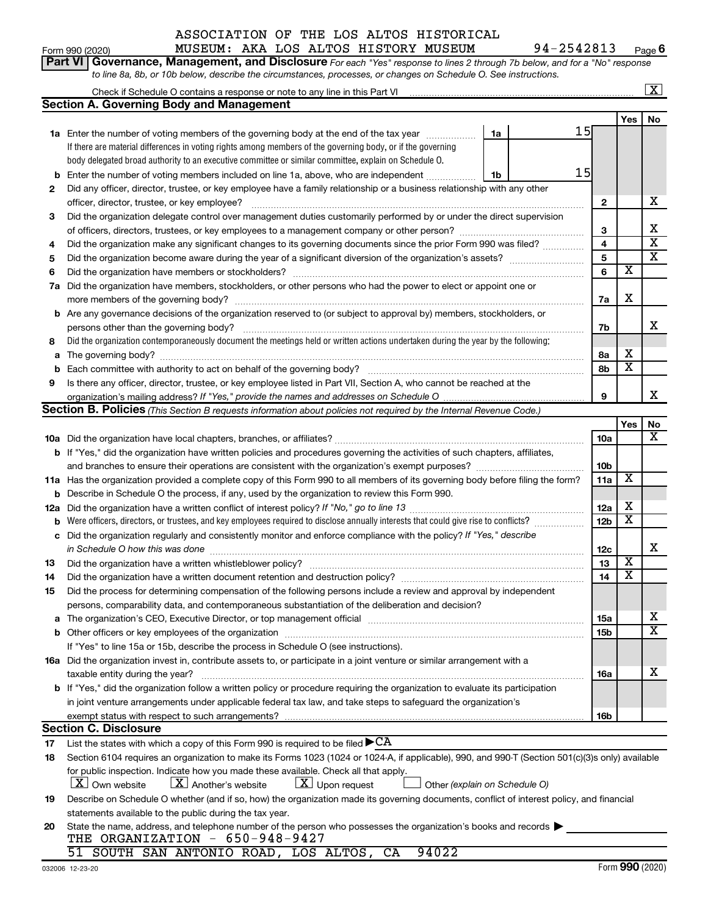|    | ASSOCIATION OF THE LOS ALTOS HISTORICAL                                                                                                           |                 |                         |                         |
|----|---------------------------------------------------------------------------------------------------------------------------------------------------|-----------------|-------------------------|-------------------------|
|    | 94-2542813<br>MUSEUM: AKA LOS ALTOS HISTORY MUSEUM<br>Form 990 (2020)                                                                             |                 |                         | Page 6                  |
|    | Governance, Management, and Disclosure For each "Yes" response to lines 2 through 7b below, and for a "No" response<br><b>Part VI</b>             |                 |                         |                         |
|    | to line 8a, 8b, or 10b below, describe the circumstances, processes, or changes on Schedule O. See instructions.                                  |                 |                         |                         |
|    |                                                                                                                                                   |                 |                         | $\overline{\mathbf{X}}$ |
|    | <b>Section A. Governing Body and Management</b>                                                                                                   |                 |                         |                         |
|    |                                                                                                                                                   |                 | Yes                     | No                      |
|    | 15<br>1a Enter the number of voting members of the governing body at the end of the tax year<br>1a                                                |                 |                         |                         |
|    | If there are material differences in voting rights among members of the governing body, or if the governing                                       |                 |                         |                         |
|    | body delegated broad authority to an executive committee or similar committee, explain on Schedule O.                                             |                 |                         |                         |
| b  | 15<br>Enter the number of voting members included on line 1a, above, who are independent<br>1b                                                    |                 |                         |                         |
| 2  | Did any officer, director, trustee, or key employee have a family relationship or a business relationship with any other                          |                 |                         |                         |
|    | officer, director, trustee, or key employee?                                                                                                      | $\mathbf{2}$    |                         | х                       |
|    |                                                                                                                                                   |                 |                         |                         |
| З  | Did the organization delegate control over management duties customarily performed by or under the direct supervision                             |                 |                         | х                       |
|    |                                                                                                                                                   | 3               |                         | $\overline{\textbf{x}}$ |
| 4  | Did the organization make any significant changes to its governing documents since the prior Form 990 was filed?                                  | 4               |                         | $\overline{\textbf{x}}$ |
| 5  |                                                                                                                                                   | 5               |                         |                         |
| 6  |                                                                                                                                                   | 6               | х                       |                         |
| 7a | Did the organization have members, stockholders, or other persons who had the power to elect or appoint one or                                    |                 |                         |                         |
|    |                                                                                                                                                   | 7a              | х                       |                         |
|    | <b>b</b> Are any governance decisions of the organization reserved to (or subject to approval by) members, stockholders, or                       |                 |                         |                         |
|    |                                                                                                                                                   | 7b              |                         | x                       |
| 8  | Did the organization contemporaneously document the meetings held or written actions undertaken during the year by the following:                 |                 |                         |                         |
| а  |                                                                                                                                                   | 8а              | х                       |                         |
| b  |                                                                                                                                                   | 8b              | $\overline{\textbf{x}}$ |                         |
| 9  | Is there any officer, director, trustee, or key employee listed in Part VII, Section A, who cannot be reached at the                              |                 |                         |                         |
|    |                                                                                                                                                   | 9               |                         | x                       |
|    | <b>Section B. Policies</b> (This Section B requests information about policies not required by the Internal Revenue Code.)                        |                 |                         |                         |
|    |                                                                                                                                                   |                 | Yes                     | No                      |
|    |                                                                                                                                                   | 10a             |                         | x                       |
|    | b If "Yes," did the organization have written policies and procedures governing the activities of such chapters, affiliates,                      |                 |                         |                         |
|    |                                                                                                                                                   | 10 <sub>b</sub> |                         |                         |
|    | 11a Has the organization provided a complete copy of this Form 990 to all members of its governing body before filing the form?                   | 11a             | х                       |                         |
|    | <b>b</b> Describe in Schedule O the process, if any, used by the organization to review this Form 990.                                            |                 |                         |                         |
|    |                                                                                                                                                   | 12a             | х                       |                         |
| b  | Were officers, directors, or trustees, and key employees required to disclose annually interests that could give rise to conflicts?               | 12 <sub>b</sub> | х                       |                         |
|    |                                                                                                                                                   |                 |                         |                         |
| c  | Did the organization regularly and consistently monitor and enforce compliance with the policy? If "Yes," describe                                |                 |                         |                         |
|    |                                                                                                                                                   | 12 <sub>c</sub> | х                       | ▵                       |
| 13 |                                                                                                                                                   | 13              | X                       |                         |
| 14 |                                                                                                                                                   | 14              |                         |                         |
| 15 | Did the process for determining compensation of the following persons include a review and approval by independent                                |                 |                         |                         |
|    | persons, comparability data, and contemporaneous substantiation of the deliberation and decision?                                                 |                 |                         |                         |
| а  |                                                                                                                                                   | 15a             |                         | x                       |
|    |                                                                                                                                                   | 15 <sub>b</sub> |                         | X                       |
|    | If "Yes" to line 15a or 15b, describe the process in Schedule O (see instructions).                                                               |                 |                         |                         |
|    | 16a Did the organization invest in, contribute assets to, or participate in a joint venture or similar arrangement with a                         |                 |                         |                         |
|    | taxable entity during the year?                                                                                                                   | 16a             |                         | х                       |
|    | <b>b</b> If "Yes," did the organization follow a written policy or procedure requiring the organization to evaluate its participation             |                 |                         |                         |
|    | in joint venture arrangements under applicable federal tax law, and take steps to safeguard the organization's                                    |                 |                         |                         |
|    | exempt status with respect to such arrangements?                                                                                                  | 16b             |                         |                         |
|    | <b>Section C. Disclosure</b>                                                                                                                      |                 |                         |                         |
| 17 | List the states with which a copy of this Form 990 is required to be filed $\blacktriangleright$ CA                                               |                 |                         |                         |
| 18 | Section 6104 requires an organization to make its Forms 1023 (1024 or 1024-A, if applicable), 990, and 990-T (Section 501(c)(3)s only) available  |                 |                         |                         |
|    | for public inspection. Indicate how you made these available. Check all that apply.                                                               |                 |                         |                         |
|    | $\lfloor x \rfloor$ Another's website<br>$\lfloor x \rfloor$ Upon request<br>$\lfloor X \rfloor$ Own website<br>Other (explain on Schedule O)     |                 |                         |                         |
|    | Describe on Schedule O whether (and if so, how) the organization made its governing documents, conflict of interest policy, and financial         |                 |                         |                         |
| 19 |                                                                                                                                                   |                 |                         |                         |
|    | statements available to the public during the tax year.                                                                                           |                 |                         |                         |
| 20 | State the name, address, and telephone number of the person who possesses the organization's books and records<br>THE ORGANIZATION - 650-948-9427 |                 |                         |                         |
|    | 94022                                                                                                                                             |                 |                         |                         |
|    | 51 SOUTH SAN ANTONIO ROAD, LOS ALTOS, CA                                                                                                          |                 |                         |                         |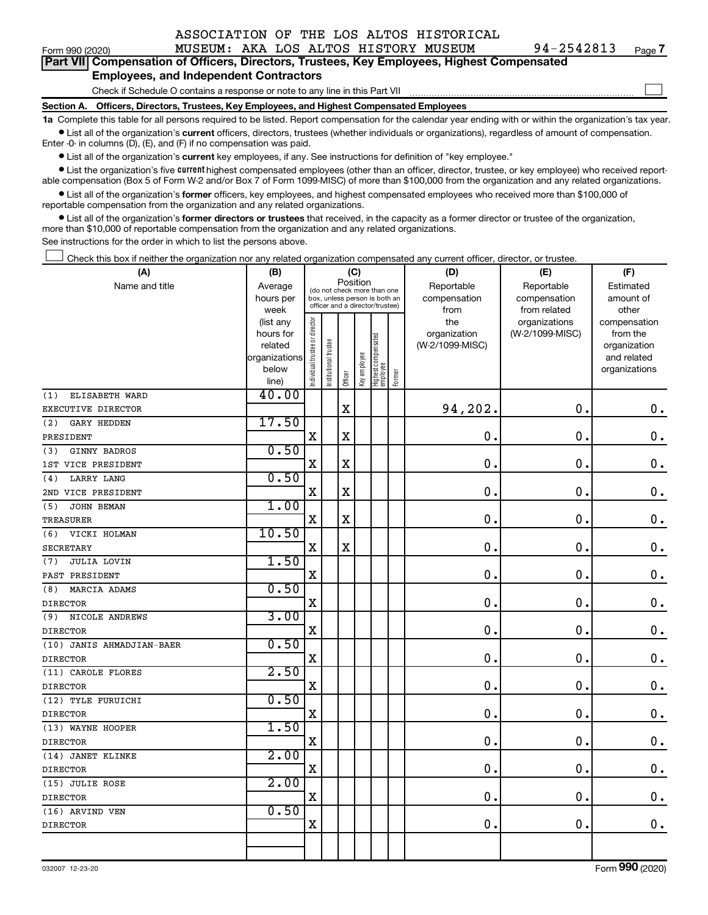| ASSOCIATION OF THE LOS ALTOS HISTORICAL |  |  |  |
|-----------------------------------------|--|--|--|
|                                         |  |  |  |

| Form 990 (2020) |  |  | MUSEUM: AKA LOS ALTOS HISTORY MUSEUM |  |  |  |  |  | 94-2542813 | Page 7 |
|-----------------|--|--|--------------------------------------|--|--|--|--|--|------------|--------|
|-----------------|--|--|--------------------------------------|--|--|--|--|--|------------|--------|

 $\Box$ 

| -------------- |                                                                                            |
|----------------|--------------------------------------------------------------------------------------------|
|                | Part VII Compensation of Officers, Directors, Trustees, Key Employees, Highest Compensated |
|                | <b>Employees, and Independent Contractors</b>                                              |

Check if Schedule O contains a response or note to any line in this Part VII

**Section A. Officers, Directors, Trustees, Key Employees, and Highest Compensated Employees**

**1a**  Complete this table for all persons required to be listed. Report compensation for the calendar year ending with or within the organization's tax year.  $\bullet$  List all of the organization's current officers, directors, trustees (whether individuals or organizations), regardless of amount of compensation.

Enter -0- in columns (D), (E), and (F) if no compensation was paid.

**•** List all of the organization's current key employees, if any. See instructions for definition of "key employee."

• List the organization's five *current* highest compensated employees (other than an officer, director, trustee, or key employee) who received reportable compensation (Box 5 of Form W-2 and/or Box 7 of Form 1099-MISC) of more than \$100,000 from the organization and any related organizations.

 $\bullet$  List all of the organization's former officers, key employees, and highest compensated employees who received more than \$100,000 of reportable compensation from the organization and any related organizations.

**•** List all of the organization's former directors or trustees that received, in the capacity as a former director or trustee of the organization, more than \$10,000 of reportable compensation from the organization and any related organizations.

See instructions for the order in which to list the persons above.

Check this box if neither the organization nor any related organization compensated any current officer, director, or trustee.  $\Box$ 

| (A)                       | (B)                      |                                         |                                                                  | (C)         |              |                                 |        | (D)             | (E)             | (F)                         |
|---------------------------|--------------------------|-----------------------------------------|------------------------------------------------------------------|-------------|--------------|---------------------------------|--------|-----------------|-----------------|-----------------------------|
| Name and title            | Average                  | Position<br>(do not check more than one |                                                                  |             |              |                                 |        | Reportable      | Reportable      | Estimated                   |
|                           | hours per                |                                         | box, unless person is both an<br>officer and a director/trustee) |             |              |                                 |        | compensation    | compensation    | amount of                   |
|                           | week                     |                                         |                                                                  |             |              |                                 |        | from            | from related    | other                       |
|                           | (list any                |                                         |                                                                  |             |              |                                 |        | the             | organizations   | compensation                |
|                           | hours for                |                                         |                                                                  |             |              |                                 |        | organization    | (W-2/1099-MISC) | from the                    |
|                           | related<br>organizations |                                         |                                                                  |             |              |                                 |        | (W-2/1099-MISC) |                 | organization<br>and related |
|                           | below                    |                                         |                                                                  |             |              |                                 |        |                 |                 | organizations               |
|                           | line)                    | ndividual trustee or director           | Institutional trustee                                            | Officer     | Key employee | Highest compensated<br>employee | Former |                 |                 |                             |
| ELISABETH WARD<br>(1)     | 40.00                    |                                         |                                                                  |             |              |                                 |        |                 |                 |                             |
| EXECUTIVE DIRECTOR        |                          |                                         |                                                                  | $\mathbf X$ |              |                                 |        | 94,202.         | $\mathbf 0$ .   | $\mathbf 0$ .               |
| (2)<br>GARY HEDDEN        | 17.50                    |                                         |                                                                  |             |              |                                 |        |                 |                 |                             |
| PRESIDENT                 |                          | X                                       |                                                                  | X           |              |                                 |        | 0.              | $\mathbf 0$     | $\mathbf 0$ .               |
| GINNY BADROS<br>(3)       | 0.50                     |                                         |                                                                  |             |              |                                 |        |                 |                 |                             |
| 1ST VICE PRESIDENT        |                          | X                                       |                                                                  | X           |              |                                 |        | $\mathbf 0$ .   | $\mathbf 0$     | $\mathbf 0$ .               |
| LARRY LANG<br>(4)         | 0.50                     |                                         |                                                                  |             |              |                                 |        |                 |                 |                             |
| 2ND VICE PRESIDENT        |                          | X                                       |                                                                  | X           |              |                                 |        | 0.              | 0.              | $\mathbf 0$ .               |
| JOHN BEMAN<br>(5)         | 1.00                     |                                         |                                                                  |             |              |                                 |        |                 |                 |                             |
| TREASURER                 |                          | X                                       |                                                                  | X           |              |                                 |        | $\mathbf 0$ .   | $\mathbf 0$ .   | $\mathbf 0$ .               |
| (6)<br>VICKI HOLMAN       | 10.50                    |                                         |                                                                  |             |              |                                 |        |                 |                 |                             |
| SECRETARY                 |                          | X                                       |                                                                  | X           |              |                                 |        | 0.              | $\mathbf 0$ .   | $\mathbf 0$ .               |
| JULIA LOVIN<br>(7)        | 1.50                     |                                         |                                                                  |             |              |                                 |        |                 |                 |                             |
| PAST PRESIDENT            |                          | X                                       |                                                                  |             |              |                                 |        | $\mathbf 0$ .   | $\mathbf 0$     | $\mathbf 0$ .               |
| MARCIA ADAMS<br>(8)       | 0.50                     |                                         |                                                                  |             |              |                                 |        |                 |                 |                             |
| <b>DIRECTOR</b>           |                          | X                                       |                                                                  |             |              |                                 |        | $\mathbf 0$ .   | $\mathbf 0$ .   | $\mathbf 0$ .               |
| NICOLE ANDREWS<br>(9)     | 3.00                     |                                         |                                                                  |             |              |                                 |        |                 |                 |                             |
| <b>DIRECTOR</b>           |                          | X                                       |                                                                  |             |              |                                 |        | $\mathbf 0$ .   | $\mathbf 0$ .   | $\mathbf 0$ .               |
| (10) JANIS AHMADJIAN-BAER | 0.50                     |                                         |                                                                  |             |              |                                 |        |                 |                 |                             |
| <b>DIRECTOR</b>           |                          | X                                       |                                                                  |             |              |                                 |        | $\mathbf 0$ .   | $\mathbf 0$ .   | $\mathbf 0$ .               |
| (11) CAROLE FLORES        | 2.50                     |                                         |                                                                  |             |              |                                 |        |                 |                 |                             |
| <b>DIRECTOR</b>           |                          | X                                       |                                                                  |             |              |                                 |        | $\mathbf 0$ .   | $\mathbf 0$ .   | $\mathbf 0$ .               |
| (12) TYLE FURUICHI        | 0.50                     |                                         |                                                                  |             |              |                                 |        |                 |                 |                             |
| <b>DIRECTOR</b>           |                          | X                                       |                                                                  |             |              |                                 |        | 0.              | О.              | $\mathbf 0$ .               |
| (13) WAYNE HOOPER         | 1.50                     |                                         |                                                                  |             |              |                                 |        |                 |                 |                             |
| <b>DIRECTOR</b>           |                          | $\mathbf X$                             |                                                                  |             |              |                                 |        | 0.              | О.              | $\mathbf 0$ .               |
| (14) JANET KLINKE         | 2.00                     |                                         |                                                                  |             |              |                                 |        |                 |                 |                             |
| <b>DIRECTOR</b>           |                          | X                                       |                                                                  |             |              |                                 |        | 0.              | $\mathbf 0$ .   | $\mathbf 0$ .               |
| (15) JULIE ROSE           | 2.00                     |                                         |                                                                  |             |              |                                 |        |                 |                 |                             |
| <b>DIRECTOR</b>           |                          | $\mathbf x$                             |                                                                  |             |              |                                 |        | 0.              | $\mathbf 0$ .   | $\mathbf 0$ .               |
| (16) ARVIND VEN           | 0.50                     |                                         |                                                                  |             |              |                                 |        |                 |                 |                             |
| <b>DIRECTOR</b>           |                          | $\mathbf x$                             |                                                                  |             |              |                                 |        | 0.              | $\mathbf 0$ .   | $0$ .                       |
|                           |                          |                                         |                                                                  |             |              |                                 |        |                 |                 |                             |
|                           |                          |                                         |                                                                  |             |              |                                 |        |                 |                 |                             |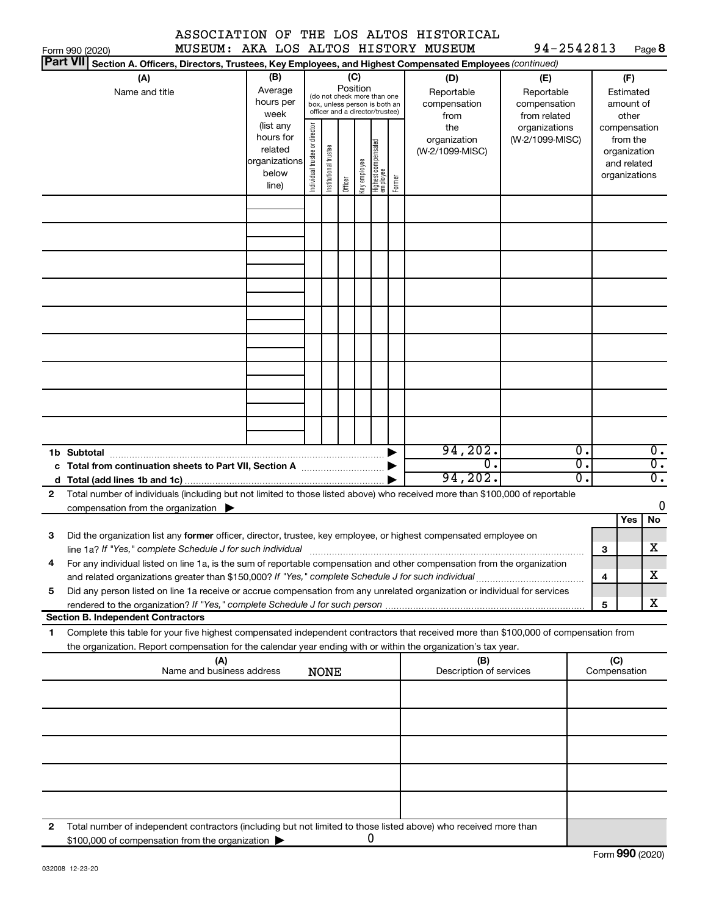|               |  |  | ASSOCIATION OF THE LOS ALTOS HISTORICAL |
|---------------|--|--|-----------------------------------------|
| ,,,,,,,,,,,,, |  |  |                                         |

 $94 - 2542813$  Page 8

|              | Form 990 (2020)                                                                                                                                                                                                                                                                                                                                    |                                                                      |                                |                                                                                                 |         |              |                                  |        | MUSEUM: AKA LOS ALTOS HISTORY MUSEUM      | 94-2542813                                        |                        |                     |                                                          | Page 8                               |
|--------------|----------------------------------------------------------------------------------------------------------------------------------------------------------------------------------------------------------------------------------------------------------------------------------------------------------------------------------------------------|----------------------------------------------------------------------|--------------------------------|-------------------------------------------------------------------------------------------------|---------|--------------|----------------------------------|--------|-------------------------------------------|---------------------------------------------------|------------------------|---------------------|----------------------------------------------------------|--------------------------------------|
|              | <b>Part VII</b><br>Section A. Officers, Directors, Trustees, Key Employees, and Highest Compensated Employees (continued)                                                                                                                                                                                                                          |                                                                      |                                |                                                                                                 |         |              |                                  |        |                                           |                                                   |                        |                     |                                                          |                                      |
|              | (A)<br>Name and title                                                                                                                                                                                                                                                                                                                              | (B)<br>Average<br>hours per<br>week                                  |                                | (do not check more than one<br>box, unless person is both an<br>officer and a director/trustee) | (C)     | Position     |                                  |        | (D)<br>Reportable<br>compensation<br>from | (E)<br>Reportable<br>compensation<br>from related |                        |                     | (F)<br>Estimated<br>amount of<br>other                   |                                      |
|              |                                                                                                                                                                                                                                                                                                                                                    | (list any<br>hours for<br>related<br>organizations<br>below<br>line) | Individual trustee or director | Institutional trustee                                                                           | Officer | Key employee | Highest compensated<br> employee | Former | the<br>organization<br>(W-2/1099-MISC)    | organizations<br>(W-2/1099-MISC)                  |                        | compensation        | from the<br>organization<br>and related<br>organizations |                                      |
|              |                                                                                                                                                                                                                                                                                                                                                    |                                                                      |                                |                                                                                                 |         |              |                                  |        |                                           |                                                   |                        |                     |                                                          |                                      |
|              |                                                                                                                                                                                                                                                                                                                                                    |                                                                      |                                |                                                                                                 |         |              |                                  |        |                                           |                                                   |                        |                     |                                                          |                                      |
|              |                                                                                                                                                                                                                                                                                                                                                    |                                                                      |                                |                                                                                                 |         |              |                                  |        |                                           |                                                   |                        |                     |                                                          |                                      |
|              |                                                                                                                                                                                                                                                                                                                                                    |                                                                      |                                |                                                                                                 |         |              |                                  |        |                                           |                                                   |                        |                     |                                                          |                                      |
|              |                                                                                                                                                                                                                                                                                                                                                    |                                                                      |                                |                                                                                                 |         |              |                                  |        |                                           |                                                   |                        |                     |                                                          |                                      |
|              |                                                                                                                                                                                                                                                                                                                                                    |                                                                      |                                |                                                                                                 |         |              |                                  |        |                                           |                                                   |                        |                     |                                                          |                                      |
|              |                                                                                                                                                                                                                                                                                                                                                    |                                                                      |                                |                                                                                                 |         |              |                                  |        |                                           |                                                   |                        |                     |                                                          |                                      |
|              |                                                                                                                                                                                                                                                                                                                                                    |                                                                      |                                |                                                                                                 |         |              |                                  |        |                                           |                                                   |                        |                     |                                                          |                                      |
|              | 1b Subtotal                                                                                                                                                                                                                                                                                                                                        |                                                                      |                                |                                                                                                 |         |              |                                  |        | 94, 202.<br>σ.                            |                                                   | $\overline{0}$ .<br>σ. |                     |                                                          | $\overline{0}$ .<br>$\overline{0}$ . |
|              |                                                                                                                                                                                                                                                                                                                                                    |                                                                      |                                |                                                                                                 |         |              |                                  |        | 94, 202.                                  |                                                   | σ.                     |                     |                                                          | $\overline{0}$ .                     |
| $\mathbf{2}$ | Total number of individuals (including but not limited to those listed above) who received more than \$100,000 of reportable<br>compensation from the organization $\blacktriangleright$                                                                                                                                                           |                                                                      |                                |                                                                                                 |         |              |                                  |        |                                           |                                                   |                        |                     |                                                          | 0                                    |
| 3            | Did the organization list any former officer, director, trustee, key employee, or highest compensated employee on                                                                                                                                                                                                                                  |                                                                      |                                |                                                                                                 |         |              |                                  |        |                                           |                                                   |                        | 3                   | Yes                                                      | No<br>X                              |
|              | line 1a? If "Yes," complete Schedule J for such individual [11] manufacture manufacture in the set of the set o<br>For any individual listed on line 1a, is the sum of reportable compensation and other compensation from the organization<br>and related organizations greater than \$150,000? If "Yes," complete Schedule J for such individual |                                                                      |                                |                                                                                                 |         |              |                                  |        |                                           |                                                   |                        | 4                   |                                                          | х                                    |
| 5            | Did any person listed on line 1a receive or accrue compensation from any unrelated organization or individual for services                                                                                                                                                                                                                         |                                                                      |                                |                                                                                                 |         |              |                                  |        |                                           |                                                   |                        | 5                   |                                                          | х                                    |
|              | <b>Section B. Independent Contractors</b>                                                                                                                                                                                                                                                                                                          |                                                                      |                                |                                                                                                 |         |              |                                  |        |                                           |                                                   |                        |                     |                                                          |                                      |
| 1.           | Complete this table for your five highest compensated independent contractors that received more than \$100,000 of compensation from<br>the organization. Report compensation for the calendar year ending with or within the organization's tax year.                                                                                             |                                                                      |                                |                                                                                                 |         |              |                                  |        |                                           |                                                   |                        |                     |                                                          |                                      |
|              | (A)<br>Name and business address                                                                                                                                                                                                                                                                                                                   |                                                                      |                                | <b>NONE</b>                                                                                     |         |              |                                  |        | (B)<br>Description of services            |                                                   |                        | (C)<br>Compensation |                                                          |                                      |
|              |                                                                                                                                                                                                                                                                                                                                                    |                                                                      |                                |                                                                                                 |         |              |                                  |        |                                           |                                                   |                        |                     |                                                          |                                      |
|              |                                                                                                                                                                                                                                                                                                                                                    |                                                                      |                                |                                                                                                 |         |              |                                  |        |                                           |                                                   |                        |                     |                                                          |                                      |
|              |                                                                                                                                                                                                                                                                                                                                                    |                                                                      |                                |                                                                                                 |         |              |                                  |        |                                           |                                                   |                        |                     |                                                          |                                      |
|              |                                                                                                                                                                                                                                                                                                                                                    |                                                                      |                                |                                                                                                 |         |              |                                  |        |                                           |                                                   |                        |                     |                                                          |                                      |
| 2            | Total number of independent contractors (including but not limited to those listed above) who received more than<br>\$100,000 of compensation from the organization                                                                                                                                                                                |                                                                      |                                |                                                                                                 |         |              | 0                                |        |                                           |                                                   |                        |                     |                                                          |                                      |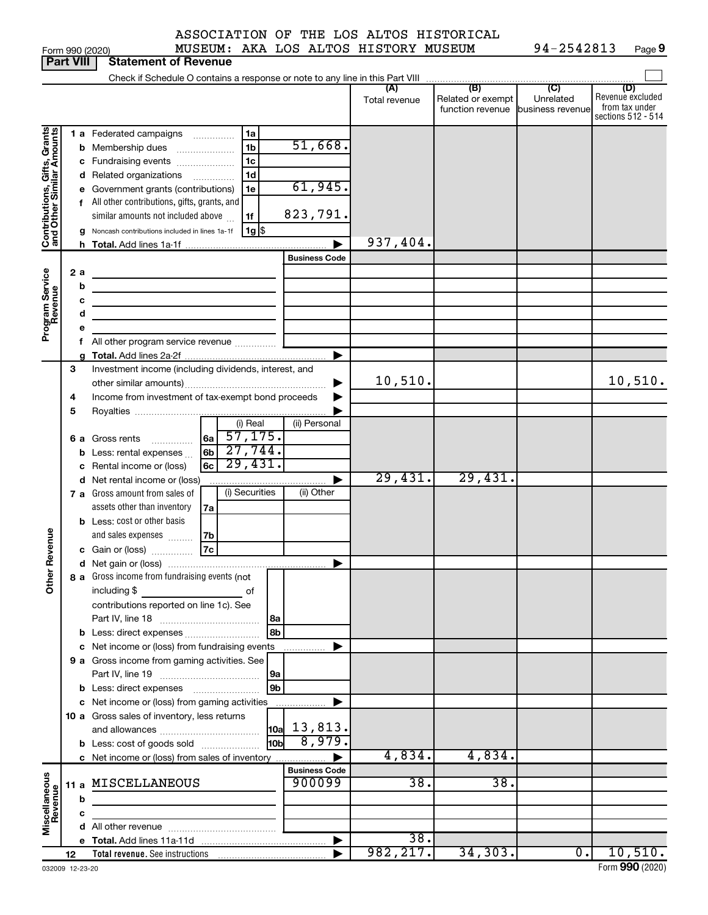| ASSOCIATION OF THE LOS ALTOS HISTORICAL |  |  |  |
|-----------------------------------------|--|--|--|
|                                         |  |  |  |

Form 990 (2020) MUSEUM: AKA LOS ALTOS HISTORY MUSEUM 94-2542813 Page **9**

|                              | Part VIII |   | Statement of Revenue                                                       |                      |               |                                   |           |                                      |
|------------------------------|-----------|---|----------------------------------------------------------------------------|----------------------|---------------|-----------------------------------|-----------|--------------------------------------|
|                              |           |   |                                                                            |                      | (A)           | (B)                               | (C)       | (D)                                  |
|                              |           |   |                                                                            |                      | Total revenue | Related or exempt                 | Unrelated | Revenue excluded                     |
|                              |           |   |                                                                            |                      |               | function revenue business revenue |           | from tax under<br>sections 512 - 514 |
|                              |           |   | 1a<br>1 a Federated campaigns                                              |                      |               |                                   |           |                                      |
|                              |           |   | 1 <sub>b</sub><br><b>b</b> Membership dues                                 | 51,668.              |               |                                   |           |                                      |
|                              |           |   | 1 <sub>c</sub><br>c Fundraising events                                     |                      |               |                                   |           |                                      |
|                              |           |   | 1 <sub>d</sub><br>d Related organizations                                  |                      |               |                                   |           |                                      |
| Contributions, Gifts, Grants |           |   | e Government grants (contributions)<br>1e                                  | 61,945.              |               |                                   |           |                                      |
|                              |           |   | f All other contributions, gifts, grants, and                              |                      |               |                                   |           |                                      |
|                              |           |   | similar amounts not included above<br>1f                                   | 823,791.             |               |                                   |           |                                      |
|                              |           |   | $1g$ \$<br>g Noncash contributions included in lines 1a-1f                 |                      |               |                                   |           |                                      |
|                              |           |   |                                                                            |                      | 937,404.      |                                   |           |                                      |
|                              |           |   |                                                                            | <b>Business Code</b> |               |                                   |           |                                      |
|                              | 2 a       |   |                                                                            |                      |               |                                   |           |                                      |
|                              |           | b |                                                                            |                      |               |                                   |           |                                      |
|                              |           | с |                                                                            |                      |               |                                   |           |                                      |
|                              |           | d | the control of the control of the control of the control of the control of |                      |               |                                   |           |                                      |
| Program Service<br>Revenue   |           | е |                                                                            |                      |               |                                   |           |                                      |
|                              |           |   |                                                                            |                      |               |                                   |           |                                      |
|                              | 3         |   | Investment income (including dividends, interest, and                      |                      |               |                                   |           |                                      |
|                              |           |   |                                                                            | ▶                    | 10,510.       |                                   |           | 10,510.                              |
|                              | 4         |   | Income from investment of tax-exempt bond proceeds                         | ▶                    |               |                                   |           |                                      |
|                              | 5         |   |                                                                            |                      |               |                                   |           |                                      |
|                              |           |   | (i) Real                                                                   | (ii) Personal        |               |                                   |           |                                      |
|                              |           |   | $ _{6a}$ 57, 175.<br>6 a Gross rents                                       |                      |               |                                   |           |                                      |
|                              |           |   | 27,744.<br>6 <sub>b</sub><br><b>b</b> Less: rental expenses $\ldots$       |                      |               |                                   |           |                                      |
|                              |           |   | 29,431.<br>6c<br>c Rental income or (loss)                                 |                      |               |                                   |           |                                      |
|                              |           |   | d Net rental income or (loss)                                              |                      | 29,431.       | 29,431.                           |           |                                      |
|                              |           |   | (i) Securities<br>7 a Gross amount from sales of                           | (ii) Other           |               |                                   |           |                                      |
|                              |           |   | assets other than inventory<br>7a                                          |                      |               |                                   |           |                                      |
|                              |           |   | <b>b</b> Less: cost or other basis                                         |                      |               |                                   |           |                                      |
|                              |           |   | and sales expenses<br>7b<br>$\overline{7c}$                                |                      |               |                                   |           |                                      |
| Revenue                      |           |   | c Gain or (loss)                                                           |                      |               |                                   |           |                                      |
| ৯                            |           |   | 8 a Gross income from fundraising events (not                              |                      |               |                                   |           |                                      |
| á                            |           |   | including \$<br>оf                                                         |                      |               |                                   |           |                                      |
|                              |           |   | contributions reported on line 1c). See                                    |                      |               |                                   |           |                                      |
|                              |           |   | 8a                                                                         |                      |               |                                   |           |                                      |
|                              |           |   | 8b<br>b Less: direct expenses                                              |                      |               |                                   |           |                                      |
|                              |           |   | c Net income or (loss) from fundraising events                             |                      |               |                                   |           |                                      |
|                              |           |   | 9 a Gross income from gaming activities. See                               |                      |               |                                   |           |                                      |
|                              |           |   | 9a                                                                         |                      |               |                                   |           |                                      |
|                              |           |   | 9 <sub>b</sub>                                                             |                      |               |                                   |           |                                      |
|                              |           |   | c Net income or (loss) from gaming activities                              |                      |               |                                   |           |                                      |
|                              |           |   | 10 a Gross sales of inventory, less returns                                |                      |               |                                   |           |                                      |
|                              |           |   | 10a                                                                        | 13,813.<br>8,979.    |               |                                   |           |                                      |
|                              |           |   | 10 <sub>b</sub><br><b>b</b> Less: cost of goods sold                       |                      | 4,834.        | 4,834.                            |           |                                      |
|                              |           |   | c Net income or (loss) from sales of inventory                             | <b>Business Code</b> |               |                                   |           |                                      |
| Miscellaneous<br>Revenue     | 11 a      |   | MISCELLANEOUS                                                              | 900099               | 38.           | 38.                               |           |                                      |
|                              |           | b |                                                                            |                      |               |                                   |           |                                      |
|                              |           | с |                                                                            |                      |               |                                   |           |                                      |
|                              |           |   |                                                                            |                      |               |                                   |           |                                      |
|                              |           |   |                                                                            |                      | 38.           |                                   |           |                                      |
|                              | 12        |   |                                                                            |                      | 982, 217.     | 34,303.                           | 0.        | 10,510.                              |

**Part 990 (2020)**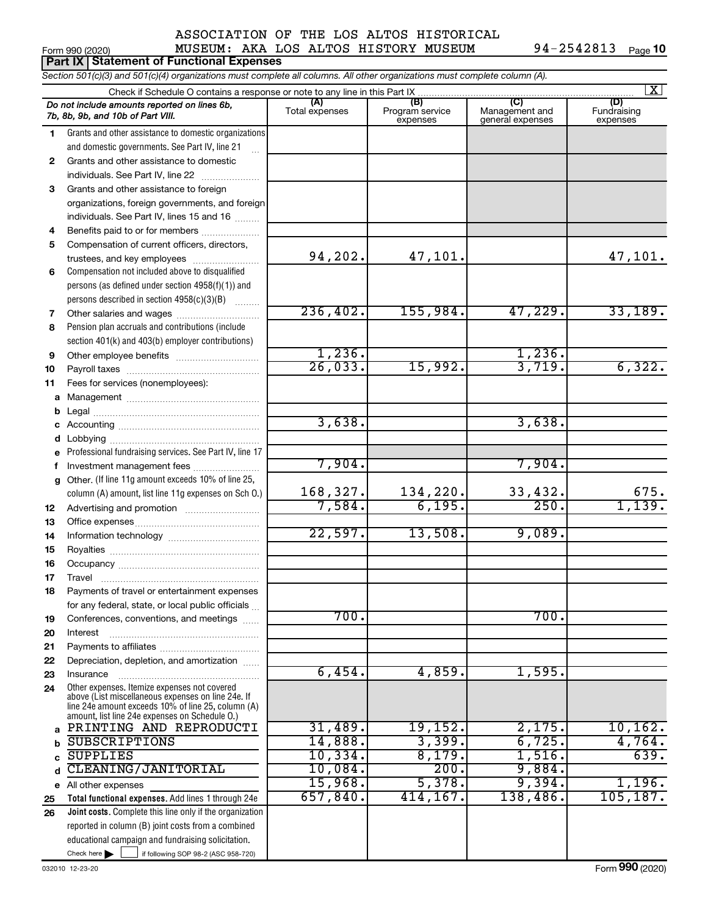## Form 990 (2020) Page MUSEUM: AKA LOS ALTOS HISTORY MUSEUM 94-2542813 ASSOCIATION OF THE LOS ALTOS HISTORICAL

| <b>Part IX Statement of Functional Expenses</b>                                                                            |                                                                                                                                                            |                       |                                    |                                           |                                |  |  |  |  |  |  |  |
|----------------------------------------------------------------------------------------------------------------------------|------------------------------------------------------------------------------------------------------------------------------------------------------------|-----------------------|------------------------------------|-------------------------------------------|--------------------------------|--|--|--|--|--|--|--|
| Section 501(c)(3) and 501(c)(4) organizations must complete all columns. All other organizations must complete column (A). |                                                                                                                                                            |                       |                                    |                                           |                                |  |  |  |  |  |  |  |
| $\overline{\mathbf{X}}$                                                                                                    |                                                                                                                                                            |                       |                                    |                                           |                                |  |  |  |  |  |  |  |
|                                                                                                                            | Do not include amounts reported on lines 6b,<br>7b, 8b, 9b, and 10b of Part VIII.                                                                          | (A)<br>Total expenses | (B)<br>Program service<br>expenses | (C)<br>Management and<br>general expenses | (D)<br>Fundraising<br>expenses |  |  |  |  |  |  |  |
| 1                                                                                                                          | Grants and other assistance to domestic organizations                                                                                                      |                       |                                    |                                           |                                |  |  |  |  |  |  |  |
|                                                                                                                            | and domestic governments. See Part IV, line 21                                                                                                             |                       |                                    |                                           |                                |  |  |  |  |  |  |  |
| 2                                                                                                                          | Grants and other assistance to domestic                                                                                                                    |                       |                                    |                                           |                                |  |  |  |  |  |  |  |
|                                                                                                                            | individuals. See Part IV, line 22                                                                                                                          |                       |                                    |                                           |                                |  |  |  |  |  |  |  |
| 3                                                                                                                          | Grants and other assistance to foreign                                                                                                                     |                       |                                    |                                           |                                |  |  |  |  |  |  |  |
|                                                                                                                            | organizations, foreign governments, and foreign                                                                                                            |                       |                                    |                                           |                                |  |  |  |  |  |  |  |
|                                                                                                                            | individuals. See Part IV, lines 15 and 16                                                                                                                  |                       |                                    |                                           |                                |  |  |  |  |  |  |  |
| 4                                                                                                                          | Benefits paid to or for members                                                                                                                            |                       |                                    |                                           |                                |  |  |  |  |  |  |  |
| 5                                                                                                                          | Compensation of current officers, directors,                                                                                                               |                       |                                    |                                           |                                |  |  |  |  |  |  |  |
|                                                                                                                            | trustees, and key employees                                                                                                                                | 94,202.               | 47,101.                            |                                           | 47,101.                        |  |  |  |  |  |  |  |
| 6                                                                                                                          | Compensation not included above to disqualified                                                                                                            |                       |                                    |                                           |                                |  |  |  |  |  |  |  |
|                                                                                                                            | persons (as defined under section 4958(f)(1)) and<br>persons described in section 4958(c)(3)(B)                                                            |                       |                                    |                                           |                                |  |  |  |  |  |  |  |
| 7                                                                                                                          |                                                                                                                                                            | 236, 402.             | 155,984.                           | 47,229.                                   | 33,189.                        |  |  |  |  |  |  |  |
| 8                                                                                                                          | Pension plan accruals and contributions (include                                                                                                           |                       |                                    |                                           |                                |  |  |  |  |  |  |  |
|                                                                                                                            | section 401(k) and 403(b) employer contributions)                                                                                                          |                       |                                    |                                           |                                |  |  |  |  |  |  |  |
| 9                                                                                                                          | Other employee benefits                                                                                                                                    | 1,236.                |                                    | 1,236.                                    |                                |  |  |  |  |  |  |  |
| 10                                                                                                                         |                                                                                                                                                            | 26,033.               | 15,992.                            | 3,719.                                    | 6,322.                         |  |  |  |  |  |  |  |
| 11                                                                                                                         | Fees for services (nonemployees):                                                                                                                          |                       |                                    |                                           |                                |  |  |  |  |  |  |  |
| a                                                                                                                          |                                                                                                                                                            |                       |                                    |                                           |                                |  |  |  |  |  |  |  |
| b                                                                                                                          |                                                                                                                                                            |                       |                                    |                                           |                                |  |  |  |  |  |  |  |
| С                                                                                                                          |                                                                                                                                                            | 3,638.                |                                    | 3,638.                                    |                                |  |  |  |  |  |  |  |
| d                                                                                                                          |                                                                                                                                                            |                       |                                    |                                           |                                |  |  |  |  |  |  |  |
| е                                                                                                                          | Professional fundraising services. See Part IV, line 17                                                                                                    |                       |                                    |                                           |                                |  |  |  |  |  |  |  |
| f.                                                                                                                         | Investment management fees                                                                                                                                 | 7,904.                |                                    | 7,904.                                    |                                |  |  |  |  |  |  |  |
|                                                                                                                            | g Other. (If line 11g amount exceeds 10% of line 25,                                                                                                       | 168,327.              | 134,220.                           | 33,432.                                   | 675.                           |  |  |  |  |  |  |  |
|                                                                                                                            | column (A) amount, list line 11g expenses on Sch O.)                                                                                                       | 7,584.                | 6,195.                             | 250.                                      | 1,139.                         |  |  |  |  |  |  |  |
| 12<br>13                                                                                                                   |                                                                                                                                                            |                       |                                    |                                           |                                |  |  |  |  |  |  |  |
| 14                                                                                                                         |                                                                                                                                                            | 22,597.               | 13,508.                            | 9,089.                                    |                                |  |  |  |  |  |  |  |
| 15                                                                                                                         |                                                                                                                                                            |                       |                                    |                                           |                                |  |  |  |  |  |  |  |
| 16                                                                                                                         |                                                                                                                                                            |                       |                                    |                                           |                                |  |  |  |  |  |  |  |
| 17                                                                                                                         | Travel                                                                                                                                                     |                       |                                    |                                           |                                |  |  |  |  |  |  |  |
| 18                                                                                                                         | Payments of travel or entertainment expenses                                                                                                               |                       |                                    |                                           |                                |  |  |  |  |  |  |  |
|                                                                                                                            | for any federal, state, or local public officials                                                                                                          |                       |                                    |                                           |                                |  |  |  |  |  |  |  |
| 19                                                                                                                         | Conferences, conventions, and meetings                                                                                                                     | 700.                  |                                    | 700.                                      |                                |  |  |  |  |  |  |  |
| 20                                                                                                                         | Interest                                                                                                                                                   |                       |                                    |                                           |                                |  |  |  |  |  |  |  |
| 21                                                                                                                         |                                                                                                                                                            |                       |                                    |                                           |                                |  |  |  |  |  |  |  |
| 22                                                                                                                         | Depreciation, depletion, and amortization                                                                                                                  | 6,454.                | 4,859.                             | 1,595.                                    |                                |  |  |  |  |  |  |  |
| 23<br>24                                                                                                                   | Insurance<br>Other expenses. Itemize expenses not covered                                                                                                  |                       |                                    |                                           |                                |  |  |  |  |  |  |  |
|                                                                                                                            | above (List miscellaneous expenses on line 24e. If<br>line 24e amount exceeds 10% of line 25, column (A)<br>amount. list line 24e expenses on Schedule O.) |                       |                                    |                                           |                                |  |  |  |  |  |  |  |
| a                                                                                                                          | PRINTING AND REPRODUCTI                                                                                                                                    | 31,489.               | 19,152.                            | 2,175.                                    | 10, 162.                       |  |  |  |  |  |  |  |
|                                                                                                                            | <b>SUBSCRIPTIONS</b>                                                                                                                                       | 14,888.               | 3,399.                             | 6,725.                                    | 4,764.                         |  |  |  |  |  |  |  |
|                                                                                                                            | <b>SUPPLIES</b>                                                                                                                                            | 10,334.               | 8,179.                             | 1,516.                                    | 639.                           |  |  |  |  |  |  |  |
| d                                                                                                                          | CLEANING/JANITORIAL                                                                                                                                        | 10,084.               | 200.                               | 9,884.                                    |                                |  |  |  |  |  |  |  |
| е                                                                                                                          | All other expenses                                                                                                                                         | 15,968.               | 5,378.                             | 9,394.                                    | 1,196.                         |  |  |  |  |  |  |  |
| 25                                                                                                                         | Total functional expenses. Add lines 1 through 24e                                                                                                         | 657,840.              | 414,167.                           | 138,486.                                  | 105, 187.                      |  |  |  |  |  |  |  |
| 26                                                                                                                         | Joint costs. Complete this line only if the organization                                                                                                   |                       |                                    |                                           |                                |  |  |  |  |  |  |  |
|                                                                                                                            | reported in column (B) joint costs from a combined                                                                                                         |                       |                                    |                                           |                                |  |  |  |  |  |  |  |
|                                                                                                                            | educational campaign and fundraising solicitation.                                                                                                         |                       |                                    |                                           |                                |  |  |  |  |  |  |  |

Check here |

Check here  $\begin{array}{c} \begin{array}{|c} \hline \end{array} \end{array}$  if following SOP 98-2 (ASC 958-720)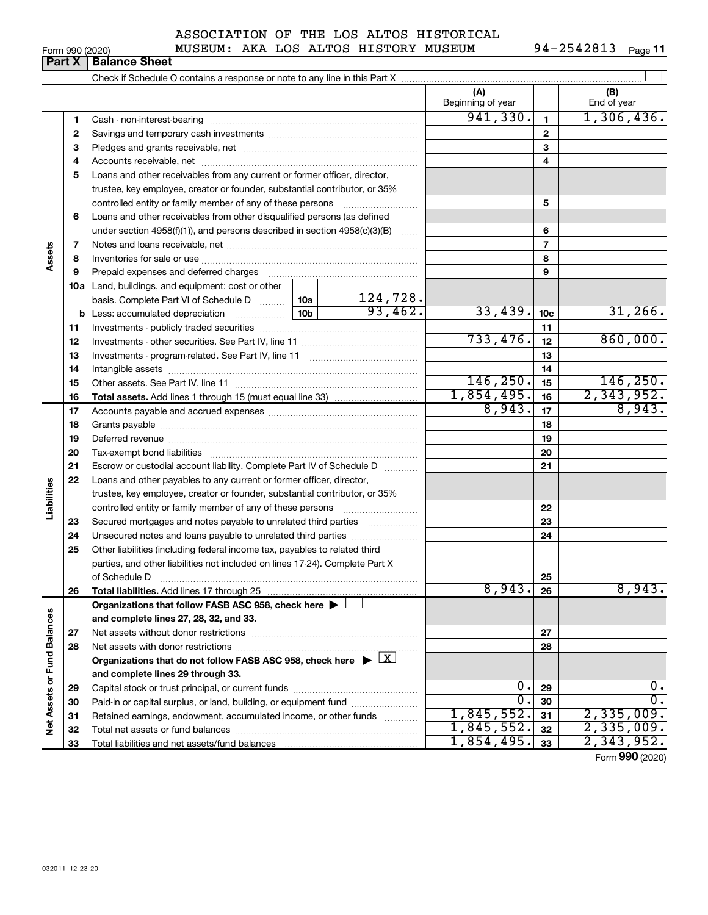|              |  |  | ASSOCIATION OF THE LOS ALTOS HISTORICAL  |
|--------------|--|--|------------------------------------------|
| ,,,,,,,,,,,, |  |  | AILATHA I AG AI MAG ILI GMADIL ALILATINI |

|                                                                                                                                                                                                                                                                                                                                                                                      |                                      |  |  | ASSUCIATION OF THE LOS ALTOS HISTORICAL |            |            |
|--------------------------------------------------------------------------------------------------------------------------------------------------------------------------------------------------------------------------------------------------------------------------------------------------------------------------------------------------------------------------------------|--------------------------------------|--|--|-----------------------------------------|------------|------------|
| Form 990 (2020)                                                                                                                                                                                                                                                                                                                                                                      | MUSEUM: AKA LOS ALTOS HISTORY MUSEUM |  |  |                                         | 94-2542813 | Page $1^+$ |
| $\overline{a}$ $\overline{b}$ $\overline{c}$ $\overline{c}$ $\overline{d}$ $\overline{c}$ $\overline{c}$ $\overline{c}$ $\overline{c}$ $\overline{c}$ $\overline{c}$ $\overline{c}$ $\overline{c}$ $\overline{c}$ $\overline{c}$ $\overline{c}$ $\overline{c}$ $\overline{c}$ $\overline{c}$ $\overline{c}$ $\overline{c}$ $\overline{c}$ $\overline{c}$ $\overline{c}$ $\overline{$ |                                      |  |  |                                         |            |            |

|                             |              |                                                                                                                                      |                 |                          | (A)<br>Beginning of year |                 | (B)<br>End of year |
|-----------------------------|--------------|--------------------------------------------------------------------------------------------------------------------------------------|-----------------|--------------------------|--------------------------|-----------------|--------------------|
|                             | 1            |                                                                                                                                      |                 |                          | 941,330.                 | $\mathbf{1}$    | 1,306,436.         |
|                             | $\mathbf{2}$ |                                                                                                                                      |                 |                          |                          | $\mathbf{2}$    |                    |
|                             | з            |                                                                                                                                      |                 |                          |                          | 3               |                    |
|                             | 4            |                                                                                                                                      |                 |                          |                          | 4               |                    |
|                             | 5            | Loans and other receivables from any current or former officer, director,                                                            |                 |                          |                          |                 |                    |
|                             |              | trustee, key employee, creator or founder, substantial contributor, or 35%                                                           |                 |                          |                          |                 |                    |
|                             |              | controlled entity or family member of any of these persons                                                                           |                 |                          |                          | 5               |                    |
|                             | 6            | Loans and other receivables from other disqualified persons (as defined                                                              |                 |                          |                          |                 |                    |
|                             |              | under section $4958(f)(1)$ , and persons described in section $4958(c)(3)(B)$                                                        |                 |                          |                          | 6               |                    |
|                             | 7            |                                                                                                                                      |                 |                          |                          | $\overline{7}$  |                    |
| Assets                      | 8            |                                                                                                                                      |                 |                          |                          | 8               |                    |
|                             | 9            | Prepaid expenses and deferred charges                                                                                                |                 |                          | 9                        |                 |                    |
|                             |              | 10a Land, buildings, and equipment: cost or other                                                                                    |                 |                          |                          |                 |                    |
|                             |              | basis. Complete Part VI of Schedule D  10a                                                                                           |                 | $\frac{124,728}{93,462}$ |                          |                 |                    |
|                             |              | <b>b</b> Less: accumulated depreciation                                                                                              | 10 <sub>b</sub> |                          | 33,439.                  | 10 <sub>c</sub> | 31,266.            |
|                             | 11           |                                                                                                                                      |                 |                          | 11                       |                 |                    |
|                             | 12           |                                                                                                                                      |                 | 733,476.                 | 12                       | 860,000.        |                    |
|                             | 13           |                                                                                                                                      |                 |                          | 13                       |                 |                    |
|                             | 14           |                                                                                                                                      |                 |                          | 14                       |                 |                    |
|                             | 15           |                                                                                                                                      |                 |                          | 146, 250.                | 15              | 146, 250.          |
|                             | 16           |                                                                                                                                      |                 | 1,854,495.               | 16                       | 2,343,952.      |                    |
|                             | 17           |                                                                                                                                      |                 |                          | 8,943.                   | 17              | 8,943.             |
|                             | 18           |                                                                                                                                      |                 | 18                       |                          |                 |                    |
|                             | 19           |                                                                                                                                      |                 |                          |                          | 19              |                    |
|                             | 20           |                                                                                                                                      |                 |                          |                          | 20              |                    |
|                             | 21           | Escrow or custodial account liability. Complete Part IV of Schedule D                                                                |                 |                          |                          | 21              |                    |
|                             | 22           | Loans and other payables to any current or former officer, director,                                                                 |                 |                          |                          |                 |                    |
| Liabilities                 |              | trustee, key employee, creator or founder, substantial contributor, or 35%                                                           |                 |                          |                          |                 |                    |
|                             |              | controlled entity or family member of any of these persons [                                                                         |                 |                          |                          | 22              |                    |
|                             | 23           | Secured mortgages and notes payable to unrelated third parties                                                                       |                 |                          |                          | 23              |                    |
|                             | 24           | Unsecured notes and loans payable to unrelated third parties                                                                         |                 |                          |                          | 24              |                    |
|                             | 25           | Other liabilities (including federal income tax, payables to related third                                                           |                 |                          |                          |                 |                    |
|                             |              | parties, and other liabilities not included on lines 17-24). Complete Part X                                                         |                 |                          |                          |                 |                    |
|                             |              |                                                                                                                                      |                 |                          |                          | 25              |                    |
|                             | 26           |                                                                                                                                      |                 |                          | 8,943.                   | 26              | 8,943.             |
|                             |              | Organizations that follow FASB ASC 958, check here $\blacktriangleright$                                                             |                 |                          |                          |                 |                    |
|                             |              | and complete lines 27, 28, 32, and 33.                                                                                               |                 |                          |                          |                 |                    |
|                             | 27           |                                                                                                                                      |                 |                          | 27                       |                 |                    |
|                             | 28           |                                                                                                                                      |                 | 28                       |                          |                 |                    |
|                             |              | Organizations that do not follow FASB ASC 958, check here $\blacktriangleright \lfloor X \rfloor$                                    |                 |                          |                          |                 |                    |
|                             |              | and complete lines 29 through 33.                                                                                                    |                 | 0.                       |                          | 0.              |                    |
|                             | 29           |                                                                                                                                      |                 |                          | Ο.                       | 29<br>30        | $\overline{0}$ .   |
| Net Assets or Fund Balances | 30           | Paid-in or capital surplus, or land, building, or equipment fund<br>Retained earnings, endowment, accumulated income, or other funds |                 |                          | 1,845,552.               | 31              | 2,335,009.         |
|                             | 31<br>32     |                                                                                                                                      |                 |                          | 1,845,552.               | 32              | 2,335,009.         |
|                             | 33           |                                                                                                                                      | 1,854,495.      | 33                       | 2,343,952.               |                 |                    |
|                             |              |                                                                                                                                      |                 |                          |                          |                 |                    |

Form (2020) **990**

## **Part X Balance Sheet**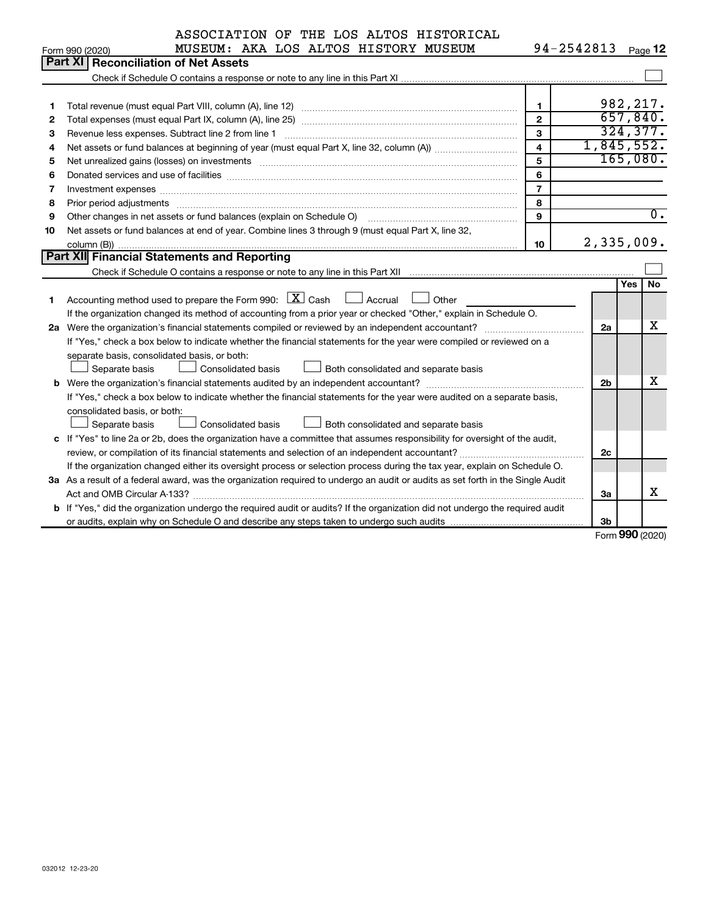|                                                                                                                           | ASSOCIATION OF THE LOS ALTOS HISTORICAL                                                                                         |                |                       |     |                  |  |  |  |  |  |  |
|---------------------------------------------------------------------------------------------------------------------------|---------------------------------------------------------------------------------------------------------------------------------|----------------|-----------------------|-----|------------------|--|--|--|--|--|--|
|                                                                                                                           | MUSEUM: AKA LOS ALTOS HISTORY MUSEUM<br>Form 990 (2020)                                                                         |                | 94-2542813            |     | Page 12          |  |  |  |  |  |  |
|                                                                                                                           | <b>Part XI</b><br><b>Reconciliation of Net Assets</b>                                                                           |                |                       |     |                  |  |  |  |  |  |  |
|                                                                                                                           |                                                                                                                                 |                |                       |     |                  |  |  |  |  |  |  |
|                                                                                                                           |                                                                                                                                 |                |                       |     |                  |  |  |  |  |  |  |
| 1                                                                                                                         |                                                                                                                                 | 1.             | 982, 217.<br>657,840. |     |                  |  |  |  |  |  |  |
| $\overline{2}$<br>2                                                                                                       |                                                                                                                                 |                |                       |     |                  |  |  |  |  |  |  |
| $\mathbf{3}$<br>3<br>Revenue less expenses. Subtract line 2 from line 1                                                   |                                                                                                                                 |                |                       |     |                  |  |  |  |  |  |  |
| 4                                                                                                                         |                                                                                                                                 | $\overline{4}$ | 1,845,552.            |     |                  |  |  |  |  |  |  |
| 5                                                                                                                         |                                                                                                                                 | 5              | 165,080.              |     |                  |  |  |  |  |  |  |
| 6                                                                                                                         |                                                                                                                                 | 6              |                       |     |                  |  |  |  |  |  |  |
| 7                                                                                                                         |                                                                                                                                 | $\overline{7}$ |                       |     |                  |  |  |  |  |  |  |
| 8                                                                                                                         | Prior period adjustments www.communication.communication.com/news/communication.com/news/communication.com/new                  | 8              |                       |     |                  |  |  |  |  |  |  |
| 9                                                                                                                         | Other changes in net assets or fund balances (explain on Schedule O)                                                            | $\mathbf{9}$   |                       |     | $\overline{0}$ . |  |  |  |  |  |  |
| 10                                                                                                                        | Net assets or fund balances at end of year. Combine lines 3 through 9 (must equal Part X, line 32,                              |                |                       |     |                  |  |  |  |  |  |  |
| 2,335,009.<br>10                                                                                                          |                                                                                                                                 |                |                       |     |                  |  |  |  |  |  |  |
| <b>Part XII Financial Statements and Reporting</b>                                                                        |                                                                                                                                 |                |                       |     |                  |  |  |  |  |  |  |
|                                                                                                                           |                                                                                                                                 |                |                       |     | No               |  |  |  |  |  |  |
| 1                                                                                                                         | Accounting method used to prepare the Form 990: $X \subset X$ Cash<br>$\Box$ Accrual<br>Other                                   |                |                       | Yes |                  |  |  |  |  |  |  |
|                                                                                                                           | If the organization changed its method of accounting from a prior year or checked "Other," explain in Schedule O.               |                |                       |     |                  |  |  |  |  |  |  |
| 2a                                                                                                                        |                                                                                                                                 |                | 2a                    |     | X                |  |  |  |  |  |  |
|                                                                                                                           | If "Yes," check a box below to indicate whether the financial statements for the year were compiled or reviewed on a            |                |                       |     |                  |  |  |  |  |  |  |
|                                                                                                                           | separate basis, consolidated basis, or both:                                                                                    |                |                       |     |                  |  |  |  |  |  |  |
|                                                                                                                           | <b>Consolidated basis</b><br>Separate basis<br>Both consolidated and separate basis                                             |                |                       |     |                  |  |  |  |  |  |  |
|                                                                                                                           | <b>b</b> Were the organization's financial statements audited by an independent accountant?                                     |                | 2 <sub>b</sub>        |     | x                |  |  |  |  |  |  |
|                                                                                                                           | If "Yes," check a box below to indicate whether the financial statements for the year were audited on a separate basis,         |                |                       |     |                  |  |  |  |  |  |  |
|                                                                                                                           | consolidated basis, or both:                                                                                                    |                |                       |     |                  |  |  |  |  |  |  |
|                                                                                                                           | Separate basis<br>Both consolidated and separate basis<br><b>Consolidated basis</b>                                             |                |                       |     |                  |  |  |  |  |  |  |
|                                                                                                                           | c If "Yes" to line 2a or 2b, does the organization have a committee that assumes responsibility for oversight of the audit,     |                |                       |     |                  |  |  |  |  |  |  |
| 2c                                                                                                                        |                                                                                                                                 |                |                       |     |                  |  |  |  |  |  |  |
| If the organization changed either its oversight process or selection process during the tax year, explain on Schedule O. |                                                                                                                                 |                |                       |     |                  |  |  |  |  |  |  |
|                                                                                                                           | 3a As a result of a federal award, was the organization required to undergo an audit or audits as set forth in the Single Audit |                |                       |     |                  |  |  |  |  |  |  |
|                                                                                                                           |                                                                                                                                 |                | За                    |     | X                |  |  |  |  |  |  |
|                                                                                                                           | b If "Yes," did the organization undergo the required audit or audits? If the organization did not undergo the required audit   |                |                       |     |                  |  |  |  |  |  |  |
|                                                                                                                           |                                                                                                                                 |                | 3 <sub>b</sub>        |     |                  |  |  |  |  |  |  |

Form (2020) **990**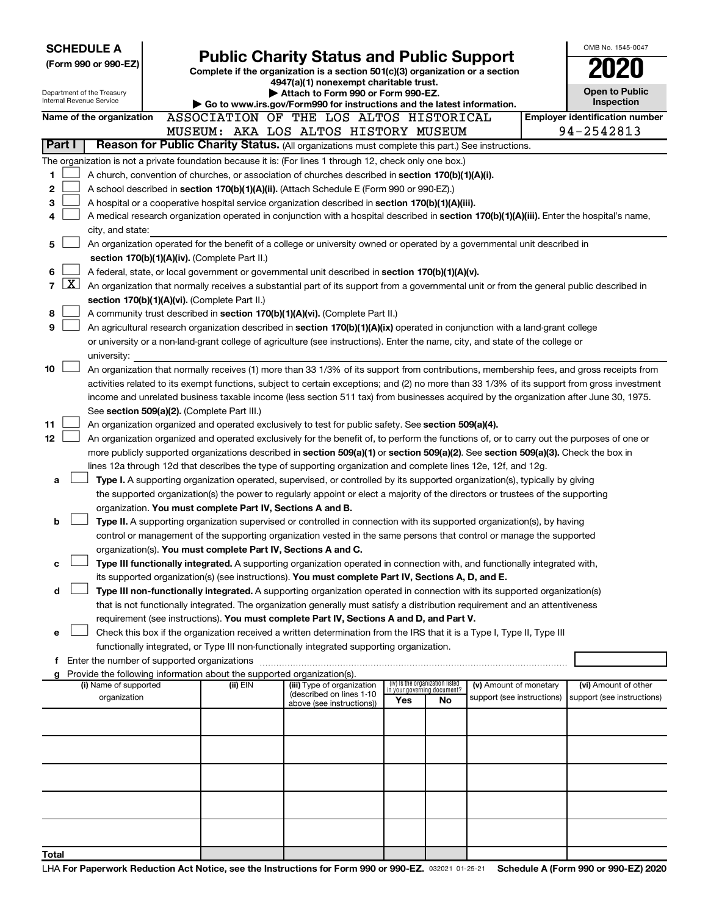|                                                                                                                                |                                                                                                                                                                                                                                                          | <b>SCHEDULE A</b>                                                                                                                                                                                             |  |                                         |                                                                                                                                  |          |  |  |  |  |  |                                                        |  |                                                                |    |                                                                                                                                                                                                                                                           |                        | OMB No. 1545-0047                                                                                                                            |
|--------------------------------------------------------------------------------------------------------------------------------|----------------------------------------------------------------------------------------------------------------------------------------------------------------------------------------------------------------------------------------------------------|---------------------------------------------------------------------------------------------------------------------------------------------------------------------------------------------------------------|--|-----------------------------------------|----------------------------------------------------------------------------------------------------------------------------------|----------|--|--|--|--|--|--------------------------------------------------------|--|----------------------------------------------------------------|----|-----------------------------------------------------------------------------------------------------------------------------------------------------------------------------------------------------------------------------------------------------------|------------------------|----------------------------------------------------------------------------------------------------------------------------------------------|
|                                                                                                                                |                                                                                                                                                                                                                                                          | (Form 990 or 990-EZ)                                                                                                                                                                                          |  |                                         | <b>Public Charity Status and Public Support</b><br>Complete if the organization is a section 501(c)(3) organization or a section |          |  |  |  |  |  |                                                        |  |                                                                |    |                                                                                                                                                                                                                                                           |                        |                                                                                                                                              |
|                                                                                                                                |                                                                                                                                                                                                                                                          |                                                                                                                                                                                                               |  |                                         |                                                                                                                                  |          |  |  |  |  |  |                                                        |  | 4947(a)(1) nonexempt charitable trust.                         |    |                                                                                                                                                                                                                                                           |                        |                                                                                                                                              |
|                                                                                                                                |                                                                                                                                                                                                                                                          | Department of the Treasury<br>Internal Revenue Service                                                                                                                                                        |  |                                         |                                                                                                                                  |          |  |  |  |  |  |                                                        |  | Attach to Form 990 or Form 990-EZ.                             |    |                                                                                                                                                                                                                                                           |                        | Open to Public                                                                                                                               |
|                                                                                                                                |                                                                                                                                                                                                                                                          |                                                                                                                                                                                                               |  |                                         |                                                                                                                                  |          |  |  |  |  |  |                                                        |  |                                                                |    | Go to www.irs.gov/Form990 for instructions and the latest information.                                                                                                                                                                                    |                        | Inspection                                                                                                                                   |
|                                                                                                                                |                                                                                                                                                                                                                                                          | Name of the organization                                                                                                                                                                                      |  | ASSOCIATION OF THE LOS ALTOS HISTORICAL |                                                                                                                                  |          |  |  |  |  |  |                                                        |  |                                                                |    |                                                                                                                                                                                                                                                           |                        | <b>Employer identification number</b>                                                                                                        |
|                                                                                                                                | Part I                                                                                                                                                                                                                                                   |                                                                                                                                                                                                               |  | MUSEUM: AKA LOS ALTOS HISTORY MUSEUM    |                                                                                                                                  |          |  |  |  |  |  |                                                        |  |                                                                |    | Reason for Public Charity Status. (All organizations must complete this part.) See instructions.                                                                                                                                                          |                        | 94-2542813                                                                                                                                   |
|                                                                                                                                |                                                                                                                                                                                                                                                          | The organization is not a private foundation because it is: (For lines 1 through 12, check only one box.)                                                                                                     |  |                                         |                                                                                                                                  |          |  |  |  |  |  |                                                        |  |                                                                |    |                                                                                                                                                                                                                                                           |                        |                                                                                                                                              |
| 1                                                                                                                              |                                                                                                                                                                                                                                                          | A church, convention of churches, or association of churches described in section 170(b)(1)(A)(i).                                                                                                            |  |                                         |                                                                                                                                  |          |  |  |  |  |  |                                                        |  |                                                                |    |                                                                                                                                                                                                                                                           |                        |                                                                                                                                              |
| 2                                                                                                                              |                                                                                                                                                                                                                                                          | A school described in section 170(b)(1)(A)(ii). (Attach Schedule E (Form 990 or 990-EZ).)                                                                                                                     |  |                                         |                                                                                                                                  |          |  |  |  |  |  |                                                        |  |                                                                |    |                                                                                                                                                                                                                                                           |                        |                                                                                                                                              |
| з                                                                                                                              |                                                                                                                                                                                                                                                          | A hospital or a cooperative hospital service organization described in section 170(b)(1)(A)(iii).                                                                                                             |  |                                         |                                                                                                                                  |          |  |  |  |  |  |                                                        |  |                                                                |    |                                                                                                                                                                                                                                                           |                        |                                                                                                                                              |
| 4                                                                                                                              |                                                                                                                                                                                                                                                          |                                                                                                                                                                                                               |  |                                         |                                                                                                                                  |          |  |  |  |  |  |                                                        |  |                                                                |    |                                                                                                                                                                                                                                                           |                        | A medical research organization operated in conjunction with a hospital described in section 170(b)(1)(A)(iii). Enter the hospital's name,   |
|                                                                                                                                |                                                                                                                                                                                                                                                          | city, and state:                                                                                                                                                                                              |  |                                         |                                                                                                                                  |          |  |  |  |  |  |                                                        |  |                                                                |    |                                                                                                                                                                                                                                                           |                        |                                                                                                                                              |
| An organization operated for the benefit of a college or university owned or operated by a governmental unit described in<br>5 |                                                                                                                                                                                                                                                          |                                                                                                                                                                                                               |  |                                         |                                                                                                                                  |          |  |  |  |  |  |                                                        |  |                                                                |    |                                                                                                                                                                                                                                                           |                        |                                                                                                                                              |
|                                                                                                                                | section 170(b)(1)(A)(iv). (Complete Part II.)<br>A federal, state, or local government or governmental unit described in section 170(b)(1)(A)(v).                                                                                                        |                                                                                                                                                                                                               |  |                                         |                                                                                                                                  |          |  |  |  |  |  |                                                        |  |                                                                |    |                                                                                                                                                                                                                                                           |                        |                                                                                                                                              |
| 6                                                                                                                              |                                                                                                                                                                                                                                                          |                                                                                                                                                                                                               |  |                                         |                                                                                                                                  |          |  |  |  |  |  |                                                        |  |                                                                |    |                                                                                                                                                                                                                                                           |                        |                                                                                                                                              |
| $\overline{7}$                                                                                                                 | $\mathbf{X}$                                                                                                                                                                                                                                             |                                                                                                                                                                                                               |  |                                         |                                                                                                                                  |          |  |  |  |  |  |                                                        |  |                                                                |    |                                                                                                                                                                                                                                                           |                        | An organization that normally receives a substantial part of its support from a governmental unit or from the general public described in    |
| 8                                                                                                                              |                                                                                                                                                                                                                                                          | section 170(b)(1)(A)(vi). (Complete Part II.)                                                                                                                                                                 |  |                                         |                                                                                                                                  |          |  |  |  |  |  |                                                        |  |                                                                |    |                                                                                                                                                                                                                                                           |                        |                                                                                                                                              |
| 9                                                                                                                              |                                                                                                                                                                                                                                                          | A community trust described in section 170(b)(1)(A)(vi). (Complete Part II.)<br>An agricultural research organization described in section 170(b)(1)(A)(ix) operated in conjunction with a land-grant college |  |                                         |                                                                                                                                  |          |  |  |  |  |  |                                                        |  |                                                                |    |                                                                                                                                                                                                                                                           |                        |                                                                                                                                              |
|                                                                                                                                |                                                                                                                                                                                                                                                          | or university or a non-land-grant college of agriculture (see instructions). Enter the name, city, and state of the college or                                                                                |  |                                         |                                                                                                                                  |          |  |  |  |  |  |                                                        |  |                                                                |    |                                                                                                                                                                                                                                                           |                        |                                                                                                                                              |
|                                                                                                                                |                                                                                                                                                                                                                                                          | university:                                                                                                                                                                                                   |  |                                         |                                                                                                                                  |          |  |  |  |  |  |                                                        |  |                                                                |    |                                                                                                                                                                                                                                                           |                        |                                                                                                                                              |
| 10                                                                                                                             |                                                                                                                                                                                                                                                          |                                                                                                                                                                                                               |  |                                         |                                                                                                                                  |          |  |  |  |  |  |                                                        |  |                                                                |    |                                                                                                                                                                                                                                                           |                        | An organization that normally receives (1) more than 33 1/3% of its support from contributions, membership fees, and gross receipts from     |
|                                                                                                                                |                                                                                                                                                                                                                                                          |                                                                                                                                                                                                               |  |                                         |                                                                                                                                  |          |  |  |  |  |  |                                                        |  |                                                                |    |                                                                                                                                                                                                                                                           |                        | activities related to its exempt functions, subject to certain exceptions; and (2) no more than 33 1/3% of its support from gross investment |
|                                                                                                                                |                                                                                                                                                                                                                                                          |                                                                                                                                                                                                               |  |                                         |                                                                                                                                  |          |  |  |  |  |  |                                                        |  |                                                                |    |                                                                                                                                                                                                                                                           |                        | income and unrelated business taxable income (less section 511 tax) from businesses acquired by the organization after June 30, 1975.        |
|                                                                                                                                | See section 509(a)(2). (Complete Part III.)                                                                                                                                                                                                              |                                                                                                                                                                                                               |  |                                         |                                                                                                                                  |          |  |  |  |  |  |                                                        |  |                                                                |    |                                                                                                                                                                                                                                                           |                        |                                                                                                                                              |
|                                                                                                                                | 11<br>An organization organized and operated exclusively to test for public safety. See section 509(a)(4).<br>An organization organized and operated exclusively for the benefit of, to perform the functions of, or to carry out the purposes of one or |                                                                                                                                                                                                               |  |                                         |                                                                                                                                  |          |  |  |  |  |  |                                                        |  |                                                                |    |                                                                                                                                                                                                                                                           |                        |                                                                                                                                              |
| 12                                                                                                                             |                                                                                                                                                                                                                                                          |                                                                                                                                                                                                               |  |                                         |                                                                                                                                  |          |  |  |  |  |  |                                                        |  |                                                                |    |                                                                                                                                                                                                                                                           |                        |                                                                                                                                              |
|                                                                                                                                |                                                                                                                                                                                                                                                          | lines 12a through 12d that describes the type of supporting organization and complete lines 12e, 12f, and 12g.                                                                                                |  |                                         |                                                                                                                                  |          |  |  |  |  |  |                                                        |  |                                                                |    |                                                                                                                                                                                                                                                           |                        | more publicly supported organizations described in section 509(a)(1) or section 509(a)(2). See section 509(a)(3). Check the box in           |
| a                                                                                                                              |                                                                                                                                                                                                                                                          |                                                                                                                                                                                                               |  |                                         |                                                                                                                                  |          |  |  |  |  |  |                                                        |  |                                                                |    | Type I. A supporting organization operated, supervised, or controlled by its supported organization(s), typically by giving                                                                                                                               |                        |                                                                                                                                              |
|                                                                                                                                |                                                                                                                                                                                                                                                          |                                                                                                                                                                                                               |  |                                         |                                                                                                                                  |          |  |  |  |  |  |                                                        |  |                                                                |    | the supported organization(s) the power to regularly appoint or elect a majority of the directors or trustees of the supporting                                                                                                                           |                        |                                                                                                                                              |
|                                                                                                                                |                                                                                                                                                                                                                                                          | organization. You must complete Part IV, Sections A and B.                                                                                                                                                    |  |                                         |                                                                                                                                  |          |  |  |  |  |  |                                                        |  |                                                                |    |                                                                                                                                                                                                                                                           |                        |                                                                                                                                              |
| b                                                                                                                              |                                                                                                                                                                                                                                                          |                                                                                                                                                                                                               |  |                                         |                                                                                                                                  |          |  |  |  |  |  |                                                        |  |                                                                |    | Type II. A supporting organization supervised or controlled in connection with its supported organization(s), by having                                                                                                                                   |                        |                                                                                                                                              |
|                                                                                                                                |                                                                                                                                                                                                                                                          |                                                                                                                                                                                                               |  |                                         |                                                                                                                                  |          |  |  |  |  |  |                                                        |  |                                                                |    | control or management of the supporting organization vested in the same persons that control or manage the supported                                                                                                                                      |                        |                                                                                                                                              |
|                                                                                                                                |                                                                                                                                                                                                                                                          | organization(s). You must complete Part IV, Sections A and C.                                                                                                                                                 |  |                                         |                                                                                                                                  |          |  |  |  |  |  |                                                        |  |                                                                |    |                                                                                                                                                                                                                                                           |                        |                                                                                                                                              |
| с                                                                                                                              |                                                                                                                                                                                                                                                          |                                                                                                                                                                                                               |  |                                         |                                                                                                                                  |          |  |  |  |  |  |                                                        |  |                                                                |    | Type III functionally integrated. A supporting organization operated in connection with, and functionally integrated with,                                                                                                                                |                        |                                                                                                                                              |
|                                                                                                                                |                                                                                                                                                                                                                                                          | its supported organization(s) (see instructions). You must complete Part IV, Sections A, D, and E.                                                                                                            |  |                                         |                                                                                                                                  |          |  |  |  |  |  |                                                        |  |                                                                |    |                                                                                                                                                                                                                                                           |                        |                                                                                                                                              |
| d                                                                                                                              |                                                                                                                                                                                                                                                          |                                                                                                                                                                                                               |  |                                         |                                                                                                                                  |          |  |  |  |  |  |                                                        |  |                                                                |    | Type III non-functionally integrated. A supporting organization operated in connection with its supported organization(s)<br>that is not functionally integrated. The organization generally must satisfy a distribution requirement and an attentiveness |                        |                                                                                                                                              |
|                                                                                                                                |                                                                                                                                                                                                                                                          | requirement (see instructions). You must complete Part IV, Sections A and D, and Part V.                                                                                                                      |  |                                         |                                                                                                                                  |          |  |  |  |  |  |                                                        |  |                                                                |    |                                                                                                                                                                                                                                                           |                        |                                                                                                                                              |
| е                                                                                                                              |                                                                                                                                                                                                                                                          |                                                                                                                                                                                                               |  |                                         |                                                                                                                                  |          |  |  |  |  |  |                                                        |  |                                                                |    | Check this box if the organization received a written determination from the IRS that it is a Type I, Type II, Type III                                                                                                                                   |                        |                                                                                                                                              |
|                                                                                                                                |                                                                                                                                                                                                                                                          | functionally integrated, or Type III non-functionally integrated supporting organization.                                                                                                                     |  |                                         |                                                                                                                                  |          |  |  |  |  |  |                                                        |  |                                                                |    |                                                                                                                                                                                                                                                           |                        |                                                                                                                                              |
|                                                                                                                                |                                                                                                                                                                                                                                                          |                                                                                                                                                                                                               |  |                                         |                                                                                                                                  |          |  |  |  |  |  |                                                        |  |                                                                |    |                                                                                                                                                                                                                                                           |                        |                                                                                                                                              |
|                                                                                                                                |                                                                                                                                                                                                                                                          | g Provide the following information about the supported organization(s).                                                                                                                                      |  |                                         |                                                                                                                                  |          |  |  |  |  |  |                                                        |  |                                                                |    |                                                                                                                                                                                                                                                           |                        |                                                                                                                                              |
|                                                                                                                                |                                                                                                                                                                                                                                                          | (i) Name of supported<br>organization                                                                                                                                                                         |  |                                         |                                                                                                                                  | (ii) EIN |  |  |  |  |  | (iii) Type of organization<br>(described on lines 1-10 |  | (iv) Is the organization listed<br>in your governing document? |    | support (see instructions)                                                                                                                                                                                                                                | (v) Amount of monetary | (vi) Amount of other<br>support (see instructions)                                                                                           |
|                                                                                                                                |                                                                                                                                                                                                                                                          |                                                                                                                                                                                                               |  |                                         |                                                                                                                                  |          |  |  |  |  |  | above (see instructions))                              |  | Yes                                                            | No |                                                                                                                                                                                                                                                           |                        |                                                                                                                                              |
|                                                                                                                                |                                                                                                                                                                                                                                                          |                                                                                                                                                                                                               |  |                                         |                                                                                                                                  |          |  |  |  |  |  |                                                        |  |                                                                |    |                                                                                                                                                                                                                                                           |                        |                                                                                                                                              |
|                                                                                                                                |                                                                                                                                                                                                                                                          |                                                                                                                                                                                                               |  |                                         |                                                                                                                                  |          |  |  |  |  |  |                                                        |  |                                                                |    |                                                                                                                                                                                                                                                           |                        |                                                                                                                                              |
|                                                                                                                                |                                                                                                                                                                                                                                                          |                                                                                                                                                                                                               |  |                                         |                                                                                                                                  |          |  |  |  |  |  |                                                        |  |                                                                |    |                                                                                                                                                                                                                                                           |                        |                                                                                                                                              |
|                                                                                                                                |                                                                                                                                                                                                                                                          |                                                                                                                                                                                                               |  |                                         |                                                                                                                                  |          |  |  |  |  |  |                                                        |  |                                                                |    |                                                                                                                                                                                                                                                           |                        |                                                                                                                                              |
|                                                                                                                                |                                                                                                                                                                                                                                                          |                                                                                                                                                                                                               |  |                                         |                                                                                                                                  |          |  |  |  |  |  |                                                        |  |                                                                |    |                                                                                                                                                                                                                                                           |                        |                                                                                                                                              |
|                                                                                                                                |                                                                                                                                                                                                                                                          |                                                                                                                                                                                                               |  |                                         |                                                                                                                                  |          |  |  |  |  |  |                                                        |  |                                                                |    |                                                                                                                                                                                                                                                           |                        |                                                                                                                                              |
|                                                                                                                                |                                                                                                                                                                                                                                                          |                                                                                                                                                                                                               |  |                                         |                                                                                                                                  |          |  |  |  |  |  |                                                        |  |                                                                |    |                                                                                                                                                                                                                                                           |                        |                                                                                                                                              |
|                                                                                                                                |                                                                                                                                                                                                                                                          |                                                                                                                                                                                                               |  |                                         |                                                                                                                                  |          |  |  |  |  |  |                                                        |  |                                                                |    |                                                                                                                                                                                                                                                           |                        |                                                                                                                                              |
| Total                                                                                                                          |                                                                                                                                                                                                                                                          |                                                                                                                                                                                                               |  |                                         |                                                                                                                                  |          |  |  |  |  |  |                                                        |  |                                                                |    |                                                                                                                                                                                                                                                           |                        |                                                                                                                                              |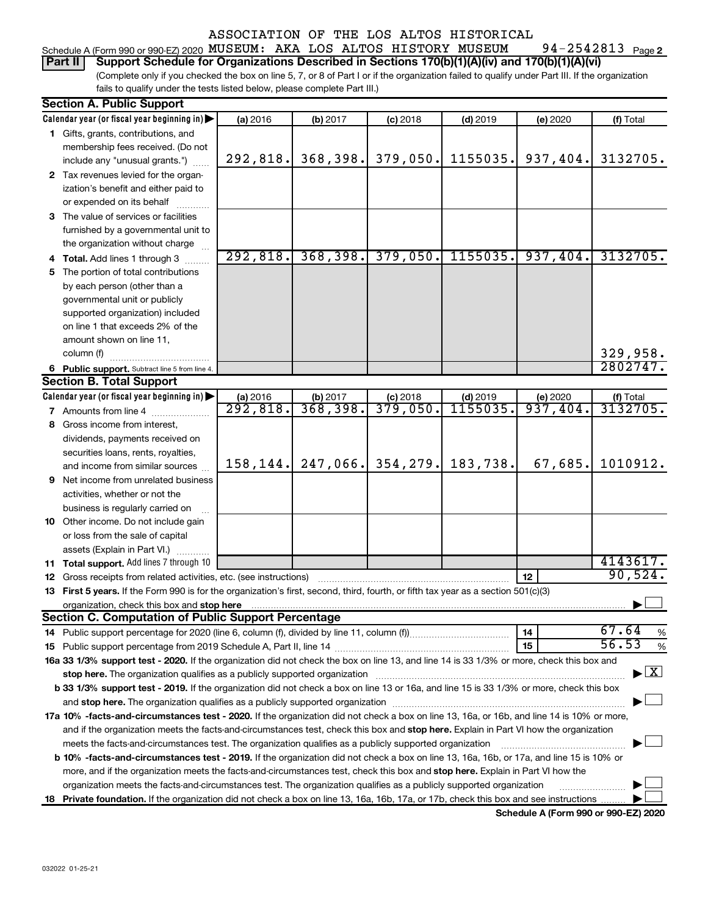#### 94-2542813 Page 2 Schedule A (Form 990 or 990-EZ) 2020  $\,$  MUS $\,$ EUM:  $\,$  AKA  $\,$  LOS  $\,$  ALTOS  $\,$  HISTORY  $\,$  MUS $\,$ EUM  $\,$   $\,$  94-2542813  $\,$   $_{\rm{Page}}$

(Complete only if you checked the box on line 5, 7, or 8 of Part I or if the organization failed to qualify under Part III. If the organization fails to qualify under the tests listed below, please complete Part III.) **Part II Support Schedule for Organizations Described in Sections 170(b)(1)(A)(iv) and 170(b)(1)(A)(vi)**

| <b>Section A. Public Support</b>                                                                                                                                                                                                                                                    |                       |           |            |            |          |                                    |  |  |  |  |  |
|-------------------------------------------------------------------------------------------------------------------------------------------------------------------------------------------------------------------------------------------------------------------------------------|-----------------------|-----------|------------|------------|----------|------------------------------------|--|--|--|--|--|
| Calendar year (or fiscal year beginning in)                                                                                                                                                                                                                                         | (a) 2016              | (b) 2017  | $(c)$ 2018 | $(d)$ 2019 | (e) 2020 | (f) Total                          |  |  |  |  |  |
| 1 Gifts, grants, contributions, and                                                                                                                                                                                                                                                 |                       |           |            |            |          |                                    |  |  |  |  |  |
| membership fees received. (Do not                                                                                                                                                                                                                                                   |                       |           |            |            |          |                                    |  |  |  |  |  |
| include any "unusual grants.")                                                                                                                                                                                                                                                      | 292,818.              | 368, 398. | 379,050.   | 1155035.   | 937,404. | 3132705.                           |  |  |  |  |  |
| 2 Tax revenues levied for the organ-                                                                                                                                                                                                                                                |                       |           |            |            |          |                                    |  |  |  |  |  |
| ization's benefit and either paid to                                                                                                                                                                                                                                                |                       |           |            |            |          |                                    |  |  |  |  |  |
| or expended on its behalf                                                                                                                                                                                                                                                           |                       |           |            |            |          |                                    |  |  |  |  |  |
| 3 The value of services or facilities                                                                                                                                                                                                                                               |                       |           |            |            |          |                                    |  |  |  |  |  |
| furnished by a governmental unit to                                                                                                                                                                                                                                                 |                       |           |            |            |          |                                    |  |  |  |  |  |
| the organization without charge                                                                                                                                                                                                                                                     |                       |           |            |            |          |                                    |  |  |  |  |  |
| 4 Total. Add lines 1 through 3                                                                                                                                                                                                                                                      | 292,818.              | 368,398.  | 379,050.   | 1155035.   | 937,404. | 3132705.                           |  |  |  |  |  |
| 5 The portion of total contributions                                                                                                                                                                                                                                                |                       |           |            |            |          |                                    |  |  |  |  |  |
| by each person (other than a                                                                                                                                                                                                                                                        |                       |           |            |            |          |                                    |  |  |  |  |  |
| governmental unit or publicly                                                                                                                                                                                                                                                       |                       |           |            |            |          |                                    |  |  |  |  |  |
| supported organization) included                                                                                                                                                                                                                                                    |                       |           |            |            |          |                                    |  |  |  |  |  |
| on line 1 that exceeds 2% of the                                                                                                                                                                                                                                                    |                       |           |            |            |          |                                    |  |  |  |  |  |
| amount shown on line 11,                                                                                                                                                                                                                                                            |                       |           |            |            |          |                                    |  |  |  |  |  |
| column (f)                                                                                                                                                                                                                                                                          |                       |           |            |            |          | 329,958.                           |  |  |  |  |  |
| 6 Public support. Subtract line 5 from line 4.                                                                                                                                                                                                                                      |                       |           |            |            |          | 2802747.                           |  |  |  |  |  |
| <b>Section B. Total Support</b>                                                                                                                                                                                                                                                     |                       |           |            |            |          |                                    |  |  |  |  |  |
| Calendar year (or fiscal year beginning in)                                                                                                                                                                                                                                         | (a) 2016              | (b) 2017  | $(c)$ 2018 | $(d)$ 2019 | (e) 2020 | (f) Total                          |  |  |  |  |  |
| <b>7</b> Amounts from line 4                                                                                                                                                                                                                                                        | $\overline{292,818.}$ | 368,398.  | 379,050.   | 1155035    | 937,404. | 3132705.                           |  |  |  |  |  |
| 8 Gross income from interest,                                                                                                                                                                                                                                                       |                       |           |            |            |          |                                    |  |  |  |  |  |
| dividends, payments received on                                                                                                                                                                                                                                                     |                       |           |            |            |          |                                    |  |  |  |  |  |
| securities loans, rents, royalties,                                                                                                                                                                                                                                                 |                       |           |            |            |          |                                    |  |  |  |  |  |
| and income from similar sources                                                                                                                                                                                                                                                     | 158, 144.             | 247,066.  | 354, 279.  | 183,738.   | 67,685.  | 1010912.                           |  |  |  |  |  |
| <b>9</b> Net income from unrelated business                                                                                                                                                                                                                                         |                       |           |            |            |          |                                    |  |  |  |  |  |
| activities, whether or not the                                                                                                                                                                                                                                                      |                       |           |            |            |          |                                    |  |  |  |  |  |
| business is regularly carried on                                                                                                                                                                                                                                                    |                       |           |            |            |          |                                    |  |  |  |  |  |
| 10 Other income. Do not include gain                                                                                                                                                                                                                                                |                       |           |            |            |          |                                    |  |  |  |  |  |
| or loss from the sale of capital                                                                                                                                                                                                                                                    |                       |           |            |            |          |                                    |  |  |  |  |  |
| assets (Explain in Part VI.)                                                                                                                                                                                                                                                        |                       |           |            |            |          |                                    |  |  |  |  |  |
| 11 Total support. Add lines 7 through 10                                                                                                                                                                                                                                            |                       |           |            |            |          | 4143617.                           |  |  |  |  |  |
| <b>12</b> Gross receipts from related activities, etc. (see instructions)                                                                                                                                                                                                           |                       |           |            |            | 12       | 90,524.                            |  |  |  |  |  |
| 13 First 5 years. If the Form 990 is for the organization's first, second, third, fourth, or fifth tax year as a section 501(c)(3)                                                                                                                                                  |                       |           |            |            |          |                                    |  |  |  |  |  |
|                                                                                                                                                                                                                                                                                     |                       |           |            |            |          |                                    |  |  |  |  |  |
| <b>Section C. Computation of Public Support Percentage</b>                                                                                                                                                                                                                          |                       |           |            |            |          |                                    |  |  |  |  |  |
|                                                                                                                                                                                                                                                                                     |                       |           |            |            | 14       | 67.64<br>%                         |  |  |  |  |  |
|                                                                                                                                                                                                                                                                                     |                       |           |            |            | 15       | 56.53<br>%                         |  |  |  |  |  |
| 16a 33 1/3% support test - 2020. If the organization did not check the box on line 13, and line 14 is 33 1/3% or more, check this box and                                                                                                                                           |                       |           |            |            |          | $\blacktriangleright$ $\mathbf{X}$ |  |  |  |  |  |
| stop here. The organization qualifies as a publicly supported organization manufactured content and the organization manufactured or an analyzing the stress of the stress of the stress of the stress of the stress of the st                                                      |                       |           |            |            |          |                                    |  |  |  |  |  |
| b 33 1/3% support test - 2019. If the organization did not check a box on line 13 or 16a, and line 15 is 33 1/3% or more, check this box                                                                                                                                            |                       |           |            |            |          |                                    |  |  |  |  |  |
|                                                                                                                                                                                                                                                                                     |                       |           |            |            |          |                                    |  |  |  |  |  |
| 17a 10% -facts-and-circumstances test - 2020. If the organization did not check a box on line 13, 16a, or 16b, and line 14 is 10% or more,<br>and if the organization meets the facts-and-circumstances test, check this box and stop here. Explain in Part VI how the organization |                       |           |            |            |          |                                    |  |  |  |  |  |
|                                                                                                                                                                                                                                                                                     |                       |           |            |            |          |                                    |  |  |  |  |  |
| meets the facts-and-circumstances test. The organization qualifies as a publicly supported organization                                                                                                                                                                             |                       |           |            |            |          |                                    |  |  |  |  |  |
| <b>b 10%</b> -facts-and-circumstances test - 2019. If the organization did not check a box on line 13, 16a, 16b, or 17a, and line 15 is 10% or                                                                                                                                      |                       |           |            |            |          |                                    |  |  |  |  |  |
| more, and if the organization meets the facts-and-circumstances test, check this box and stop here. Explain in Part VI how the                                                                                                                                                      |                       |           |            |            |          |                                    |  |  |  |  |  |
| organization meets the facts-and-circumstances test. The organization qualifies as a publicly supported organization                                                                                                                                                                |                       |           |            |            |          |                                    |  |  |  |  |  |
| 18 Private foundation. If the organization did not check a box on line 13, 16a, 16b, 17a, or 17b, check this box and see instructions                                                                                                                                               |                       |           |            |            |          |                                    |  |  |  |  |  |

**Schedule A (Form 990 or 990-EZ) 2020**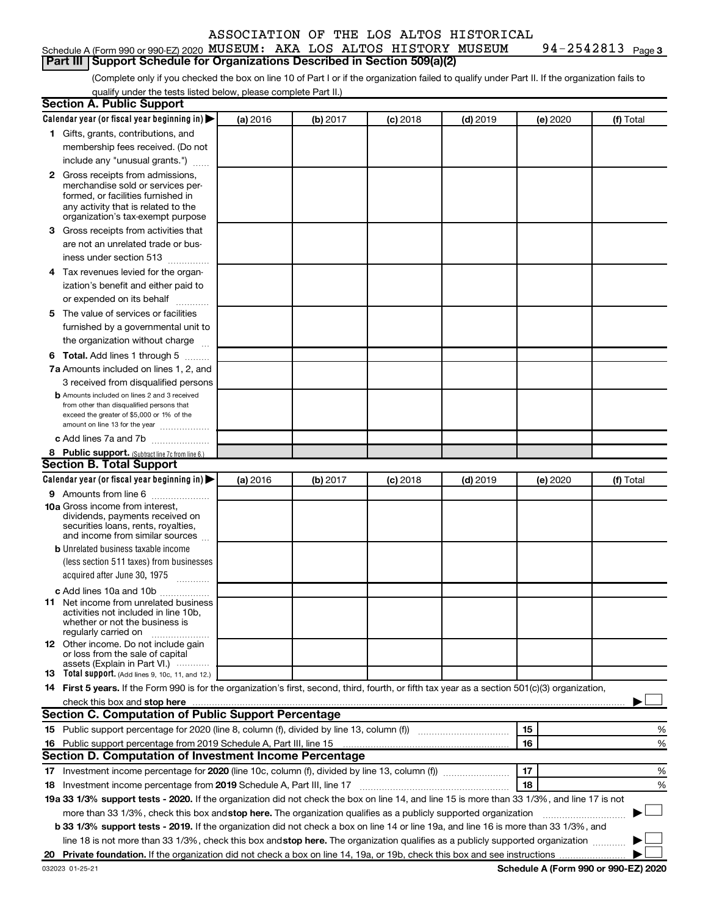#### Schedule A (Form 990 or 990-EZ) 2020  $\,$  MUS $\,$ EUM:  $\,$  AKA  $\,$  LOS  $\,$  ALTOS  $\,$  HISTORY  $\,$  MUS $\,$ EUM  $\,$   $\,$  94-2542813  $\,$   $_{\rm{Page}}$ **Part III Support Schedule for Organizations Described in Section 509(a)(2)**

94-2542813 Page 3

(Complete only if you checked the box on line 10 of Part I or if the organization failed to qualify under Part II. If the organization fails to qualify under the tests listed below, please complete Part II.)

| <b>Section A. Public Support</b>                                                                                                                 |          |          |            |            |          |           |
|--------------------------------------------------------------------------------------------------------------------------------------------------|----------|----------|------------|------------|----------|-----------|
| Calendar year (or fiscal year beginning in)                                                                                                      | (a) 2016 | (b) 2017 | $(c)$ 2018 | $(d)$ 2019 | (e) 2020 | (f) Total |
| 1 Gifts, grants, contributions, and                                                                                                              |          |          |            |            |          |           |
| membership fees received. (Do not                                                                                                                |          |          |            |            |          |           |
| include any "unusual grants.")                                                                                                                   |          |          |            |            |          |           |
| 2 Gross receipts from admissions,                                                                                                                |          |          |            |            |          |           |
| merchandise sold or services per-                                                                                                                |          |          |            |            |          |           |
| formed, or facilities furnished in<br>any activity that is related to the                                                                        |          |          |            |            |          |           |
| organization's tax-exempt purpose                                                                                                                |          |          |            |            |          |           |
| <b>3</b> Gross receipts from activities that                                                                                                     |          |          |            |            |          |           |
| are not an unrelated trade or bus-                                                                                                               |          |          |            |            |          |           |
| iness under section 513                                                                                                                          |          |          |            |            |          |           |
| 4 Tax revenues levied for the organ-                                                                                                             |          |          |            |            |          |           |
| ization's benefit and either paid to                                                                                                             |          |          |            |            |          |           |
| or expended on its behalf                                                                                                                        |          |          |            |            |          |           |
| 5 The value of services or facilities                                                                                                            |          |          |            |            |          |           |
| furnished by a governmental unit to                                                                                                              |          |          |            |            |          |           |
| the organization without charge                                                                                                                  |          |          |            |            |          |           |
| <b>6 Total.</b> Add lines 1 through 5                                                                                                            |          |          |            |            |          |           |
| 7a Amounts included on lines 1, 2, and                                                                                                           |          |          |            |            |          |           |
| 3 received from disqualified persons                                                                                                             |          |          |            |            |          |           |
| <b>b</b> Amounts included on lines 2 and 3 received                                                                                              |          |          |            |            |          |           |
| from other than disqualified persons that                                                                                                        |          |          |            |            |          |           |
| exceed the greater of \$5,000 or 1% of the<br>amount on line 13 for the year                                                                     |          |          |            |            |          |           |
| c Add lines 7a and 7b                                                                                                                            |          |          |            |            |          |           |
| 8 Public support. (Subtract line 7c from line 6.)                                                                                                |          |          |            |            |          |           |
| <b>Section B. Total Support</b>                                                                                                                  |          |          |            |            |          |           |
| Calendar year (or fiscal year beginning in)                                                                                                      | (a) 2016 | (b) 2017 | $(c)$ 2018 | $(d)$ 2019 | (e) 2020 | (f) Total |
| <b>9</b> Amounts from line 6                                                                                                                     |          |          |            |            |          |           |
| <b>10a</b> Gross income from interest,                                                                                                           |          |          |            |            |          |           |
| dividends, payments received on                                                                                                                  |          |          |            |            |          |           |
| securities loans, rents, royalties,<br>and income from similar sources                                                                           |          |          |            |            |          |           |
| <b>b</b> Unrelated business taxable income                                                                                                       |          |          |            |            |          |           |
| (less section 511 taxes) from businesses                                                                                                         |          |          |            |            |          |           |
| acquired after June 30, 1975                                                                                                                     |          |          |            |            |          |           |
| c Add lines 10a and 10b                                                                                                                          |          |          |            |            |          |           |
| <b>11</b> Net income from unrelated business                                                                                                     |          |          |            |            |          |           |
| activities not included in line 10b.                                                                                                             |          |          |            |            |          |           |
| whether or not the business is<br>regularly carried on                                                                                           |          |          |            |            |          |           |
| <b>12</b> Other income. Do not include gain                                                                                                      |          |          |            |            |          |           |
| or loss from the sale of capital                                                                                                                 |          |          |            |            |          |           |
| assets (Explain in Part VI.)<br><b>13</b> Total support. (Add lines 9, 10c, 11, and 12.)                                                         |          |          |            |            |          |           |
|                                                                                                                                                  |          |          |            |            |          |           |
| 14 First 5 years. If the Form 990 is for the organization's first, second, third, fourth, or fifth tax year as a section 501(c)(3) organization, |          |          |            |            |          |           |
| check this box and stop here<br><b>Section C. Computation of Public Support Percentage</b>                                                       |          |          |            |            |          |           |
|                                                                                                                                                  |          |          |            |            |          |           |
| 15 Public support percentage for 2020 (line 8, column (f), divided by line 13, column (f) <i></i>                                                |          |          |            |            | 15       | %         |
| 16 Public support percentage from 2019 Schedule A, Part III, line 15<br>Section D. Computation of Investment Income Percentage                   |          |          |            |            | 16       | %         |
|                                                                                                                                                  |          |          |            |            |          |           |
|                                                                                                                                                  |          |          |            |            | 17       | %         |
| 18 Investment income percentage from 2019 Schedule A, Part III, line 17                                                                          |          |          |            |            | 18       | %         |
| 19a 33 1/3% support tests - 2020. If the organization did not check the box on line 14, and line 15 is more than 33 1/3%, and line 17 is not     |          |          |            |            |          |           |
| more than 33 1/3%, check this box and stop here. The organization qualifies as a publicly supported organization                                 |          |          |            |            |          |           |
| b 33 1/3% support tests - 2019. If the organization did not check a box on line 14 or line 19a, and line 16 is more than 33 1/3%, and            |          |          |            |            |          |           |
| line 18 is not more than 33 1/3%, check this box and stop here. The organization qualifies as a publicly supported organization                  |          |          |            |            |          |           |
|                                                                                                                                                  |          |          |            |            |          |           |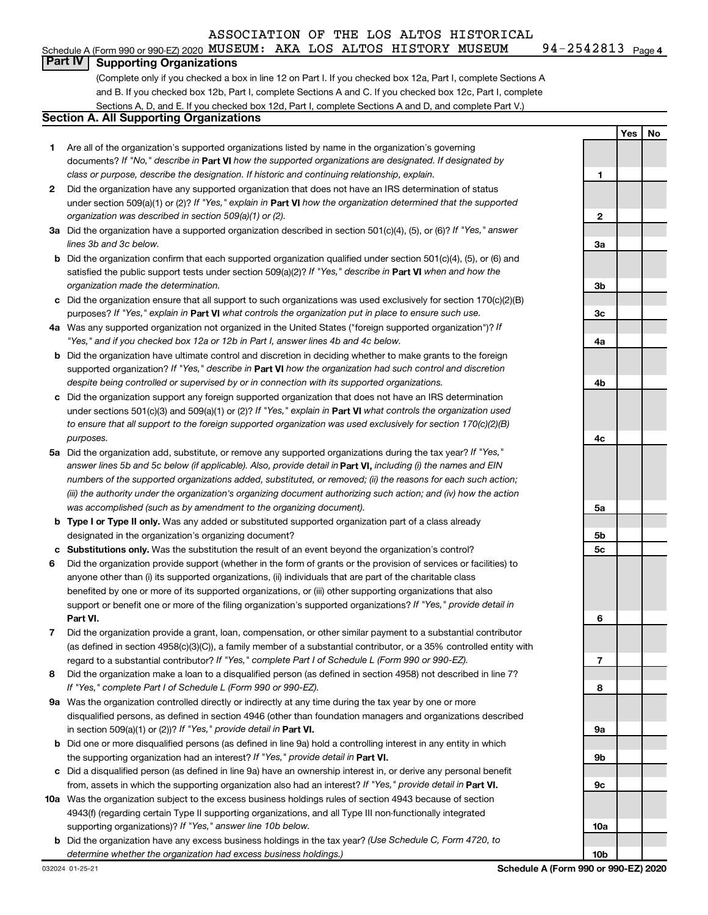#### Schedule A (Form 990 or 990-EZ) 2020  $\,$  MUS $\,$ EUM:  $\,$  AKA  $\,$  LOS  $\,$  ALTOS  $\,$  HISTORY  $\,$  MUS $\,$ EUM  $\,$   $\,$  94-2542813  $\,$   $_{\rm{Page}}$

94-2542813 Page 4

## **Part IV Supporting Organizations**

(Complete only if you checked a box in line 12 on Part I. If you checked box 12a, Part I, complete Sections A and B. If you checked box 12b, Part I, complete Sections A and C. If you checked box 12c, Part I, complete Sections A, D, and E. If you checked box 12d, Part I, complete Sections A and D, and complete Part V.)

## **Section A. All Supporting Organizations**

- **1** Are all of the organization's supported organizations listed by name in the organization's governing documents? If "No," describe in Part VI how the supported organizations are designated. If designated by *class or purpose, describe the designation. If historic and continuing relationship, explain.*
- **2** Did the organization have any supported organization that does not have an IRS determination of status under section 509(a)(1) or (2)? If "Yes," explain in Part **VI** how the organization determined that the supported *organization was described in section 509(a)(1) or (2).*
- **3a** Did the organization have a supported organization described in section 501(c)(4), (5), or (6)? If "Yes," answer *lines 3b and 3c below.*
- **b** Did the organization confirm that each supported organization qualified under section 501(c)(4), (5), or (6) and satisfied the public support tests under section 509(a)(2)? If "Yes," describe in Part VI when and how the *organization made the determination.*
- **c** Did the organization ensure that all support to such organizations was used exclusively for section 170(c)(2)(B) purposes? If "Yes," explain in Part VI what controls the organization put in place to ensure such use.
- **4 a** *If* Was any supported organization not organized in the United States ("foreign supported organization")? *"Yes," and if you checked box 12a or 12b in Part I, answer lines 4b and 4c below.*
- **b** Did the organization have ultimate control and discretion in deciding whether to make grants to the foreign supported organization? If "Yes," describe in Part VI how the organization had such control and discretion *despite being controlled or supervised by or in connection with its supported organizations.*
- **c** Did the organization support any foreign supported organization that does not have an IRS determination under sections 501(c)(3) and 509(a)(1) or (2)? If "Yes," explain in Part VI what controls the organization used *to ensure that all support to the foreign supported organization was used exclusively for section 170(c)(2)(B) purposes.*
- **5a** Did the organization add, substitute, or remove any supported organizations during the tax year? If "Yes," answer lines 5b and 5c below (if applicable). Also, provide detail in **Part VI,** including (i) the names and EIN *numbers of the supported organizations added, substituted, or removed; (ii) the reasons for each such action; (iii) the authority under the organization's organizing document authorizing such action; and (iv) how the action was accomplished (such as by amendment to the organizing document).*
- **b Type I or Type II only.** Was any added or substituted supported organization part of a class already designated in the organization's organizing document?
- **c Substitutions only.**  Was the substitution the result of an event beyond the organization's control?
- **6** Did the organization provide support (whether in the form of grants or the provision of services or facilities) to **Part VI.** support or benefit one or more of the filing organization's supported organizations? If "Yes," provide detail in anyone other than (i) its supported organizations, (ii) individuals that are part of the charitable class benefited by one or more of its supported organizations, or (iii) other supporting organizations that also
- **7** Did the organization provide a grant, loan, compensation, or other similar payment to a substantial contributor regard to a substantial contributor? If "Yes," complete Part I of Schedule L (Form 990 or 990-EZ). (as defined in section 4958(c)(3)(C)), a family member of a substantial contributor, or a 35% controlled entity with
- **8** Did the organization make a loan to a disqualified person (as defined in section 4958) not described in line 7? *If "Yes," complete Part I of Schedule L (Form 990 or 990-EZ).*
- **9 a** Was the organization controlled directly or indirectly at any time during the tax year by one or more in section 509(a)(1) or (2))? If "Yes," provide detail in **Part VI.** disqualified persons, as defined in section 4946 (other than foundation managers and organizations described
- **b** Did one or more disqualified persons (as defined in line 9a) hold a controlling interest in any entity in which the supporting organization had an interest? If "Yes," provide detail in Part VI.
- **c** Did a disqualified person (as defined in line 9a) have an ownership interest in, or derive any personal benefit from, assets in which the supporting organization also had an interest? If "Yes," provide detail in Part VI.
- **10 a** Was the organization subject to the excess business holdings rules of section 4943 because of section supporting organizations)? If "Yes," answer line 10b below. 4943(f) (regarding certain Type II supporting organizations, and all Type III non-functionally integrated
- **b** Did the organization have any excess business holdings in the tax year? (Use Schedule C, Form 4720, to *determine whether the organization had excess business holdings.)*

**Yes No 1 2 3a 3b 3c 4a 4b 4c 5a 5b 5c 6 7 8 9a 9b 9c 10a 10b**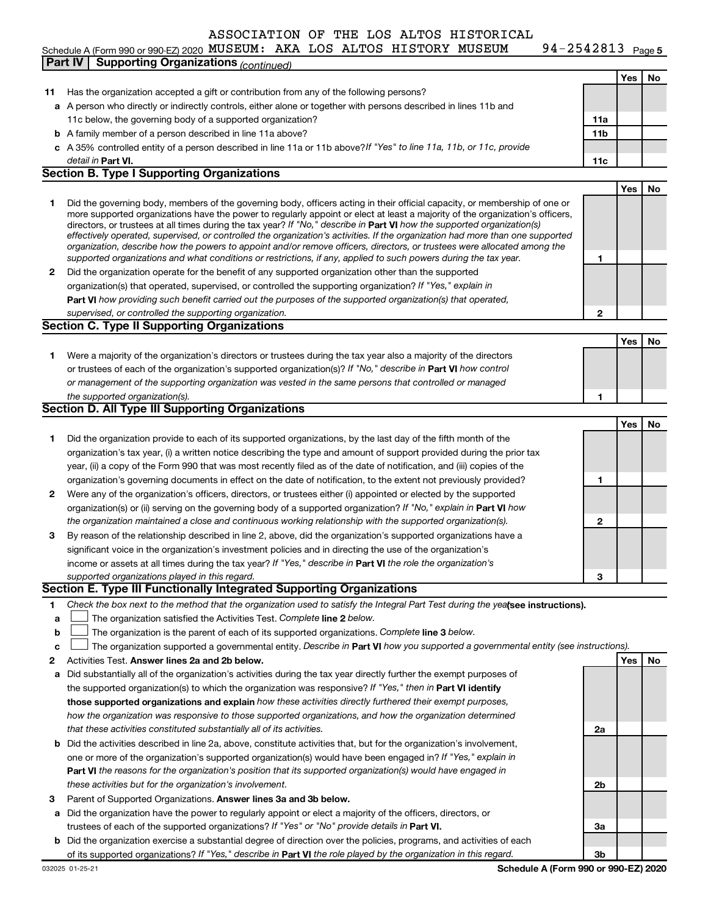#### 94-2542813 Page 5 Schedule A (Form 990 or 990-EZ) 2020  $\,$  MUS $\,$ EUM:  $\,$  AKA  $\,$  LOS  $\,$  ALTOS  $\,$  HISTORY  $\,$  MUS $\,$ EUM  $\,$   $\,$  94-2542813  $\,$   $_{\rm{Page}}$ **Part IV Supporting Organizations** *(continued)*

|    |                                                                                                                                   |     | Yes | No  |
|----|-----------------------------------------------------------------------------------------------------------------------------------|-----|-----|-----|
| 11 | Has the organization accepted a gift or contribution from any of the following persons?                                           |     |     |     |
|    | a A person who directly or indirectly controls, either alone or together with persons described in lines 11b and                  |     |     |     |
|    | 11c below, the governing body of a supported organization?                                                                        | 11a |     |     |
|    | <b>b</b> A family member of a person described in line 11a above?                                                                 | 11b |     |     |
|    | c A 35% controlled entity of a person described in line 11a or 11b above? If "Yes" to line 11a, 11b, or 11c, provide              |     |     |     |
|    | detail in <b>Part VI.</b>                                                                                                         | 11c |     |     |
|    | <b>Section B. Type I Supporting Organizations</b>                                                                                 |     |     |     |
|    |                                                                                                                                   |     | Yes | No  |
| 1  | Did the governing body, members of the governing body, officers acting in their official capacity, or membership of one or        |     |     |     |
|    | more supported organizations have the power to regularly appoint or elect at least a majority of the organization's officers,     |     |     |     |
|    | directors, or trustees at all times during the tax year? If "No," describe in Part VI how the supported organization(s)           |     |     |     |
|    | effectively operated, supervised, or controlled the organization's activities. If the organization had more than one supported    |     |     |     |
|    | organization, describe how the powers to appoint and/or remove officers, directors, or trustees were allocated among the          |     |     |     |
|    | supported organizations and what conditions or restrictions, if any, applied to such powers during the tax year.                  | 1   |     |     |
| 2  | Did the organization operate for the benefit of any supported organization other than the supported                               |     |     |     |
|    | organization(s) that operated, supervised, or controlled the supporting organization? If "Yes," explain in                        |     |     |     |
|    | Part VI how providing such benefit carried out the purposes of the supported organization(s) that operated,                       |     |     |     |
|    | supervised, or controlled the supporting organization.                                                                            | 2   |     |     |
|    | Section C. Type II Supporting Organizations                                                                                       |     |     |     |
|    |                                                                                                                                   |     | Yes | No  |
| 1  | Were a majority of the organization's directors or trustees during the tax year also a majority of the directors                  |     |     |     |
|    | or trustees of each of the organization's supported organization(s)? If "No," describe in Part VI how control                     |     |     |     |
|    | or management of the supporting organization was vested in the same persons that controlled or managed                            |     |     |     |
|    | the supported organization(s).                                                                                                    | 1   |     |     |
|    | Section D. All Type III Supporting Organizations                                                                                  |     |     |     |
|    |                                                                                                                                   |     | Yes | No  |
| 1  | Did the organization provide to each of its supported organizations, by the last day of the fifth month of the                    |     |     |     |
|    | organization's tax year, (i) a written notice describing the type and amount of support provided during the prior tax             |     |     |     |
|    | year, (ii) a copy of the Form 990 that was most recently filed as of the date of notification, and (iii) copies of the            |     |     |     |
|    | organization's governing documents in effect on the date of notification, to the extent not previously provided?                  | 1   |     |     |
| 2  | Were any of the organization's officers, directors, or trustees either (i) appointed or elected by the supported                  |     |     |     |
|    | organization(s) or (ii) serving on the governing body of a supported organization? If "No," explain in Part VI how                |     |     |     |
|    | the organization maintained a close and continuous working relationship with the supported organization(s).                       | 2   |     |     |
| 3  | By reason of the relationship described in line 2, above, did the organization's supported organizations have a                   |     |     |     |
|    | significant voice in the organization's investment policies and in directing the use of the organization's                        |     |     |     |
|    | income or assets at all times during the tax year? If "Yes," describe in Part VI the role the organization's                      |     |     |     |
|    | supported organizations played in this regard.                                                                                    | З   |     |     |
|    | Section E. Type III Functionally Integrated Supporting Organizations                                                              |     |     |     |
| 1. | Check the box next to the method that the organization used to satisfy the Integral Part Test during the yealsee instructions).   |     |     |     |
| а  | The organization satisfied the Activities Test. Complete line 2 below.                                                            |     |     |     |
| b  | The organization is the parent of each of its supported organizations. Complete line 3 below.                                     |     |     |     |
| c  | The organization supported a governmental entity. Describe in Part VI how you supported a governmental entity (see instructions). |     |     |     |
| 2  | Activities Test. Answer lines 2a and 2b below.                                                                                    |     | Yes | No. |
| а  | Did substantially all of the organization's activities during the tax year directly further the exempt purposes of                |     |     |     |
|    | the supported organization(s) to which the organization was responsive? If "Yes," then in Part VI identify                        |     |     |     |
|    | those supported organizations and explain how these activities directly furthered their exempt purposes,                          |     |     |     |
|    | how the organization was responsive to those supported organizations, and how the organization determined                         |     |     |     |
|    | that these activities constituted substantially all of its activities.                                                            | 2a  |     |     |
| b  | Did the activities described in line 2a, above, constitute activities that, but for the organization's involvement,               |     |     |     |
|    | one or more of the organization's supported organization(s) would have been engaged in? If "Yes," explain in                      |     |     |     |
|    | Part VI the reasons for the organization's position that its supported organization(s) would have engaged in                      |     |     |     |
|    | these activities but for the organization's involvement.                                                                          | 2b  |     |     |
| з  | Parent of Supported Organizations. Answer lines 3a and 3b below.                                                                  |     |     |     |
| а  | Did the organization have the power to regularly appoint or elect a majority of the officers, directors, or                       |     |     |     |
|    | trustees of each of the supported organizations? If "Yes" or "No" provide details in Part VI.                                     | За  |     |     |
| b  | Did the organization exercise a substantial degree of direction over the policies, programs, and activities of each               |     |     |     |
|    | of its supported organizations? If "Yes," describe in Part VI the role played by the organization in this regard.                 | 3b  |     |     |
|    |                                                                                                                                   |     |     |     |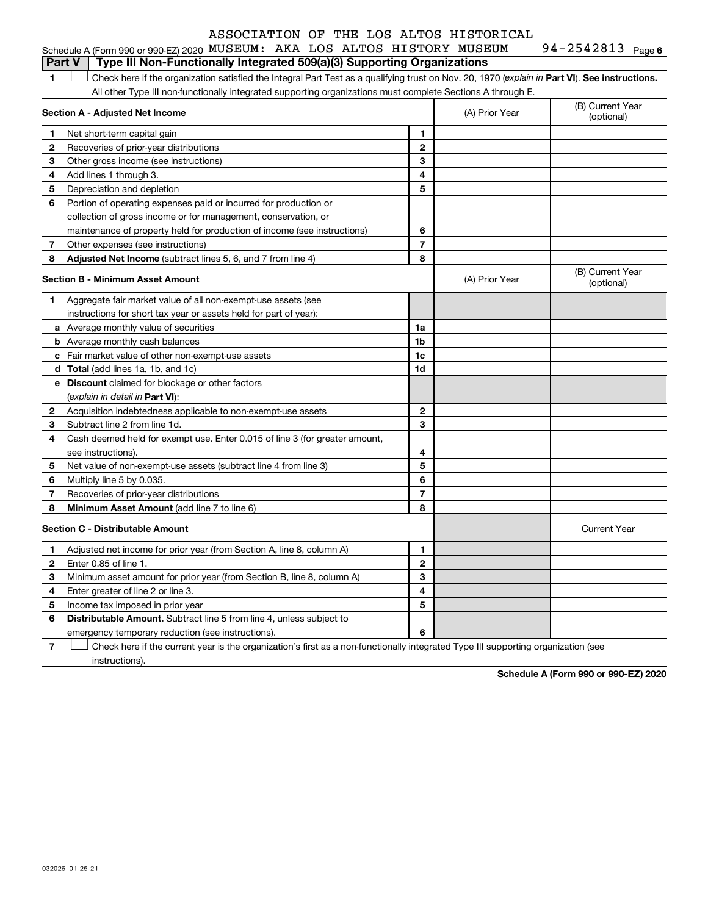1 **Letter See instructions.** Check here if the organization satisfied the Integral Part Test as a qualifying trust on Nov. 20, 1970 (*explain in* Part **VI**). See instructions. All other Type III non-functionally integrated supporting organizations must complete Sections A through E.

|              | Section A - Adjusted Net Income                                             |                | (A) Prior Year | (B) Current Year<br>(optional) |
|--------------|-----------------------------------------------------------------------------|----------------|----------------|--------------------------------|
| 1            | Net short-term capital gain                                                 | 1              |                |                                |
| 2            | Recoveries of prior-year distributions                                      | $\mathbf{2}$   |                |                                |
| З            | Other gross income (see instructions)                                       | 3              |                |                                |
| 4            | Add lines 1 through 3.                                                      | 4              |                |                                |
| 5            | Depreciation and depletion                                                  | 5              |                |                                |
| 6            | Portion of operating expenses paid or incurred for production or            |                |                |                                |
|              | collection of gross income or for management, conservation, or              |                |                |                                |
|              | maintenance of property held for production of income (see instructions)    | 6              |                |                                |
| 7            | Other expenses (see instructions)                                           | $\overline{7}$ |                |                                |
| 8            | Adjusted Net Income (subtract lines 5, 6, and 7 from line 4)                | 8              |                |                                |
|              | <b>Section B - Minimum Asset Amount</b>                                     |                | (A) Prior Year | (B) Current Year<br>(optional) |
| 1.           | Aggregate fair market value of all non-exempt-use assets (see               |                |                |                                |
|              | instructions for short tax year or assets held for part of year):           |                |                |                                |
|              | a Average monthly value of securities                                       | 1a             |                |                                |
|              | <b>b</b> Average monthly cash balances                                      | 1b             |                |                                |
|              | c Fair market value of other non-exempt-use assets                          | 1c             |                |                                |
|              | <b>d</b> Total (add lines 1a, 1b, and 1c)                                   | 1d             |                |                                |
|              | e Discount claimed for blockage or other factors                            |                |                |                                |
|              | (explain in detail in <b>Part VI</b> ):                                     |                |                |                                |
| 2            | Acquisition indebtedness applicable to non-exempt-use assets                | $\mathbf{2}$   |                |                                |
| 3            | Subtract line 2 from line 1d.                                               | 3              |                |                                |
| 4            | Cash deemed held for exempt use. Enter 0.015 of line 3 (for greater amount, |                |                |                                |
|              | see instructions).                                                          | 4              |                |                                |
| 5            | Net value of non-exempt-use assets (subtract line 4 from line 3)            | 5              |                |                                |
| 6            | Multiply line 5 by 0.035.                                                   | 6              |                |                                |
| 7            | Recoveries of prior-year distributions                                      | $\overline{7}$ |                |                                |
| 8            | Minimum Asset Amount (add line 7 to line 6)                                 | 8              |                |                                |
|              | <b>Section C - Distributable Amount</b>                                     |                |                | <b>Current Year</b>            |
| 1            | Adjusted net income for prior year (from Section A, line 8, column A)       | 1              |                |                                |
| $\mathbf{2}$ | Enter 0.85 of line 1.                                                       | $\mathbf{2}$   |                |                                |
| 3            | Minimum asset amount for prior year (from Section B, line 8, column A)      | 3              |                |                                |
| 4            | Enter greater of line 2 or line 3.                                          | 4              |                |                                |
| 5            | Income tax imposed in prior year                                            | 5              |                |                                |
| 6            | <b>Distributable Amount.</b> Subtract line 5 from line 4, unless subject to |                |                |                                |
|              | emergency temporary reduction (see instructions).                           | 6              |                |                                |

**7** Check here if the current year is the organization's first as a non-functionally integrated Type III supporting organization (see † instructions).

**Schedule A (Form 990 or 990-EZ) 2020**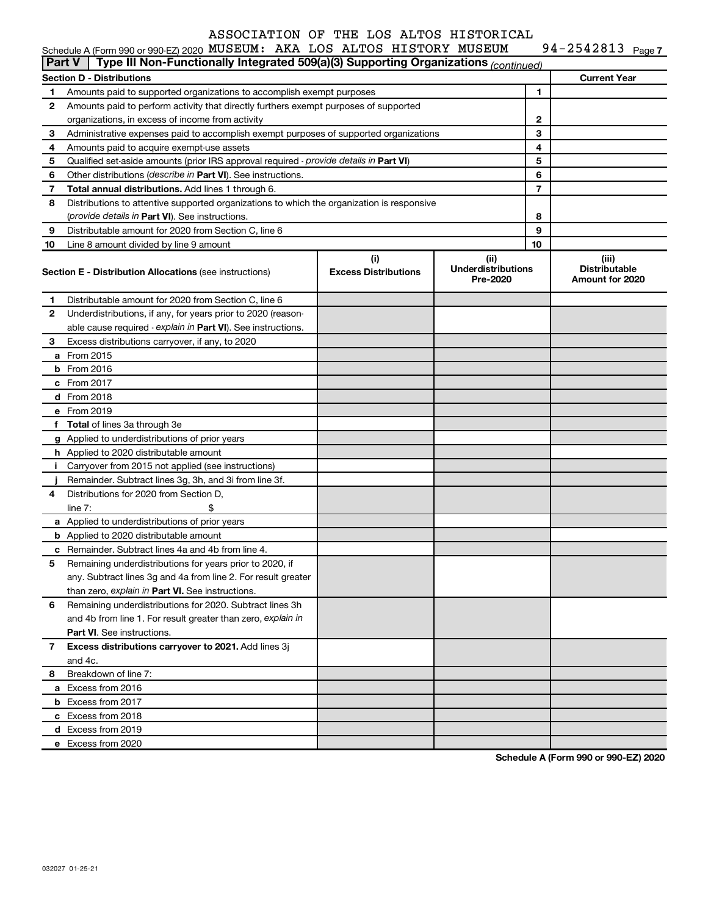| IUSEUM | $94 - 2542813$ Page 7 |  |
|--------|-----------------------|--|
|        |                       |  |

|                                                                                                                                                       | Schedule A (Form 990 or 990-EZ) 2020 MUSEUM: AKA LOS ALTOS HISTORY MUSEUM                  |  |  |  |                                                  | 94-2542813 Page 7   |  |
|-------------------------------------------------------------------------------------------------------------------------------------------------------|--------------------------------------------------------------------------------------------|--|--|--|--------------------------------------------------|---------------------|--|
| <b>Part V</b>                                                                                                                                         | Type III Non-Functionally Integrated 509(a)(3) Supporting Organizations (continued)        |  |  |  |                                                  |                     |  |
|                                                                                                                                                       | <b>Section D - Distributions</b>                                                           |  |  |  |                                                  | <b>Current Year</b> |  |
| 1                                                                                                                                                     | Amounts paid to supported organizations to accomplish exempt purposes                      |  |  |  | 1                                                |                     |  |
| 2                                                                                                                                                     | Amounts paid to perform activity that directly furthers exempt purposes of supported       |  |  |  |                                                  |                     |  |
|                                                                                                                                                       | organizations, in excess of income from activity                                           |  |  |  | 2                                                |                     |  |
| 3                                                                                                                                                     | Administrative expenses paid to accomplish exempt purposes of supported organizations      |  |  |  | 3                                                |                     |  |
| 4                                                                                                                                                     | Amounts paid to acquire exempt-use assets                                                  |  |  |  | 4                                                |                     |  |
| 5                                                                                                                                                     | Qualified set-aside amounts (prior IRS approval required - provide details in Part VI)     |  |  |  | 5                                                |                     |  |
| 6                                                                                                                                                     | Other distributions (describe in Part VI). See instructions.                               |  |  |  | 6                                                |                     |  |
| 7                                                                                                                                                     | Total annual distributions. Add lines 1 through 6.                                         |  |  |  | 7                                                |                     |  |
| 8                                                                                                                                                     | Distributions to attentive supported organizations to which the organization is responsive |  |  |  |                                                  |                     |  |
|                                                                                                                                                       | (provide details in Part VI). See instructions.                                            |  |  |  | 8                                                |                     |  |
| 9                                                                                                                                                     | Distributable amount for 2020 from Section C, line 6                                       |  |  |  | 9                                                |                     |  |
| 10                                                                                                                                                    | Line 8 amount divided by line 9 amount                                                     |  |  |  | 10                                               |                     |  |
| (i)<br>(ii)<br><b>Underdistributions</b><br><b>Excess Distributions</b><br><b>Section E - Distribution Allocations (see instructions)</b><br>Pre-2020 |                                                                                            |  |  |  | (iii)<br><b>Distributable</b><br>Amount for 2020 |                     |  |
| 1                                                                                                                                                     | Distributable amount for 2020 from Section C, line 6                                       |  |  |  |                                                  |                     |  |
| 2                                                                                                                                                     | Underdistributions, if any, for years prior to 2020 (reason-                               |  |  |  |                                                  |                     |  |
|                                                                                                                                                       | able cause required - explain in Part VI). See instructions.                               |  |  |  |                                                  |                     |  |
| 3                                                                                                                                                     | Excess distributions carryover, if any, to 2020                                            |  |  |  |                                                  |                     |  |
|                                                                                                                                                       | a From 2015                                                                                |  |  |  |                                                  |                     |  |
|                                                                                                                                                       | <b>b</b> From 2016                                                                         |  |  |  |                                                  |                     |  |
|                                                                                                                                                       | c From 2017                                                                                |  |  |  |                                                  |                     |  |
|                                                                                                                                                       | d From 2018                                                                                |  |  |  |                                                  |                     |  |
|                                                                                                                                                       | e From 2019                                                                                |  |  |  |                                                  |                     |  |
|                                                                                                                                                       | f Total of lines 3a through 3e                                                             |  |  |  |                                                  |                     |  |
|                                                                                                                                                       | g Applied to underdistributions of prior years                                             |  |  |  |                                                  |                     |  |
|                                                                                                                                                       | h Applied to 2020 distributable amount                                                     |  |  |  |                                                  |                     |  |
| Ť.                                                                                                                                                    | Carryover from 2015 not applied (see instructions)                                         |  |  |  |                                                  |                     |  |
|                                                                                                                                                       | Remainder. Subtract lines 3g, 3h, and 3i from line 3f.                                     |  |  |  |                                                  |                     |  |
| 4                                                                                                                                                     | Distributions for 2020 from Section D,                                                     |  |  |  |                                                  |                     |  |
|                                                                                                                                                       | line $7:$                                                                                  |  |  |  |                                                  |                     |  |
|                                                                                                                                                       | a Applied to underdistributions of prior years                                             |  |  |  |                                                  |                     |  |
|                                                                                                                                                       | <b>b</b> Applied to 2020 distributable amount                                              |  |  |  |                                                  |                     |  |
|                                                                                                                                                       | c Remainder. Subtract lines 4a and 4b from line 4.                                         |  |  |  |                                                  |                     |  |
|                                                                                                                                                       | 5 Remaining underdistributions for years prior to 2020, if                                 |  |  |  |                                                  |                     |  |
|                                                                                                                                                       | any. Subtract lines 3q and 4a from line 2. For result greater                              |  |  |  |                                                  |                     |  |
|                                                                                                                                                       | than zero, explain in Part VI. See instructions.                                           |  |  |  |                                                  |                     |  |
| 6                                                                                                                                                     | Remaining underdistributions for 2020. Subtract lines 3h                                   |  |  |  |                                                  |                     |  |
|                                                                                                                                                       | and 4b from line 1. For result greater than zero, explain in                               |  |  |  |                                                  |                     |  |
|                                                                                                                                                       | <b>Part VI.</b> See instructions.                                                          |  |  |  |                                                  |                     |  |
| 7                                                                                                                                                     | Excess distributions carryover to 2021. Add lines 3j                                       |  |  |  |                                                  |                     |  |
|                                                                                                                                                       | and 4c.                                                                                    |  |  |  |                                                  |                     |  |
| 8                                                                                                                                                     | Breakdown of line 7:                                                                       |  |  |  |                                                  |                     |  |
|                                                                                                                                                       | a Excess from 2016                                                                         |  |  |  |                                                  |                     |  |
|                                                                                                                                                       | <b>b</b> Excess from 2017                                                                  |  |  |  |                                                  |                     |  |
|                                                                                                                                                       | c Excess from 2018                                                                         |  |  |  |                                                  |                     |  |
|                                                                                                                                                       | d Excess from 2019                                                                         |  |  |  |                                                  |                     |  |
|                                                                                                                                                       | e Excess from 2020                                                                         |  |  |  |                                                  |                     |  |

**Schedule A (Form 990 or 990-EZ) 2020**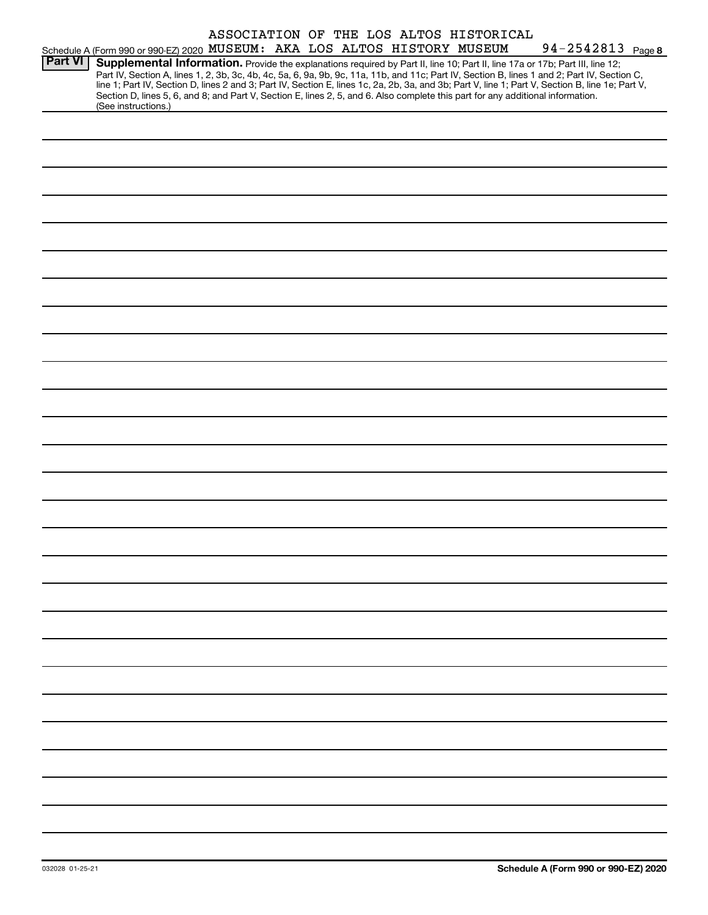|                |                                                                                                                                                                                                                                                                                         |  |  | ASSOCIATION OF THE LOS ALTOS HISTORICAL |                                                                                                                                                                                                                                                                                                  |
|----------------|-----------------------------------------------------------------------------------------------------------------------------------------------------------------------------------------------------------------------------------------------------------------------------------------|--|--|-----------------------------------------|--------------------------------------------------------------------------------------------------------------------------------------------------------------------------------------------------------------------------------------------------------------------------------------------------|
|                | Schedule A (Form 990 or 990-EZ) 2020 MUSEUM: AKA LOS ALTOS HISTORY MUSEUM                                                                                                                                                                                                               |  |  |                                         | 94-2542813 Page 8                                                                                                                                                                                                                                                                                |
| <b>Part VI</b> | Supplemental Information. Provide the explanations required by Part II, line 10; Part II, line 17a or 17b; Part III, line 12;<br>Section D, lines 5, 6, and 8; and Part V, Section E, lines 2, 5, and 6. Also complete this part for any additional information.<br>(See instructions.) |  |  |                                         | Part IV, Section A, lines 1, 2, 3b, 3c, 4b, 4c, 5a, 6, 9a, 9b, 9c, 11a, 11b, and 11c; Part IV, Section B, lines 1 and 2; Part IV, Section C,<br>line 1; Part IV, Section D, lines 2 and 3; Part IV, Section E, lines 1c, 2a, 2b, 3a, and 3b; Part V, line 1; Part V, Section B, line 1e; Part V, |
|                |                                                                                                                                                                                                                                                                                         |  |  |                                         |                                                                                                                                                                                                                                                                                                  |
|                |                                                                                                                                                                                                                                                                                         |  |  |                                         |                                                                                                                                                                                                                                                                                                  |
|                |                                                                                                                                                                                                                                                                                         |  |  |                                         |                                                                                                                                                                                                                                                                                                  |
|                |                                                                                                                                                                                                                                                                                         |  |  |                                         |                                                                                                                                                                                                                                                                                                  |
|                |                                                                                                                                                                                                                                                                                         |  |  |                                         |                                                                                                                                                                                                                                                                                                  |
|                |                                                                                                                                                                                                                                                                                         |  |  |                                         |                                                                                                                                                                                                                                                                                                  |
|                |                                                                                                                                                                                                                                                                                         |  |  |                                         |                                                                                                                                                                                                                                                                                                  |
|                |                                                                                                                                                                                                                                                                                         |  |  |                                         |                                                                                                                                                                                                                                                                                                  |
|                |                                                                                                                                                                                                                                                                                         |  |  |                                         |                                                                                                                                                                                                                                                                                                  |
|                |                                                                                                                                                                                                                                                                                         |  |  |                                         |                                                                                                                                                                                                                                                                                                  |
|                |                                                                                                                                                                                                                                                                                         |  |  |                                         |                                                                                                                                                                                                                                                                                                  |
|                |                                                                                                                                                                                                                                                                                         |  |  |                                         |                                                                                                                                                                                                                                                                                                  |
|                |                                                                                                                                                                                                                                                                                         |  |  |                                         |                                                                                                                                                                                                                                                                                                  |
|                |                                                                                                                                                                                                                                                                                         |  |  |                                         |                                                                                                                                                                                                                                                                                                  |
|                |                                                                                                                                                                                                                                                                                         |  |  |                                         |                                                                                                                                                                                                                                                                                                  |
|                |                                                                                                                                                                                                                                                                                         |  |  |                                         |                                                                                                                                                                                                                                                                                                  |
|                |                                                                                                                                                                                                                                                                                         |  |  |                                         |                                                                                                                                                                                                                                                                                                  |
|                |                                                                                                                                                                                                                                                                                         |  |  |                                         |                                                                                                                                                                                                                                                                                                  |
|                |                                                                                                                                                                                                                                                                                         |  |  |                                         |                                                                                                                                                                                                                                                                                                  |
|                |                                                                                                                                                                                                                                                                                         |  |  |                                         |                                                                                                                                                                                                                                                                                                  |
|                |                                                                                                                                                                                                                                                                                         |  |  |                                         |                                                                                                                                                                                                                                                                                                  |
|                |                                                                                                                                                                                                                                                                                         |  |  |                                         |                                                                                                                                                                                                                                                                                                  |
|                |                                                                                                                                                                                                                                                                                         |  |  |                                         |                                                                                                                                                                                                                                                                                                  |
|                |                                                                                                                                                                                                                                                                                         |  |  |                                         |                                                                                                                                                                                                                                                                                                  |
|                |                                                                                                                                                                                                                                                                                         |  |  |                                         |                                                                                                                                                                                                                                                                                                  |
|                |                                                                                                                                                                                                                                                                                         |  |  |                                         |                                                                                                                                                                                                                                                                                                  |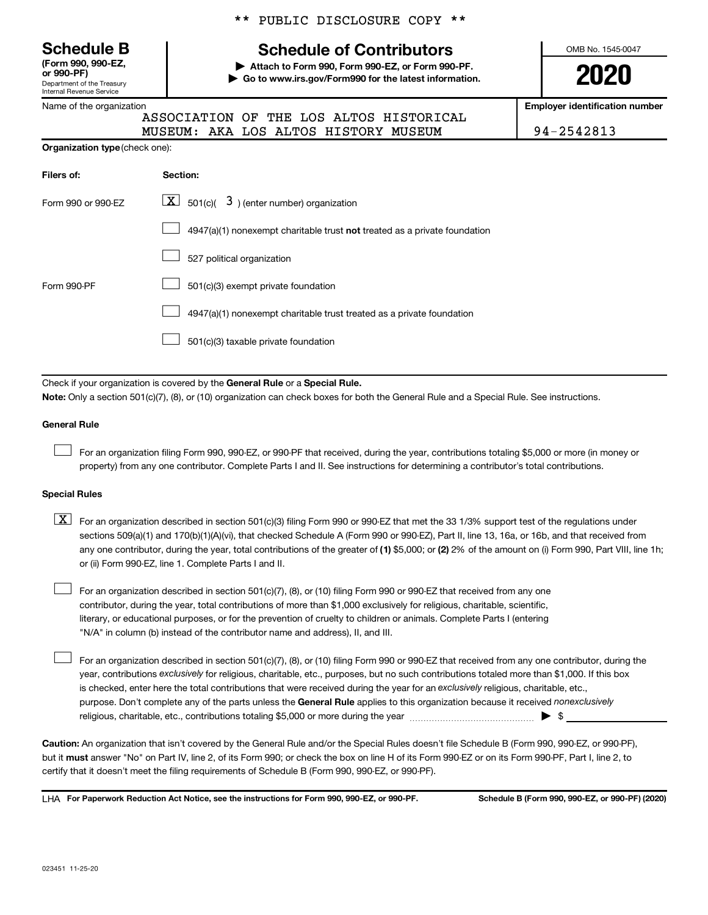Department of the Treasury Internal Revenue Service **(Form 990, 990-EZ,**

|  |  |  | Name of the organization |
|--|--|--|--------------------------|
|--|--|--|--------------------------|

## \*\* PUBLIC DISCLOSURE COPY \*\*

# **Schedule B Schedule of Contributors**

**or 990-PF) | Attach to Form 990, Form 990-EZ, or Form 990-PF. | Go to www.irs.gov/Form990 for the latest information.** OMB No. 1545-0047

**2020**

**Employer identification number**

| 14-2542813 |  |  |  |
|------------|--|--|--|
|            |  |  |  |

| ------ |                                         | __________________________ |
|--------|-----------------------------------------|----------------------------|
|        | ASSOCIATION OF THE LOS ALTOS HISTORICAL |                            |
|        | MUSEUM: AKA LOS ALTOS HISTORY MUSEUM    | $194 - 2542813$            |

| <b>Organization type (check one):</b> |                                                                           |
|---------------------------------------|---------------------------------------------------------------------------|
| Filers of:                            | Section:                                                                  |
| Form 990 or 990-EZ                    | $\boxed{\textbf{X}}$ 501(c)( 3) (enter number) organization               |
|                                       | 4947(a)(1) nonexempt charitable trust not treated as a private foundation |
|                                       | 527 political organization                                                |
| Form 990-PF                           | 501(c)(3) exempt private foundation                                       |
|                                       | 4947(a)(1) nonexempt charitable trust treated as a private foundation     |
|                                       | 501(c)(3) taxable private foundation                                      |

Check if your organization is covered by the General Rule or a Special Rule. **Note:**  Only a section 501(c)(7), (8), or (10) organization can check boxes for both the General Rule and a Special Rule. See instructions.

#### **General Rule**

 $\Box$ 

 $\Box$ 

For an organization filing Form 990, 990-EZ, or 990-PF that received, during the year, contributions totaling \$5,000 or more (in money or property) from any one contributor. Complete Parts I and II. See instructions for determining a contributor's total contributions.

#### **Special Rules**

any one contributor, during the year, total contributions of the greater of (1) \$5,000; or (2) 2% of the amount on (i) Form 990, Part VIII, line 1h;  $\boxed{\text{X}}$  For an organization described in section 501(c)(3) filing Form 990 or 990-EZ that met the 33 1/3% support test of the regulations under sections 509(a)(1) and 170(b)(1)(A)(vi), that checked Schedule A (Form 990 or 990-EZ), Part II, line 13, 16a, or 16b, and that received from or (ii) Form 990-EZ, line 1. Complete Parts I and II.

For an organization described in section 501(c)(7), (8), or (10) filing Form 990 or 990-EZ that received from any one contributor, during the year, total contributions of more than \$1,000 exclusively for religious, charitable, scientific, literary, or educational purposes, or for the prevention of cruelty to children or animals. Complete Parts I (entering "N/A" in column (b) instead of the contributor name and address), II, and III.  $\Box$ 

purpose. Don't complete any of the parts unless the General Rule applies to this organization because it received nonexclusively year, contributions exclusively for religious, charitable, etc., purposes, but no such contributions totaled more than \$1,000. If this box is checked, enter here the total contributions that were received during the year for an exclusively religious, charitable, etc., For an organization described in section 501(c)(7), (8), or (10) filing Form 990 or 990-EZ that received from any one contributor, during the religious, charitable, etc., contributions totaling \$5,000 or more during the year  $~\ldots\ldots\ldots\ldots\ldots\ldots\ldots\ldots\blacktriangleright~$ \$

**Caution:**  An organization that isn't covered by the General Rule and/or the Special Rules doesn't file Schedule B (Form 990, 990-EZ, or 990-PF),  **must** but it answer "No" on Part IV, line 2, of its Form 990; or check the box on line H of its Form 990-EZ or on its Form 990-PF, Part I, line 2, to certify that it doesn't meet the filing requirements of Schedule B (Form 990, 990-EZ, or 990-PF).

**For Paperwork Reduction Act Notice, see the instructions for Form 990, 990-EZ, or 990-PF. Schedule B (Form 990, 990-EZ, or 990-PF) (2020)** LHA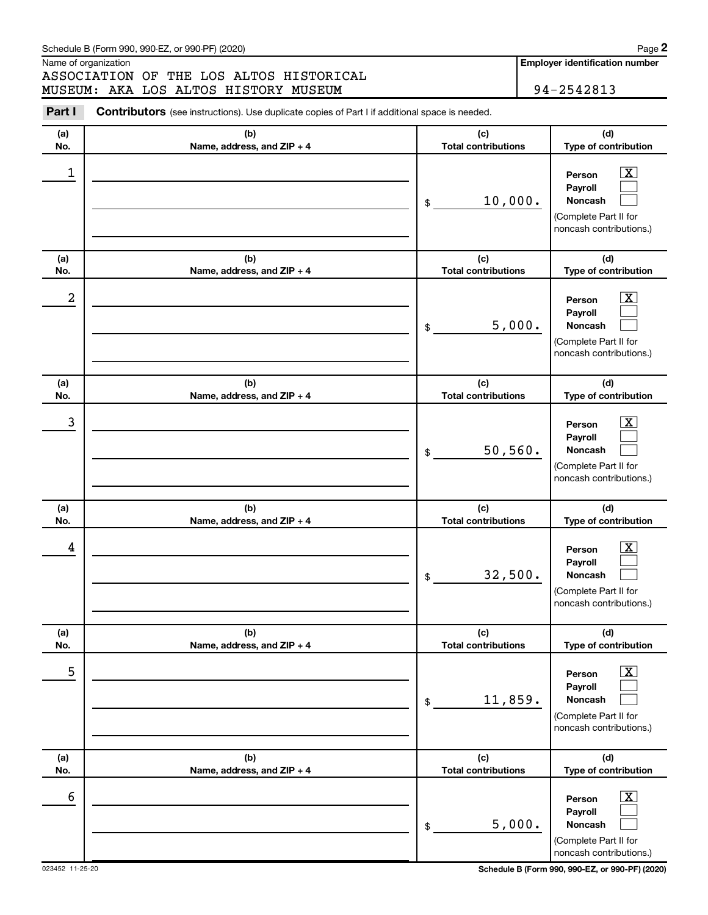Name of organization

ASSOCIATION OF THE LOS ALTOS HISTORICAL MUSEUM: AKA LOS ALTOS HISTORY MUSEUM **194-2542813** 

**Employer identification number**

| Part I     | <b>Contributors</b> (see instructions). Use duplicate copies of Part I if additional space is needed. |                                             |                                                                                                                                  |  |  |
|------------|-------------------------------------------------------------------------------------------------------|---------------------------------------------|----------------------------------------------------------------------------------------------------------------------------------|--|--|
| (a)        | (b)                                                                                                   | (c)                                         | (d)                                                                                                                              |  |  |
| No.        | Name, address, and ZIP + 4                                                                            | <b>Total contributions</b>                  | Type of contribution                                                                                                             |  |  |
| 1          |                                                                                                       | 10,000.<br>\$                               | $\boxed{\textbf{X}}$<br>Person<br>Payroll<br>Noncash<br>(Complete Part II for<br>noncash contributions.)                         |  |  |
| (a)<br>No. | (b)<br>Name, address, and ZIP + 4                                                                     | (c)<br><b>Total contributions</b>           | (d)<br>Type of contribution                                                                                                      |  |  |
| 2          |                                                                                                       | 5,000.<br>\$                                | $\boxed{\textbf{X}}$<br>Person<br>Payroll<br>Noncash<br>(Complete Part II for<br>noncash contributions.)                         |  |  |
| (a)<br>No. | (b)<br>Name, address, and ZIP + 4                                                                     | (c)<br><b>Total contributions</b>           | (d)<br>Type of contribution                                                                                                      |  |  |
| 3          |                                                                                                       | 50, 560.<br>\$                              | $\boxed{\textbf{X}}$<br>Person<br>Payroll<br>Noncash<br>(Complete Part II for<br>noncash contributions.)                         |  |  |
| (a)        | (b)                                                                                                   | (c)                                         | (d)                                                                                                                              |  |  |
| No.<br>4   | Name, address, and ZIP + 4                                                                            | <b>Total contributions</b><br>32,500.<br>\$ | Type of contribution<br>$\boxed{\textbf{X}}$<br>Person<br>Payroll<br>Noncash<br>(Complete Part II for<br>noncash contributions.) |  |  |
| (a)<br>No. | (b)<br>Name, address, and ZIP + 4                                                                     | (c)<br><b>Total contributions</b>           | (d)<br>Type of contribution                                                                                                      |  |  |
| 5          |                                                                                                       | 11,859.<br>\$                               | $\boxed{\textbf{X}}$<br>Person<br>Payroll<br>Noncash<br>(Complete Part II for<br>noncash contributions.)                         |  |  |
| (a)<br>No. | (b)<br>Name, address, and ZIP + 4                                                                     | (c)<br><b>Total contributions</b>           | (d)<br>Type of contribution                                                                                                      |  |  |
| 6          |                                                                                                       | 5,000.<br>\$                                | $\boxed{\textbf{X}}$<br>Person<br>Payroll<br>Noncash<br>(Complete Part II for<br>noncash contributions.)                         |  |  |

023452 11-25-20 **Schedule B (Form 990, 990-EZ, or 990-PF) (2020)**

**2**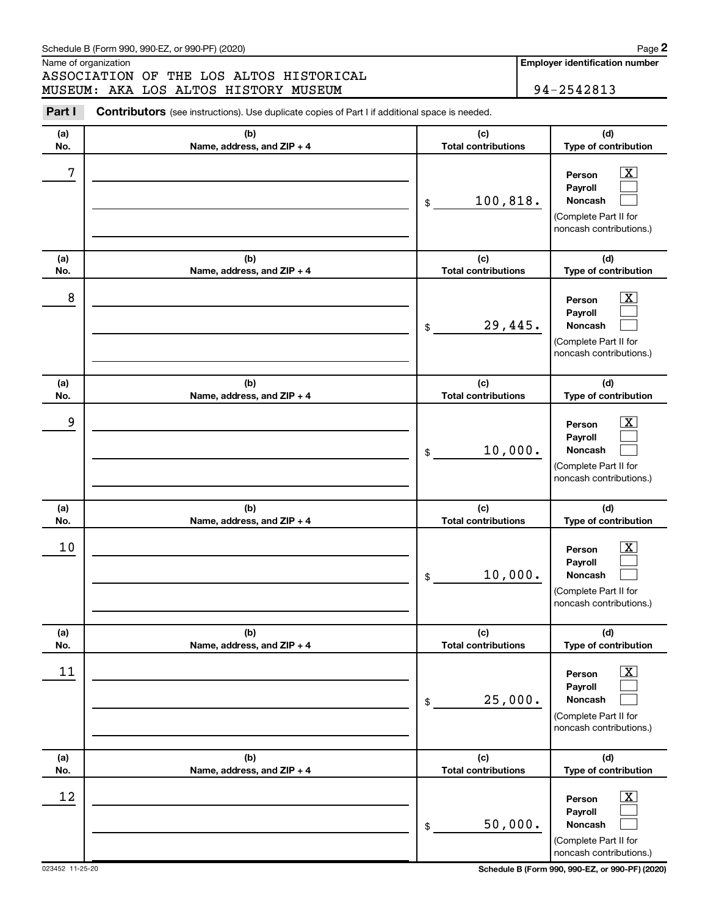Name of organization

ASSOCIATION OF THE LOS ALTOS HISTORICAL MUSEUM: AKA LOS ALTOS HISTORY MUSEUM **194-2542813** 

**Employer identification number**

| Part I     | <b>Contributors</b> (see instructions). Use duplicate copies of Part I if additional space is needed. |                                              |                                                                                                                                  |  |  |
|------------|-------------------------------------------------------------------------------------------------------|----------------------------------------------|----------------------------------------------------------------------------------------------------------------------------------|--|--|
| (a)        | (b)                                                                                                   | (c)                                          | (d)                                                                                                                              |  |  |
| No.<br>7   | Name, address, and ZIP + 4                                                                            | <b>Total contributions</b><br>100,818.<br>\$ | Type of contribution<br>$\boxed{\textbf{X}}$<br>Person<br>Payroll<br>Noncash<br>(Complete Part II for<br>noncash contributions.) |  |  |
| (a)<br>No. | (b)<br>Name, address, and ZIP + 4                                                                     | (c)<br><b>Total contributions</b>            | (d)<br>Type of contribution                                                                                                      |  |  |
| 8          |                                                                                                       | 29,445.<br>\$                                | $\boxed{\textbf{X}}$<br>Person<br>Payroll<br>Noncash<br>(Complete Part II for<br>noncash contributions.)                         |  |  |
| (a)<br>No. | (b)<br>Name, address, and ZIP + 4                                                                     | (c)<br><b>Total contributions</b>            | (d)<br>Type of contribution                                                                                                      |  |  |
| 9          |                                                                                                       | 10,000.<br>\$                                | $\boxed{\textbf{X}}$<br>Person<br>Payroll<br>Noncash<br>(Complete Part II for<br>noncash contributions.)                         |  |  |
| (a)        | (b)                                                                                                   | (c)                                          | (d)                                                                                                                              |  |  |
| No.<br>10  | Name, address, and ZIP + 4                                                                            | <b>Total contributions</b><br>10,000.<br>\$  | Type of contribution<br>$\boxed{\text{X}}$<br>Person<br>Payroll<br>Noncash<br>(Complete Part II for<br>noncash contributions.)   |  |  |
| (a)<br>No. | (b)<br>Name, address, and ZIP + 4                                                                     | (c)<br><b>Total contributions</b>            | (d)<br>Type of contribution                                                                                                      |  |  |
| 11         |                                                                                                       | 25,000.<br>\$                                | $\boxed{\textbf{X}}$<br>Person<br>Payroll<br>Noncash<br>(Complete Part II for<br>noncash contributions.)                         |  |  |
| (a)<br>No. | (b)<br>Name, address, and ZIP + 4                                                                     | (c)<br><b>Total contributions</b>            | (d)<br>Type of contribution                                                                                                      |  |  |
| 12         |                                                                                                       | 50,000.<br>\$                                | $\boxed{\textbf{X}}$<br>Person<br>Payroll<br>Noncash<br>(Complete Part II for<br>noncash contributions.)                         |  |  |

023452 11-25-20 **Schedule B (Form 990, 990-EZ, or 990-PF) (2020)**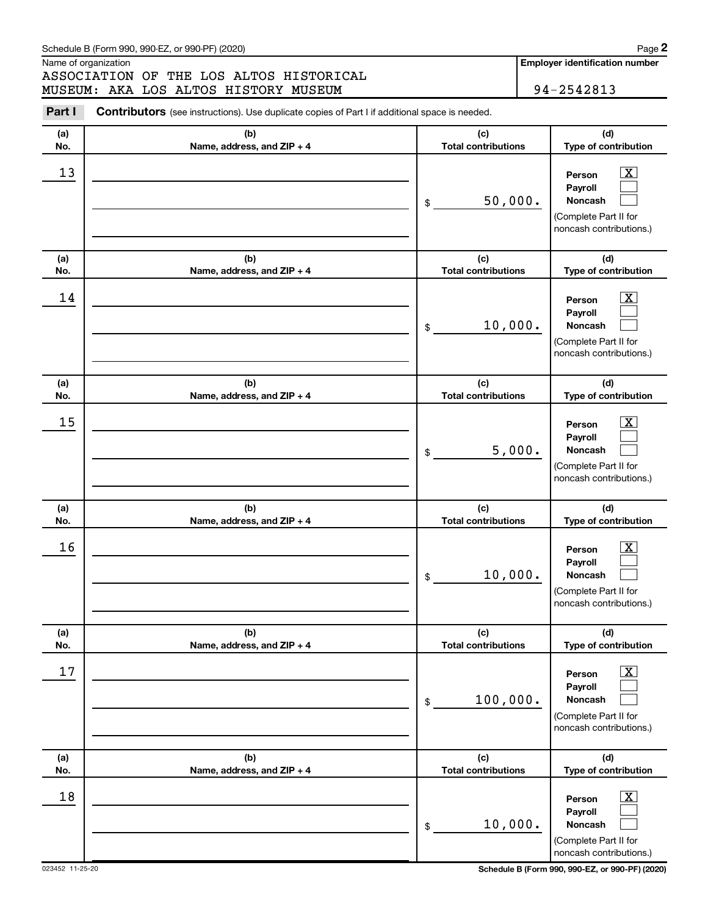Name of organization

ASSOCIATION OF THE LOS ALTOS HISTORICAL MUSEUM: AKA LOS ALTOS HISTORY MUSEUM **194-2542813** 

**Employer identification number**

| Part I     | <b>Contributors</b> (see instructions). Use duplicate copies of Part I if additional space is needed. |                                             |                                                                                                                                     |
|------------|-------------------------------------------------------------------------------------------------------|---------------------------------------------|-------------------------------------------------------------------------------------------------------------------------------------|
| (a)        | (b)                                                                                                   | (c)                                         | (d)                                                                                                                                 |
| No.        | Name, address, and ZIP + 4                                                                            | <b>Total contributions</b>                  | Type of contribution                                                                                                                |
| 13         |                                                                                                       | 50,000.<br>\$                               | $\overline{\mathbf{X}}$<br>Person<br>Payroll<br>Noncash<br>(Complete Part II for<br>noncash contributions.)                         |
| (a)<br>No. | (b)<br>Name, address, and ZIP + 4                                                                     | (c)<br><b>Total contributions</b>           | (d)<br>Type of contribution                                                                                                         |
| 14         |                                                                                                       | 10,000.<br>\$                               | $\overline{\text{X}}$<br>Person<br>Payroll<br>Noncash<br>(Complete Part II for<br>noncash contributions.)                           |
| (a)        | (b)                                                                                                   | (c)                                         | (d)                                                                                                                                 |
| No.        | Name, address, and ZIP + 4                                                                            | <b>Total contributions</b>                  | Type of contribution                                                                                                                |
| 15         |                                                                                                       | 5,000.<br>\$                                | $\overline{\text{X}}$<br>Person<br>Payroll<br>Noncash<br>(Complete Part II for<br>noncash contributions.)                           |
| (a)        | (b)                                                                                                   | (c)                                         | (d)                                                                                                                                 |
| No.<br>16  | Name, address, and ZIP + 4                                                                            | <b>Total contributions</b><br>10,000.<br>\$ | Type of contribution<br>$\overline{\mathbf{X}}$<br>Person<br>Payroll<br>Noncash<br>(Complete Part II for<br>noncash contributions.) |
| (a)<br>No. | (b)<br>Name, address, and ZIP + 4                                                                     | (c)<br><b>Total contributions</b>           | (d)<br>Type of contribution                                                                                                         |
| 17         |                                                                                                       | 100,000.<br>$\$$                            | $\overline{\mathbf{X}}$<br>Person<br>Payroll<br>Noncash<br>(Complete Part II for<br>noncash contributions.)                         |
| (a)        | (b)                                                                                                   | (c)                                         | (d)                                                                                                                                 |
| No.<br>18  | Name, address, and ZIP + 4                                                                            | <b>Total contributions</b><br>10,000.<br>\$ | Type of contribution<br>$\boxed{\textbf{X}}$<br>Person<br>Payroll<br>Noncash<br>(Complete Part II for<br>noncash contributions.)    |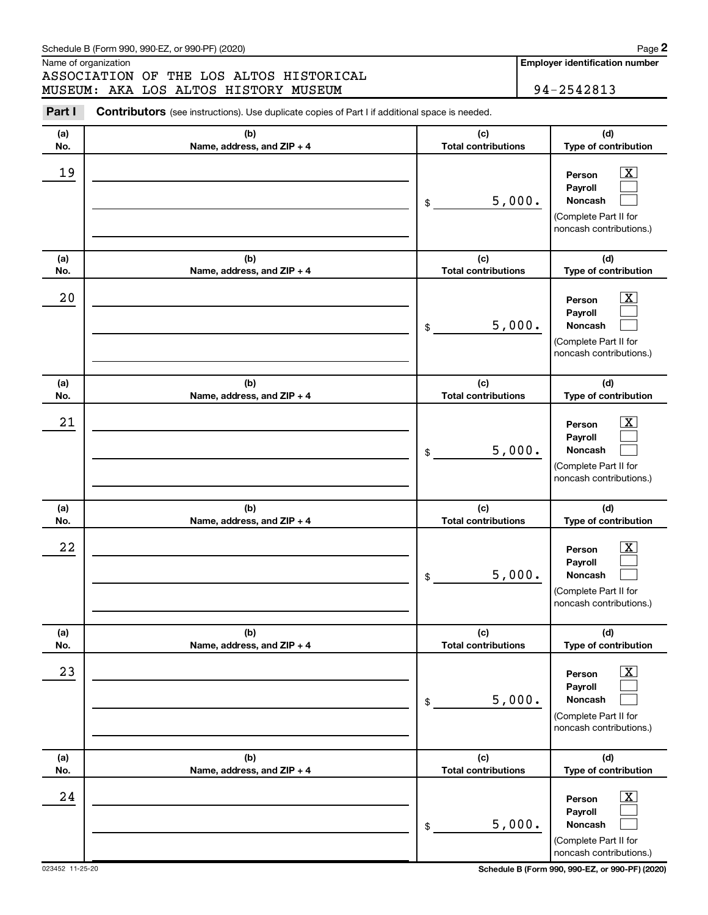Name of organization

ASSOCIATION OF THE LOS ALTOS HISTORICAL MUSEUM: AKA LOS ALTOS HISTORY MUSEUM **194-2542813** 

**Employer identification number**

| Part I     | <b>Contributors</b> (see instructions). Use duplicate copies of Part I if additional space is needed. |                                            |                                                                                                                                            |
|------------|-------------------------------------------------------------------------------------------------------|--------------------------------------------|--------------------------------------------------------------------------------------------------------------------------------------------|
| (a)        | (b)                                                                                                   | (c)                                        | (d)                                                                                                                                        |
| No.<br>19  | Name, address, and ZIP + 4                                                                            | <b>Total contributions</b><br>5,000.<br>\$ | Type of contribution<br>$\overline{\mathbf{X}}$<br>Person<br>Payroll<br><b>Noncash</b><br>(Complete Part II for<br>noncash contributions.) |
| (a)<br>No. | (b)<br>Name, address, and ZIP + 4                                                                     | (c)<br><b>Total contributions</b>          | (d)<br>Type of contribution                                                                                                                |
| 20         |                                                                                                       | 5,000.<br>\$                               | $\overline{\text{X}}$<br>Person<br>Payroll<br><b>Noncash</b><br>(Complete Part II for<br>noncash contributions.)                           |
| (a)<br>No. | (b)<br>Name, address, and ZIP + 4                                                                     | (c)<br><b>Total contributions</b>          | (d)<br>Type of contribution                                                                                                                |
| 21         |                                                                                                       | 5,000.<br>\$                               | $\overline{\text{X}}$<br>Person<br>Payroll<br><b>Noncash</b><br>(Complete Part II for<br>noncash contributions.)                           |
| (a)<br>No. | (b)<br>Name, address, and ZIP + 4                                                                     | (c)<br><b>Total contributions</b>          | (d)<br>Type of contribution                                                                                                                |
| 22         |                                                                                                       | 5,000.<br>\$                               | $\overline{\text{X}}$<br>Person<br>Payroll<br><b>Noncash</b><br>(Complete Part II for<br>noncash contributions.)                           |
| (a)<br>No. | (b)<br>Name, address, and ZIP + 4                                                                     | (c)<br><b>Total contributions</b>          | (d)<br>Type of contribution                                                                                                                |
| 23         |                                                                                                       | 5,000.<br>\$                               | $\overline{\text{X}}$<br>Person<br>Payroll<br>Noncash<br>(Complete Part II for<br>noncash contributions.)                                  |
| (a)<br>No. | (b)<br>Name, address, and ZIP + 4                                                                     | (c)<br><b>Total contributions</b>          | (d)<br>Type of contribution                                                                                                                |
| 24         |                                                                                                       | 5,000.<br>\$                               | $\overline{\text{X}}$<br>Person<br>Payroll<br>Noncash<br>(Complete Part II for<br>noncash contributions.)                                  |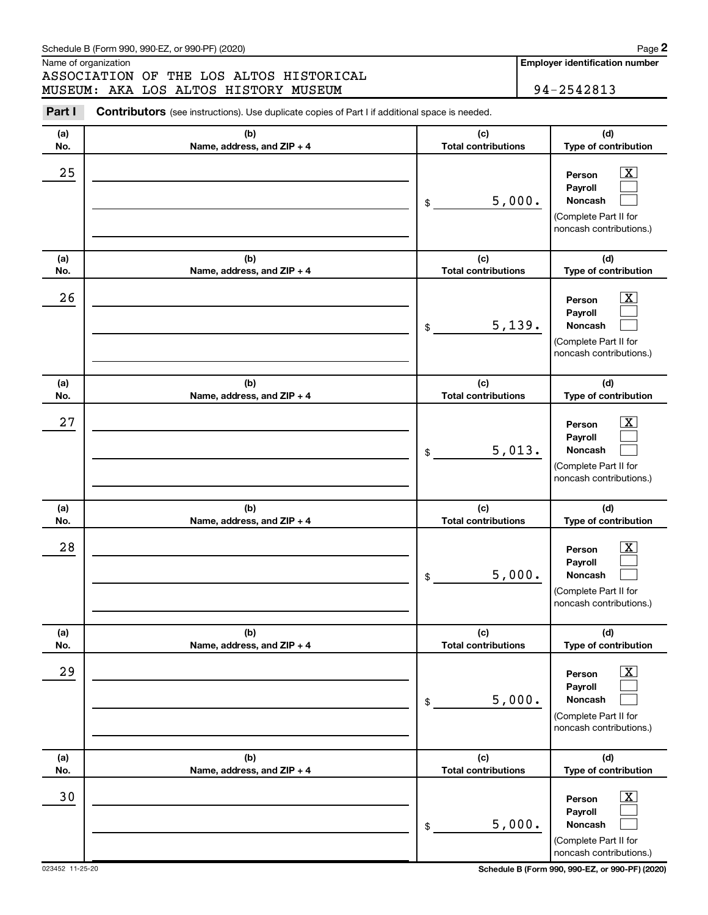Name of organization

ASSOCIATION OF THE LOS ALTOS HISTORICAL MUSEUM: AKA LOS ALTOS HISTORY MUSEUM **194-2542813** 

**Employer identification number**

| Part I     | <b>Contributors</b> (see instructions). Use duplicate copies of Part I if additional space is needed. |                                            |                                                                                                                                         |
|------------|-------------------------------------------------------------------------------------------------------|--------------------------------------------|-----------------------------------------------------------------------------------------------------------------------------------------|
| (a)        | (b)                                                                                                   | (c)                                        | (d)                                                                                                                                     |
| No.        | Name, address, and ZIP + 4                                                                            | <b>Total contributions</b>                 | Type of contribution                                                                                                                    |
| 25         |                                                                                                       | 5,000.<br>\$                               | $\boxed{\textbf{X}}$<br>Person<br>Payroll<br><b>Noncash</b><br>(Complete Part II for<br>noncash contributions.)                         |
| (a)<br>No. | (b)<br>Name, address, and ZIP + 4                                                                     | (c)<br><b>Total contributions</b>          | (d)<br>Type of contribution                                                                                                             |
| 26         |                                                                                                       | 5,139.<br>\$                               | $\boxed{\textbf{X}}$<br>Person<br>Payroll<br><b>Noncash</b><br>(Complete Part II for<br>noncash contributions.)                         |
| (a)<br>No. | (b)<br>Name, address, and ZIP + 4                                                                     | (c)<br><b>Total contributions</b>          | (d)<br>Type of contribution                                                                                                             |
| 27         |                                                                                                       | 5,013.<br>\$                               | $\boxed{\textbf{X}}$<br>Person<br>Payroll<br><b>Noncash</b><br>(Complete Part II for<br>noncash contributions.)                         |
| (a)        | (b)                                                                                                   | (c)                                        | (d)                                                                                                                                     |
| No.<br>28  | Name, address, and ZIP + 4                                                                            | <b>Total contributions</b><br>5,000.<br>\$ | Type of contribution<br>$\boxed{\textbf{X}}$<br>Person<br>Payroll<br><b>Noncash</b><br>(Complete Part II for<br>noncash contributions.) |
| (a)<br>No. | (b)<br>Name, address, and ZIP + 4                                                                     | (c)<br><b>Total contributions</b>          | (d)<br>Type of contribution                                                                                                             |
| 29         |                                                                                                       | 5,000.<br>\$                               | $\boxed{\textbf{X}}$<br>Person<br>Payroll<br>Noncash<br>(Complete Part II for<br>noncash contributions.)                                |
| (a)<br>No. | (b)<br>Name, address, and ZIP + 4                                                                     | (c)<br><b>Total contributions</b>          | (d)<br>Type of contribution                                                                                                             |
| 30         |                                                                                                       | 5,000.<br>\$                               | $\overline{\mathbf{X}}$<br>Person<br>Payroll<br>Noncash<br>(Complete Part II for<br>noncash contributions.)                             |

023452 11-25-20 **Schedule B (Form 990, 990-EZ, or 990-PF) (2020)**

**2**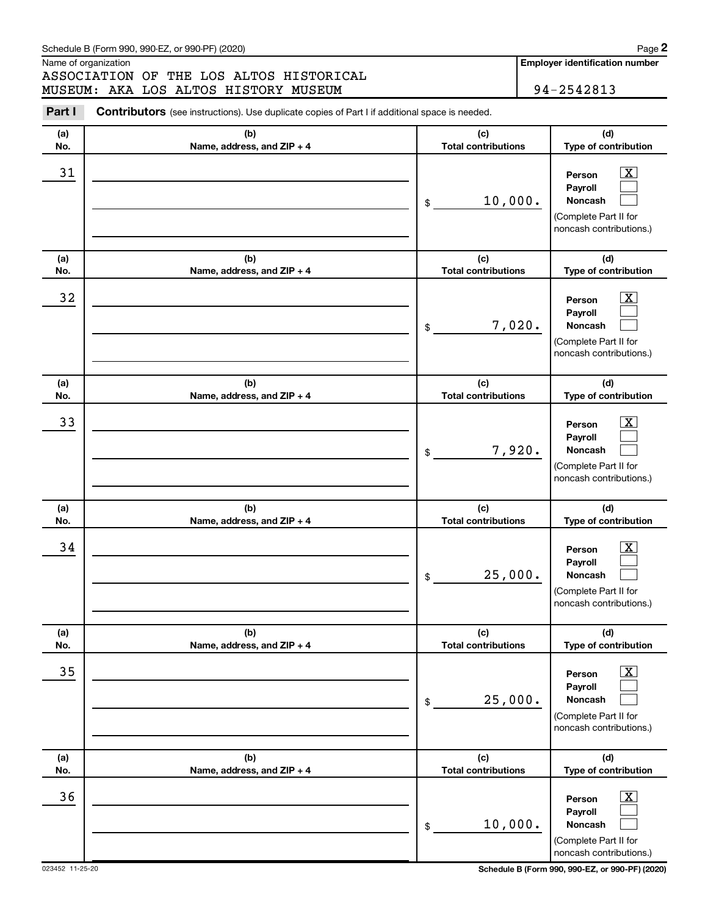Name of organization

ASSOCIATION OF THE LOS ALTOS HISTORICAL MUSEUM: AKA LOS ALTOS HISTORY MUSEUM **194-2542813** 

**Employer identification number**

| Part I     | <b>Contributors</b> (see instructions). Use duplicate copies of Part I if additional space is needed. |                                             |                                                                                                                                   |
|------------|-------------------------------------------------------------------------------------------------------|---------------------------------------------|-----------------------------------------------------------------------------------------------------------------------------------|
| (a)<br>No. | (b)<br>Name, address, and ZIP + 4                                                                     | (c)<br><b>Total contributions</b>           | (d)<br>Type of contribution                                                                                                       |
| 31         |                                                                                                       | 10,000.<br>\$                               | $\mathbf{X}$<br>Person<br>Payroll<br>Noncash<br>(Complete Part II for<br>noncash contributions.)                                  |
| (a)<br>No. | (b)<br>Name, address, and ZIP + 4                                                                     | (c)<br><b>Total contributions</b>           | (d)<br>Type of contribution                                                                                                       |
| 32         |                                                                                                       | 7,020.<br>\$                                | $\boxed{\mathbf{X}}$<br>Person<br>Payroll<br>Noncash<br>(Complete Part II for<br>noncash contributions.)                          |
| (a)<br>No. | (b)<br>Name, address, and ZIP + 4                                                                     | (c)<br><b>Total contributions</b>           | (d)<br>Type of contribution                                                                                                       |
| 33         |                                                                                                       | 7,920.<br>\$                                | $\mathbf{X}$<br>Person<br>Payroll<br>Noncash<br>(Complete Part II for<br>noncash contributions.)                                  |
| (a)        | (b)                                                                                                   | (c)                                         | (d)                                                                                                                               |
| No.<br>34  | Name, address, and ZIP + 4                                                                            | <b>Total contributions</b><br>25,000.<br>\$ | Type of contribution<br>$\overline{\text{X}}$<br>Person<br>Payroll<br>Noncash<br>(Complete Part II for<br>noncash contributions.) |
| (a)<br>No. | (b)<br>Name, address, and ZIP + 4                                                                     | (c)<br><b>Total contributions</b>           | (d)<br>Type of contribution                                                                                                       |
| 35         |                                                                                                       | 25,000.<br>$\,$                             | $\boxed{\textbf{X}}$<br>Person<br>Payroll<br>Noncash<br>(Complete Part II for<br>noncash contributions.)                          |
| (a)<br>No. | (b)<br>Name, address, and ZIP + 4                                                                     | (c)<br><b>Total contributions</b>           | (d)<br>Type of contribution                                                                                                       |
| 36         |                                                                                                       | 10,000.<br>\$                               | $\boxed{\mathbf{X}}$<br>Person<br>Payroll<br>Noncash<br>(Complete Part II for<br>noncash contributions.)                          |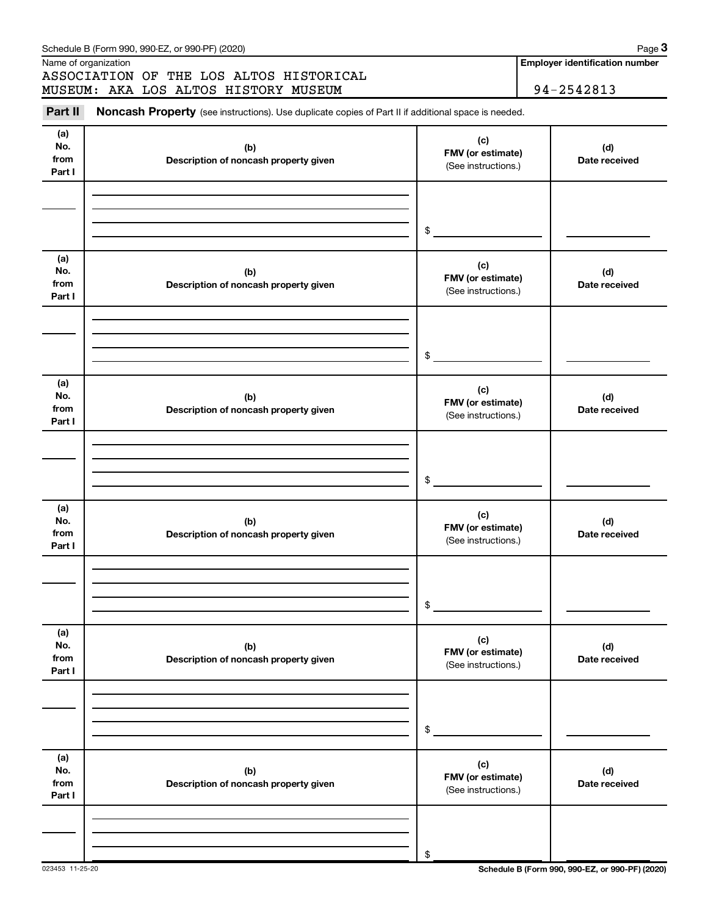|                              | ASSOCIATION OF THE LOS ALTOS HISTORICAL<br>MUSEUM: AKA LOS ALTOS HISTORY MUSEUM                     |                                                 | 94-2542813           |
|------------------------------|-----------------------------------------------------------------------------------------------------|-------------------------------------------------|----------------------|
| Part II                      | Noncash Property (see instructions). Use duplicate copies of Part II if additional space is needed. |                                                 |                      |
| (a)<br>No.<br>from<br>Part I | (b)<br>Description of noncash property given                                                        | (c)<br>FMV (or estimate)<br>(See instructions.) | (d)<br>Date received |
|                              |                                                                                                     | \$                                              |                      |
| (a)<br>No.<br>from<br>Part I | (b)<br>Description of noncash property given                                                        | (c)<br>FMV (or estimate)<br>(See instructions.) | (d)<br>Date received |
|                              |                                                                                                     | \$                                              |                      |
| (a)<br>No.<br>from<br>Part I | (b)<br>Description of noncash property given                                                        | (c)<br>FMV (or estimate)<br>(See instructions.) | (d)<br>Date received |
|                              |                                                                                                     | \$                                              |                      |
| (a)<br>No.<br>from<br>Part I | (b)<br>Description of noncash property given                                                        | (c)<br>FMV (or estimate)<br>(See instructions.) | (d)<br>Date received |
|                              |                                                                                                     | \$                                              |                      |
| (a)<br>No.<br>from<br>Part I | (b)<br>Description of noncash property given                                                        | (c)<br>FMV (or estimate)<br>(See instructions.) | (d)<br>Date received |
|                              |                                                                                                     | \$                                              |                      |
| (a)<br>No.<br>from<br>Part I | (b)<br>Description of noncash property given                                                        | (c)<br>FMV (or estimate)<br>(See instructions.) | (d)<br>Date received |
|                              |                                                                                                     | \$                                              |                      |

**Employer identification number**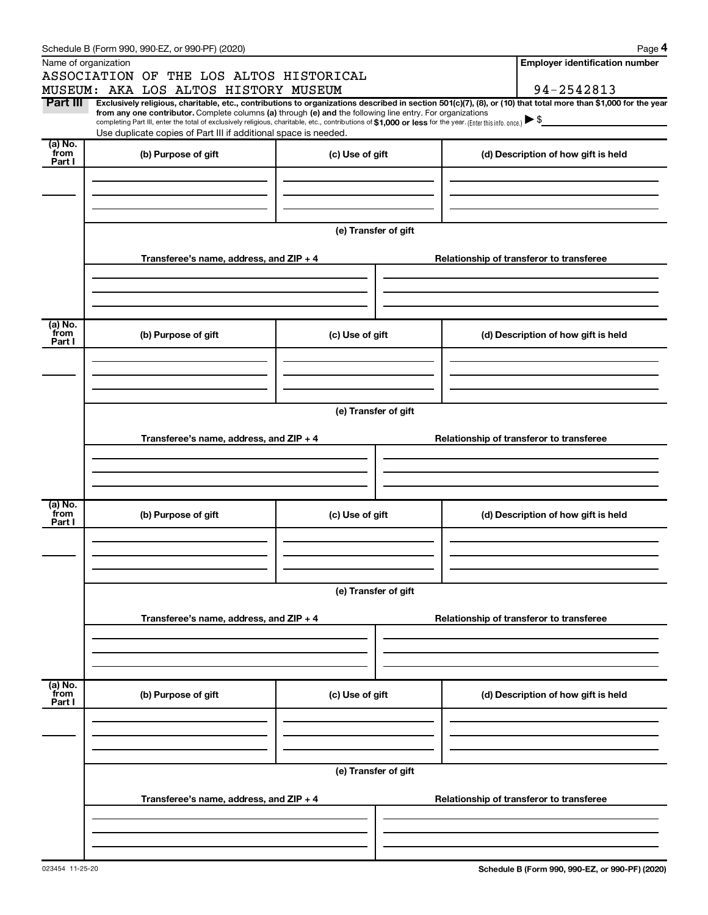|                 | Schedule B (Form 990, 990-EZ, or 990-PF) (2020)                                                                                                                                                                                                                                                 |                      | Page 4                                   |
|-----------------|-------------------------------------------------------------------------------------------------------------------------------------------------------------------------------------------------------------------------------------------------------------------------------------------------|----------------------|------------------------------------------|
|                 | Name of organization                                                                                                                                                                                                                                                                            |                      | <b>Employer identification number</b>    |
|                 | ASSOCIATION OF THE LOS ALTOS HISTORICAL                                                                                                                                                                                                                                                         |                      |                                          |
|                 | MUSEUM: AKA LOS ALTOS HISTORY MUSEUM                                                                                                                                                                                                                                                            |                      | 94-2542813                               |
| Part III        | Exclusively religious, charitable, etc., contributions to organizations described in section 501(c)(7), (8), or (10) that total more than \$1,000 for the year                                                                                                                                  |                      |                                          |
|                 | from any one contributor. Complete columns (a) through (e) and the following line entry. For organizations<br>completing Part III, enter the total of exclusively religious, charitable, etc., contributions of \$1,000 or less for the year. (Enter this info. once.) $\blacktriangleright$ \$ |                      |                                          |
|                 | Use duplicate copies of Part III if additional space is needed.                                                                                                                                                                                                                                 |                      |                                          |
| (a) No.<br>from | (b) Purpose of gift                                                                                                                                                                                                                                                                             | (c) Use of gift      | (d) Description of how gift is held      |
| Part I          |                                                                                                                                                                                                                                                                                                 |                      |                                          |
|                 |                                                                                                                                                                                                                                                                                                 |                      |                                          |
|                 |                                                                                                                                                                                                                                                                                                 |                      |                                          |
|                 |                                                                                                                                                                                                                                                                                                 |                      |                                          |
|                 |                                                                                                                                                                                                                                                                                                 | (e) Transfer of gift |                                          |
|                 |                                                                                                                                                                                                                                                                                                 |                      |                                          |
|                 | Transferee's name, address, and ZIP + 4                                                                                                                                                                                                                                                         |                      | Relationship of transferor to transferee |
|                 |                                                                                                                                                                                                                                                                                                 |                      |                                          |
|                 |                                                                                                                                                                                                                                                                                                 |                      |                                          |
|                 |                                                                                                                                                                                                                                                                                                 |                      |                                          |
|                 |                                                                                                                                                                                                                                                                                                 |                      |                                          |
| (a) No.<br>from | (b) Purpose of gift                                                                                                                                                                                                                                                                             | (c) Use of gift      | (d) Description of how gift is held      |
| Part I          |                                                                                                                                                                                                                                                                                                 |                      |                                          |
|                 |                                                                                                                                                                                                                                                                                                 |                      |                                          |
|                 |                                                                                                                                                                                                                                                                                                 |                      |                                          |
|                 |                                                                                                                                                                                                                                                                                                 |                      |                                          |
|                 |                                                                                                                                                                                                                                                                                                 |                      |                                          |
|                 |                                                                                                                                                                                                                                                                                                 | (e) Transfer of gift |                                          |
|                 | Transferee's name, address, and ZIP + 4                                                                                                                                                                                                                                                         |                      | Relationship of transferor to transferee |
|                 |                                                                                                                                                                                                                                                                                                 |                      |                                          |
|                 |                                                                                                                                                                                                                                                                                                 |                      |                                          |
|                 |                                                                                                                                                                                                                                                                                                 |                      |                                          |
|                 |                                                                                                                                                                                                                                                                                                 |                      |                                          |
| (a) No.<br>from | (b) Purpose of gift                                                                                                                                                                                                                                                                             | (c) Use of gift      | (d) Description of how gift is held      |
| Part I          |                                                                                                                                                                                                                                                                                                 |                      |                                          |
|                 |                                                                                                                                                                                                                                                                                                 |                      |                                          |
|                 |                                                                                                                                                                                                                                                                                                 |                      |                                          |
|                 |                                                                                                                                                                                                                                                                                                 |                      |                                          |
|                 |                                                                                                                                                                                                                                                                                                 | (e) Transfer of gift |                                          |
|                 |                                                                                                                                                                                                                                                                                                 |                      |                                          |
|                 | Transferee's name, address, and ZIP + 4                                                                                                                                                                                                                                                         |                      | Relationship of transferor to transferee |
|                 |                                                                                                                                                                                                                                                                                                 |                      |                                          |
|                 |                                                                                                                                                                                                                                                                                                 |                      |                                          |
|                 |                                                                                                                                                                                                                                                                                                 |                      |                                          |
| (a) No.         |                                                                                                                                                                                                                                                                                                 |                      |                                          |
| from            | (b) Purpose of gift                                                                                                                                                                                                                                                                             | (c) Use of gift      | (d) Description of how gift is held      |
| Part I          |                                                                                                                                                                                                                                                                                                 |                      |                                          |
|                 |                                                                                                                                                                                                                                                                                                 |                      |                                          |
|                 |                                                                                                                                                                                                                                                                                                 |                      |                                          |
|                 |                                                                                                                                                                                                                                                                                                 |                      |                                          |
|                 |                                                                                                                                                                                                                                                                                                 | (e) Transfer of gift |                                          |
|                 |                                                                                                                                                                                                                                                                                                 |                      |                                          |
|                 | Transferee's name, address, and ZIP + 4                                                                                                                                                                                                                                                         |                      | Relationship of transferor to transferee |
|                 |                                                                                                                                                                                                                                                                                                 |                      |                                          |
|                 |                                                                                                                                                                                                                                                                                                 |                      |                                          |
|                 |                                                                                                                                                                                                                                                                                                 |                      |                                          |
|                 |                                                                                                                                                                                                                                                                                                 |                      |                                          |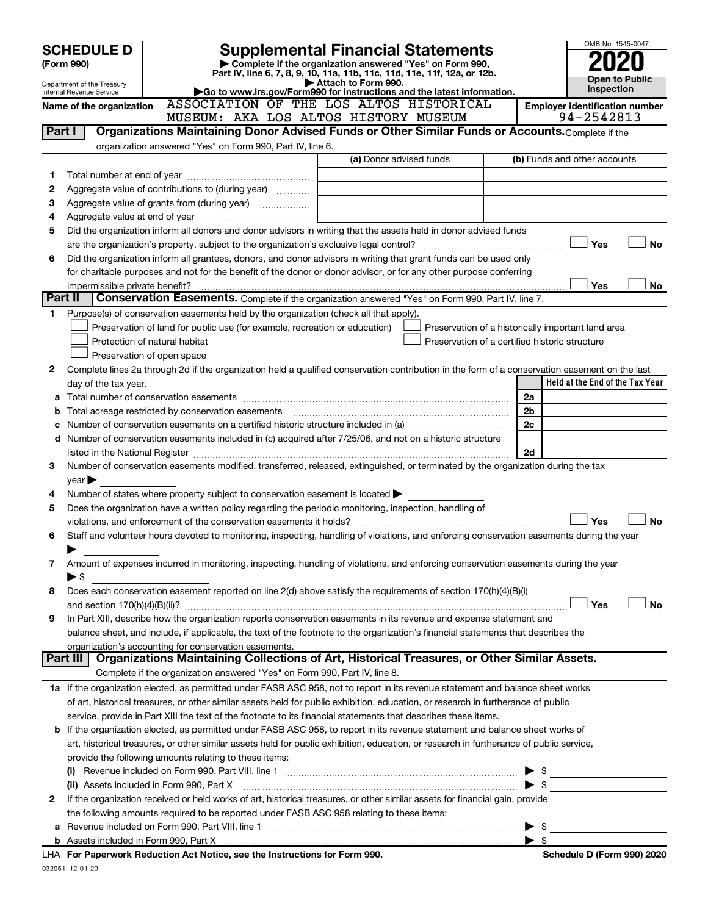|         | <b>SCHEDULE D</b>                                                      |                                                                                                        | <b>Supplemental Financial Statements</b>                                                                                                       |                         | OMB No. 1545-0047                                  |
|---------|------------------------------------------------------------------------|--------------------------------------------------------------------------------------------------------|------------------------------------------------------------------------------------------------------------------------------------------------|-------------------------|----------------------------------------------------|
|         | Complete if the organization answered "Yes" on Form 990,<br>(Form 990) |                                                                                                        |                                                                                                                                                |                         |                                                    |
|         |                                                                        |                                                                                                        | Part IV, line 6, 7, 8, 9, 10, 11a, 11b, 11c, 11d, 11e, 11f, 12a, or 12b.<br>Attach to Form 990.                                                |                         | <b>Open to Public</b>                              |
|         | Department of the Treasury<br>Internal Revenue Service                 | Go to www.irs.gov/Form990 for instructions and the latest information.                                 |                                                                                                                                                | Inspection              |                                                    |
|         | Name of the organization                                               |                                                                                                        | ASSOCIATION OF THE LOS ALTOS HISTORICAL                                                                                                        |                         | <b>Employer identification number</b>              |
|         |                                                                        | MUSEUM: AKA LOS ALTOS HISTORY MUSEUM                                                                   |                                                                                                                                                |                         | 94-2542813                                         |
| Part I  |                                                                        |                                                                                                        | Organizations Maintaining Donor Advised Funds or Other Similar Funds or Accounts. Complete if the                                              |                         |                                                    |
|         |                                                                        | organization answered "Yes" on Form 990, Part IV, line 6.                                              |                                                                                                                                                |                         |                                                    |
|         |                                                                        |                                                                                                        | (a) Donor advised funds                                                                                                                        |                         | (b) Funds and other accounts                       |
| 1       |                                                                        |                                                                                                        |                                                                                                                                                |                         |                                                    |
| 2       |                                                                        | Aggregate value of contributions to (during year)                                                      |                                                                                                                                                |                         |                                                    |
| З       |                                                                        |                                                                                                        | <u> 1980 - Johann Barbara, martin a</u>                                                                                                        |                         |                                                    |
| 4       |                                                                        |                                                                                                        |                                                                                                                                                |                         |                                                    |
| 5       |                                                                        |                                                                                                        | Did the organization inform all donors and donor advisors in writing that the assets held in donor advised funds                               |                         | Yes<br><b>No</b>                                   |
| 6       |                                                                        |                                                                                                        | Did the organization inform all grantees, donors, and donor advisors in writing that grant funds can be used only                              |                         |                                                    |
|         |                                                                        |                                                                                                        | for charitable purposes and not for the benefit of the donor or donor advisor, or for any other purpose conferring                             |                         |                                                    |
|         | impermissible private benefit?                                         |                                                                                                        |                                                                                                                                                |                         | Yes<br>No                                          |
| Part II |                                                                        |                                                                                                        | Conservation Easements. Complete if the organization answered "Yes" on Form 990, Part IV, line 7.                                              |                         |                                                    |
| 1       |                                                                        | Purpose(s) of conservation easements held by the organization (check all that apply).                  |                                                                                                                                                |                         |                                                    |
|         |                                                                        | Preservation of land for public use (for example, recreation or education)                             |                                                                                                                                                |                         | Preservation of a historically important land area |
|         |                                                                        | Protection of natural habitat                                                                          | Preservation of a certified historic structure                                                                                                 |                         |                                                    |
|         |                                                                        | Preservation of open space                                                                             |                                                                                                                                                |                         |                                                    |
| 2       |                                                                        |                                                                                                        | Complete lines 2a through 2d if the organization held a qualified conservation contribution in the form of a conservation easement on the last |                         |                                                    |
|         | day of the tax year.                                                   |                                                                                                        |                                                                                                                                                |                         | Held at the End of the Tax Year                    |
|         |                                                                        |                                                                                                        |                                                                                                                                                | 2a                      |                                                    |
| b       |                                                                        |                                                                                                        |                                                                                                                                                | 2 <sub>b</sub>          |                                                    |
|         |                                                                        |                                                                                                        |                                                                                                                                                | 2c                      |                                                    |
|         |                                                                        |                                                                                                        | d Number of conservation easements included in (c) acquired after 7/25/06, and not on a historic structure                                     |                         |                                                    |
|         |                                                                        |                                                                                                        |                                                                                                                                                | 2d                      |                                                    |
| 3       |                                                                        |                                                                                                        | Number of conservation easements modified, transferred, released, extinguished, or terminated by the organization during the tax               |                         |                                                    |
|         | year                                                                   |                                                                                                        |                                                                                                                                                |                         |                                                    |
| 4       |                                                                        | Number of states where property subject to conservation easement is located $\blacktriangleright$      |                                                                                                                                                |                         |                                                    |
| 5       |                                                                        | Does the organization have a written policy regarding the periodic monitoring, inspection, handling of |                                                                                                                                                |                         |                                                    |
|         |                                                                        | violations, and enforcement of the conservation easements it holds?                                    |                                                                                                                                                |                         | <b>No</b><br>Yes                                   |
| 6       |                                                                        |                                                                                                        | Staff and volunteer hours devoted to monitoring, inspecting, handling of violations, and enforcing conservation easements during the year      |                         |                                                    |
|         |                                                                        |                                                                                                        |                                                                                                                                                |                         |                                                    |
| 7       |                                                                        |                                                                                                        | Amount of expenses incurred in monitoring, inspecting, handling of violations, and enforcing conservation easements during the year            |                         |                                                    |
|         | ► \$                                                                   |                                                                                                        |                                                                                                                                                |                         |                                                    |
| 8       |                                                                        |                                                                                                        | Does each conservation easement reported on line $2(d)$ above satisfy the requirements of section $170(h)(4)(B)(i)$                            |                         |                                                    |
|         |                                                                        |                                                                                                        |                                                                                                                                                |                         | Yes<br>No                                          |
| 9       |                                                                        |                                                                                                        | In Part XIII, describe how the organization reports conservation easements in its revenue and expense statement and                            |                         |                                                    |
|         |                                                                        |                                                                                                        | balance sheet, and include, if applicable, the text of the footnote to the organization's financial statements that describes the              |                         |                                                    |
|         | Part III                                                               | organization's accounting for conservation easements.                                                  | Organizations Maintaining Collections of Art, Historical Treasures, or Other Similar Assets.                                                   |                         |                                                    |
|         |                                                                        | Complete if the organization answered "Yes" on Form 990, Part IV, line 8.                              |                                                                                                                                                |                         |                                                    |
|         |                                                                        |                                                                                                        | 1a If the organization elected, as permitted under FASB ASC 958, not to report in its revenue statement and balance sheet works                |                         |                                                    |
|         |                                                                        |                                                                                                        | of art, historical treasures, or other similar assets held for public exhibition, education, or research in furtherance of public              |                         |                                                    |
|         |                                                                        |                                                                                                        | service, provide in Part XIII the text of the footnote to its financial statements that describes these items.                                 |                         |                                                    |
|         |                                                                        |                                                                                                        | <b>b</b> If the organization elected, as permitted under FASB ASC 958, to report in its revenue statement and balance sheet works of           |                         |                                                    |
|         |                                                                        |                                                                                                        | art, historical treasures, or other similar assets held for public exhibition, education, or research in furtherance of public service,        |                         |                                                    |
|         |                                                                        | provide the following amounts relating to these items:                                                 |                                                                                                                                                |                         |                                                    |
|         |                                                                        |                                                                                                        |                                                                                                                                                |                         | $\triangleright$ \$                                |
|         |                                                                        | (ii) Assets included in Form 990, Part X                                                               |                                                                                                                                                |                         |                                                    |
| 2       |                                                                        |                                                                                                        | If the organization received or held works of art, historical treasures, or other similar assets for financial gain, provide                   |                         |                                                    |
|         |                                                                        | the following amounts required to be reported under FASB ASC 958 relating to these items:              |                                                                                                                                                |                         |                                                    |
| а       |                                                                        |                                                                                                        |                                                                                                                                                |                         | \$                                                 |
|         |                                                                        |                                                                                                        |                                                                                                                                                | $\blacktriangleright$ s |                                                    |
|         |                                                                        | LHA For Paperwork Reduction Act Notice, see the Instructions for Form 990.                             |                                                                                                                                                |                         | Schedule D (Form 990) 2020                         |

032051 12-01-20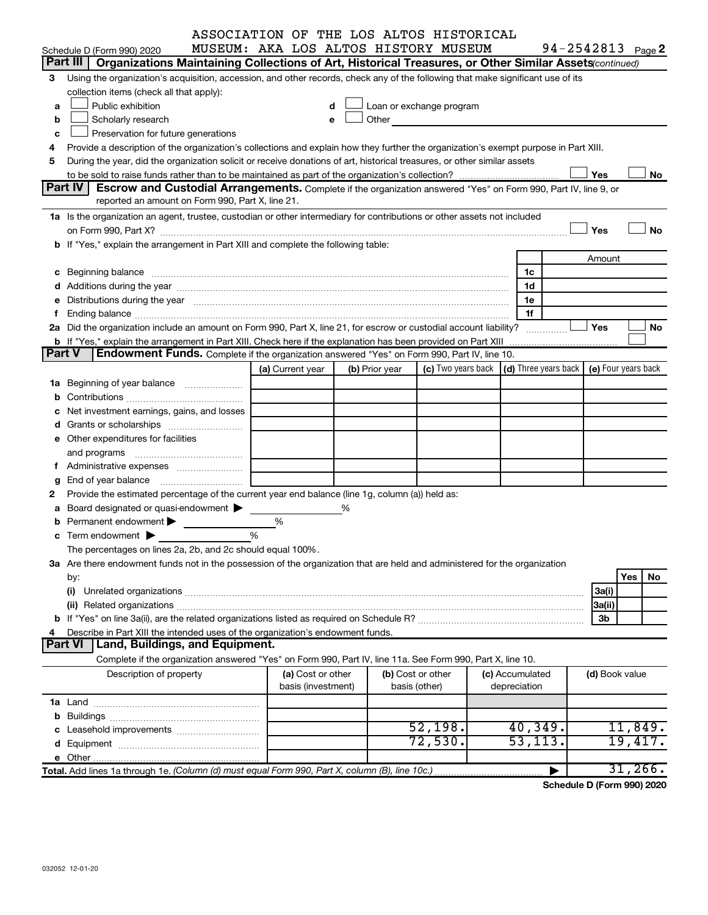|               | ASSOCIATION OF THE LOS ALTOS HISTORICAL                                                                                                                                                                                        |                  |                    |                |                                                                                                                                                                                                                               |                 |                |                       |
|---------------|--------------------------------------------------------------------------------------------------------------------------------------------------------------------------------------------------------------------------------|------------------|--------------------|----------------|-------------------------------------------------------------------------------------------------------------------------------------------------------------------------------------------------------------------------------|-----------------|----------------|-----------------------|
|               | MUSEUM: AKA LOS ALTOS HISTORY MUSEUM<br>Schedule D (Form 990) 2020                                                                                                                                                             |                  |                    |                |                                                                                                                                                                                                                               |                 |                | $94 - 2542813$ Page 2 |
|               | Part III  <br>Organizations Maintaining Collections of Art, Historical Treasures, or Other Similar Assets (continued)                                                                                                          |                  |                    |                |                                                                                                                                                                                                                               |                 |                |                       |
| 3             | Using the organization's acquisition, accession, and other records, check any of the following that make significant use of its                                                                                                |                  |                    |                |                                                                                                                                                                                                                               |                 |                |                       |
|               | collection items (check all that apply):                                                                                                                                                                                       |                  |                    |                |                                                                                                                                                                                                                               |                 |                |                       |
| a             | Public exhibition                                                                                                                                                                                                              |                  | d                  |                | Loan or exchange program                                                                                                                                                                                                      |                 |                |                       |
| b             | Scholarly research                                                                                                                                                                                                             |                  | e                  |                | Other and the contract of the contract of the contract of the contract of the contract of the contract of the contract of the contract of the contract of the contract of the contract of the contract of the contract of the |                 |                |                       |
| c             | Preservation for future generations                                                                                                                                                                                            |                  |                    |                |                                                                                                                                                                                                                               |                 |                |                       |
| 4             | Provide a description of the organization's collections and explain how they further the organization's exempt purpose in Part XIII.                                                                                           |                  |                    |                |                                                                                                                                                                                                                               |                 |                |                       |
| 5             | During the year, did the organization solicit or receive donations of art, historical treasures, or other similar assets                                                                                                       |                  |                    |                |                                                                                                                                                                                                                               |                 |                |                       |
|               |                                                                                                                                                                                                                                |                  |                    |                |                                                                                                                                                                                                                               |                 | Yes            | No                    |
|               | Part IV<br><b>Escrow and Custodial Arrangements.</b> Complete if the organization answered "Yes" on Form 990, Part IV, line 9, or                                                                                              |                  |                    |                |                                                                                                                                                                                                                               |                 |                |                       |
|               | reported an amount on Form 990, Part X, line 21.                                                                                                                                                                               |                  |                    |                |                                                                                                                                                                                                                               |                 |                |                       |
|               | 1a Is the organization an agent, trustee, custodian or other intermediary for contributions or other assets not included                                                                                                       |                  |                    |                |                                                                                                                                                                                                                               |                 |                |                       |
|               | on Form 990, Part X? [11] matter contracts and contracts and contracts are contracted and contracts are contracted and contract and contract of the contract of the contract of the contract of the contract of the contract o |                  |                    |                |                                                                                                                                                                                                                               |                 | Yes            | No                    |
|               | b If "Yes," explain the arrangement in Part XIII and complete the following table:                                                                                                                                             |                  |                    |                |                                                                                                                                                                                                                               |                 |                |                       |
|               |                                                                                                                                                                                                                                |                  |                    |                |                                                                                                                                                                                                                               |                 | Amount         |                       |
|               |                                                                                                                                                                                                                                |                  |                    |                |                                                                                                                                                                                                                               | 1c              |                |                       |
|               |                                                                                                                                                                                                                                |                  |                    |                |                                                                                                                                                                                                                               | 1d              |                |                       |
| е             | Distributions during the year manufactured and an account of the year manufactured and the year manufactured and the year manufactured and the year manufactured and the year manufactured and the year manufactured and the y |                  |                    |                |                                                                                                                                                                                                                               | 1e              |                |                       |
| f             |                                                                                                                                                                                                                                |                  |                    |                |                                                                                                                                                                                                                               | 1f              |                |                       |
|               | 2a Did the organization include an amount on Form 990, Part X, line 21, for escrow or custodial account liability?                                                                                                             |                  |                    |                |                                                                                                                                                                                                                               |                 | Yes            | No                    |
|               | <b>b</b> If "Yes," explain the arrangement in Part XIII. Check here if the explanation has been provided on Part XIII                                                                                                          |                  |                    |                |                                                                                                                                                                                                                               |                 |                |                       |
| <b>Part V</b> | Endowment Funds. Complete if the organization answered "Yes" on Form 990, Part IV, line 10.                                                                                                                                    |                  |                    |                |                                                                                                                                                                                                                               |                 |                |                       |
|               |                                                                                                                                                                                                                                | (a) Current year |                    | (b) Prior year | (c) Two years back $\vert$ (d) Three years back $\vert$                                                                                                                                                                       |                 |                | (e) Four years back   |
|               | <b>1a</b> Beginning of year balance                                                                                                                                                                                            |                  |                    |                |                                                                                                                                                                                                                               |                 |                |                       |
| b             |                                                                                                                                                                                                                                |                  |                    |                |                                                                                                                                                                                                                               |                 |                |                       |
| с             | Net investment earnings, gains, and losses                                                                                                                                                                                     |                  |                    |                |                                                                                                                                                                                                                               |                 |                |                       |
|               |                                                                                                                                                                                                                                |                  |                    |                |                                                                                                                                                                                                                               |                 |                |                       |
|               | e Other expenditures for facilities                                                                                                                                                                                            |                  |                    |                |                                                                                                                                                                                                                               |                 |                |                       |
|               | and programs                                                                                                                                                                                                                   |                  |                    |                |                                                                                                                                                                                                                               |                 |                |                       |
| f.            | Administrative expenses                                                                                                                                                                                                        |                  |                    |                |                                                                                                                                                                                                                               |                 |                |                       |
| g             |                                                                                                                                                                                                                                |                  |                    |                |                                                                                                                                                                                                                               |                 |                |                       |
| 2             | Provide the estimated percentage of the current year end balance (line 1g, column (a)) held as:                                                                                                                                |                  |                    |                |                                                                                                                                                                                                                               |                 |                |                       |
| а             | Board designated or quasi-endowment >                                                                                                                                                                                          |                  | %                  |                |                                                                                                                                                                                                                               |                 |                |                       |
|               | Permanent endowment $\blacktriangleright$                                                                                                                                                                                      | %                |                    |                |                                                                                                                                                                                                                               |                 |                |                       |
|               | <b>c</b> Term endowment $\blacktriangleright$                                                                                                                                                                                  | %                |                    |                |                                                                                                                                                                                                                               |                 |                |                       |
|               | The percentages on lines 2a, 2b, and 2c should equal 100%.                                                                                                                                                                     |                  |                    |                |                                                                                                                                                                                                                               |                 |                |                       |
|               | 3a Are there endowment funds not in the possession of the organization that are held and administered for the organization                                                                                                     |                  |                    |                |                                                                                                                                                                                                                               |                 |                |                       |
|               | by:                                                                                                                                                                                                                            |                  |                    |                |                                                                                                                                                                                                                               |                 |                | Yes<br>No             |
|               | (i)                                                                                                                                                                                                                            |                  |                    |                |                                                                                                                                                                                                                               |                 | 3a(i)          |                       |
|               |                                                                                                                                                                                                                                |                  |                    |                |                                                                                                                                                                                                                               |                 | 3a(ii)         |                       |
|               |                                                                                                                                                                                                                                |                  |                    |                |                                                                                                                                                                                                                               |                 | 3b             |                       |
| 4             | Describe in Part XIII the intended uses of the organization's endowment funds.                                                                                                                                                 |                  |                    |                |                                                                                                                                                                                                                               |                 |                |                       |
|               | Land, Buildings, and Equipment.<br>Part VI                                                                                                                                                                                     |                  |                    |                |                                                                                                                                                                                                                               |                 |                |                       |
|               | Complete if the organization answered "Yes" on Form 990, Part IV, line 11a. See Form 990, Part X, line 10.                                                                                                                     |                  |                    |                |                                                                                                                                                                                                                               |                 |                |                       |
|               | Description of property                                                                                                                                                                                                        |                  | (a) Cost or other  |                | (b) Cost or other                                                                                                                                                                                                             | (c) Accumulated | (d) Book value |                       |
|               |                                                                                                                                                                                                                                |                  | basis (investment) |                | basis (other)                                                                                                                                                                                                                 | depreciation    |                |                       |
|               |                                                                                                                                                                                                                                |                  |                    |                |                                                                                                                                                                                                                               |                 |                |                       |
| b             |                                                                                                                                                                                                                                |                  |                    |                |                                                                                                                                                                                                                               |                 |                |                       |
|               |                                                                                                                                                                                                                                |                  |                    |                | 52,198.                                                                                                                                                                                                                       | 40,349.         |                | 11,849.               |
|               |                                                                                                                                                                                                                                |                  |                    |                | 72,530.                                                                                                                                                                                                                       | 53,113.         |                | 19,417.               |
|               |                                                                                                                                                                                                                                |                  |                    |                |                                                                                                                                                                                                                               |                 |                |                       |
|               | Total. Add lines 1a through 1e. (Column (d) must equal Form 990, Part X, column (B), line 10c.)                                                                                                                                |                  |                    |                |                                                                                                                                                                                                                               |                 |                | 31, 266.              |
|               |                                                                                                                                                                                                                                |                  |                    |                |                                                                                                                                                                                                                               |                 |                |                       |

**Schedule D (Form 990) 2020**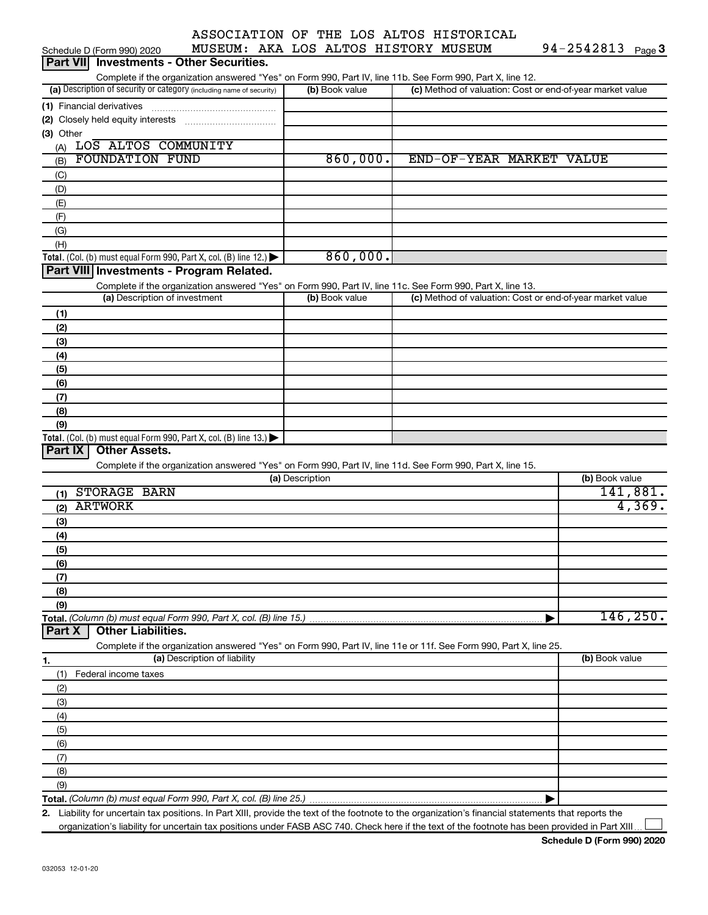| <b>Part VII</b> Investments - Other Securities. |                                         |  |                        |  |
|-------------------------------------------------|-----------------------------------------|--|------------------------|--|
| Schedule D (Form 990) 2020                      | MUSEUM: AKA LOS ALTOS HISTORY MUSEUM    |  | 94-2542813 $_{Page}$ 3 |  |
|                                                 | ASSOCIATION OF THE LOS ALTOS HISTORICAL |  |                        |  |

Complete if the organization answered "Yes" on Form 990, Part IV, line 11b. See Form 990, Part X, line 12.

| (a) Description of security or category (including name of security) | (b) Book value | (c) Method of valuation: Cost or end-of-year market value |
|----------------------------------------------------------------------|----------------|-----------------------------------------------------------|
| (1) Financial derivatives                                            |                |                                                           |
| (2) Closely held equity interests                                    |                |                                                           |
| $(3)$ Other                                                          |                |                                                           |
| LOS ALTOS COMMUNITY<br>(A)                                           |                |                                                           |
| <b>FOUNDATION FUND</b><br>(B)                                        | 860,000.       | END-OF-YEAR MARKET VALUE                                  |
| (C)                                                                  |                |                                                           |
| (D)                                                                  |                |                                                           |
| (E)                                                                  |                |                                                           |
| (F)                                                                  |                |                                                           |
| (G)                                                                  |                |                                                           |
| (H)                                                                  |                |                                                           |
| Total. (Col. (b) must equal Form 990, Part X, col. (B) line $12$ .)  | 860,000.       |                                                           |

## **Part VIII Investments - Program Related.**

Complete if the organization answered "Yes" on Form 990, Part IV, line 11c. See Form 990, Part X, line 13.

| (a) Description of investment                                       | (b) Book value | (c) Method of valuation: Cost or end-of-year market value |
|---------------------------------------------------------------------|----------------|-----------------------------------------------------------|
| (1)                                                                 |                |                                                           |
| (2)                                                                 |                |                                                           |
| (3)                                                                 |                |                                                           |
| (4)                                                                 |                |                                                           |
| (5)                                                                 |                |                                                           |
| (6)                                                                 |                |                                                           |
| (7)                                                                 |                |                                                           |
| (8)                                                                 |                |                                                           |
| (9)                                                                 |                |                                                           |
| Total. (Col. (b) must equal Form 990, Part X, col. (B) line $13.$ ) |                |                                                           |

## **Part IX Other Assets.**

Complete if the organization answered "Yes" on Form 990, Part IV, line 11d. See Form 990, Part X, line 15.

|        | (a) Description                                                                                                   | (b) Book value |
|--------|-------------------------------------------------------------------------------------------------------------------|----------------|
| (1)    | STORAGE BARN                                                                                                      | 141,881.       |
| (2)    | <b>ARTWORK</b>                                                                                                    | 4,369.         |
| (3)    |                                                                                                                   |                |
| (4)    |                                                                                                                   |                |
| (5)    |                                                                                                                   |                |
| (6)    |                                                                                                                   |                |
| (7)    |                                                                                                                   |                |
| (8)    |                                                                                                                   |                |
| (9)    |                                                                                                                   |                |
|        |                                                                                                                   | 146, 250.      |
| Part X | <b>Other Liabilities.</b>                                                                                         |                |
|        |                                                                                                                   |                |
|        | Complete if the organization answered "Yes" on Form 990, Part IV, line 11e or 11f. See Form 990, Part X, line 25. |                |
| 1.     | (a) Description of liability                                                                                      | (b) Book value |
| (1)    | Federal income taxes                                                                                              |                |
| (2)    |                                                                                                                   |                |
| (3)    |                                                                                                                   |                |
| (4)    |                                                                                                                   |                |
| (5)    |                                                                                                                   |                |
| (6)    |                                                                                                                   |                |
| (7)    |                                                                                                                   |                |
| (8)    |                                                                                                                   |                |
| (9)    |                                                                                                                   |                |

**2.** Liability for uncertain tax positions. In Part XIII, provide the text of the footnote to the organization's financial statements that reports the organization's liability for uncertain tax positions under FASB ASC 740. Check here if the text of the footnote has been provided in Part XIII

 $\perp$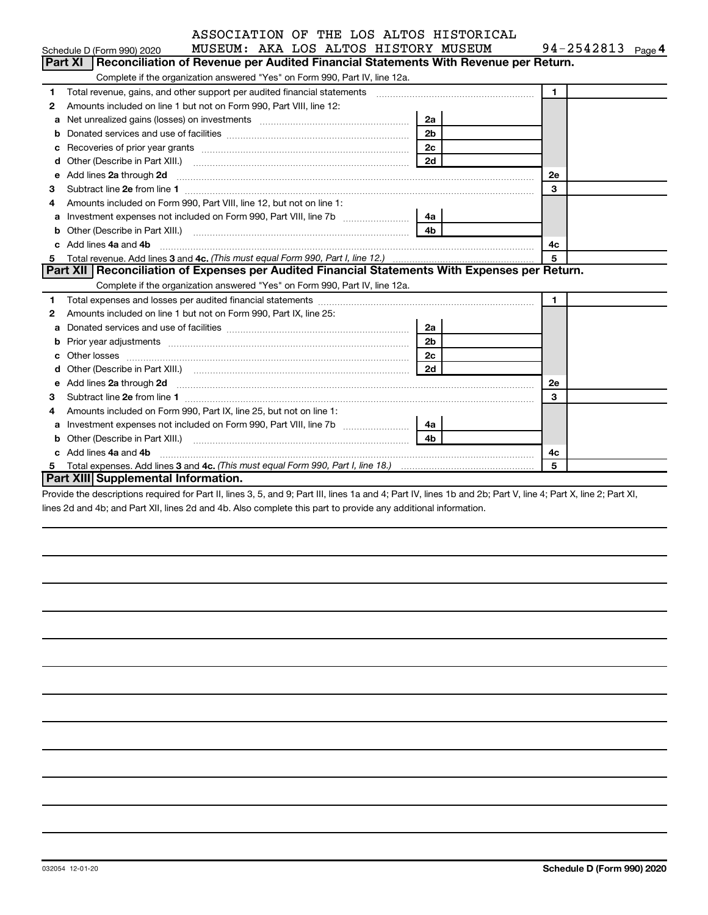| ASSOCIATION OF THE LOS ALTOS HISTORICAL |  |
|-----------------------------------------|--|
|-----------------------------------------|--|

|    | MUSEUM: AKA LOS ALTOS HISTORY MUSEUM<br>Schedule D (Form 990) 2020                                                         |              | 94-2542813 $_{Page 4}$ |  |
|----|----------------------------------------------------------------------------------------------------------------------------|--------------|------------------------|--|
|    | Part XI   Reconciliation of Revenue per Audited Financial Statements With Revenue per Return.                              |              |                        |  |
|    | Complete if the organization answered "Yes" on Form 990, Part IV, line 12a.                                                |              |                        |  |
| 1  |                                                                                                                            | $\mathbf{1}$ |                        |  |
| 2  | Amounts included on line 1 but not on Form 990, Part VIII, line 12:                                                        |              |                        |  |
| а  | 2a                                                                                                                         |              |                        |  |
| b  | 2 <sub>b</sub>                                                                                                             |              |                        |  |
| с  | 2c                                                                                                                         |              |                        |  |
| d  | 2d<br>Other (Describe in Part XIII.) (2000) (2000) (2000) (2010) (2010) (2010) (2010) (2010) (2010) (2010) (2010) (20      |              |                        |  |
| е  | Add lines 2a through 2d                                                                                                    | <b>2e</b>    |                        |  |
| 3  |                                                                                                                            | $\mathbf{3}$ |                        |  |
| 4  | Amounts included on Form 990, Part VIII, line 12, but not on line 1:                                                       |              |                        |  |
| a  | Investment expenses not included on Form 990, Part VIII, line 7b [ <i>[[[[[[[[[[[[]]]</i> ]<br>4a l                        |              |                        |  |
| b  | 4 <sub>b</sub><br>Other (Describe in Part XIII.) <b>Construction (Construction Construction</b> of Describe in Part XIII.) |              |                        |  |
| C. | Add lines 4a and 4b                                                                                                        | 4c           |                        |  |
| 5  |                                                                                                                            | 5            |                        |  |
|    | Part XII   Reconciliation of Expenses per Audited Financial Statements With Expenses per Return.                           |              |                        |  |
|    | Complete if the organization answered "Yes" on Form 990, Part IV, line 12a.                                                |              |                        |  |
| 1  |                                                                                                                            | $\mathbf{1}$ |                        |  |
| 2  | Amounts included on line 1 but not on Form 990, Part IX, line 25:                                                          |              |                        |  |
| a  | 2a                                                                                                                         |              |                        |  |
| b  | 2 <sub>b</sub>                                                                                                             |              |                        |  |
| c  | 2c                                                                                                                         |              |                        |  |
| d  | 2d                                                                                                                         |              |                        |  |
| е  |                                                                                                                            | 2е           |                        |  |
| 3  |                                                                                                                            | $\mathbf{3}$ |                        |  |
| 4  | Amounts included on Form 990, Part IX, line 25, but not on line 1:                                                         |              |                        |  |
| a  | Investment expenses not included on Form 990, Part VIII, line 7b [[[[[[[[[[[[[[[[[[[[[[]]]]]]]]<br>4a l                    |              |                        |  |
| b  | 4h                                                                                                                         |              |                        |  |
|    | c Add lines 4a and 4b                                                                                                      | 4c           |                        |  |
|    |                                                                                                                            | 5            |                        |  |

**Part XIII Supplemental Information.**

Provide the descriptions required for Part II, lines 3, 5, and 9; Part III, lines 1a and 4; Part IV, lines 1b and 2b; Part V, line 4; Part X, line 2; Part XI, lines 2d and 4b; and Part XII, lines 2d and 4b. Also complete this part to provide any additional information.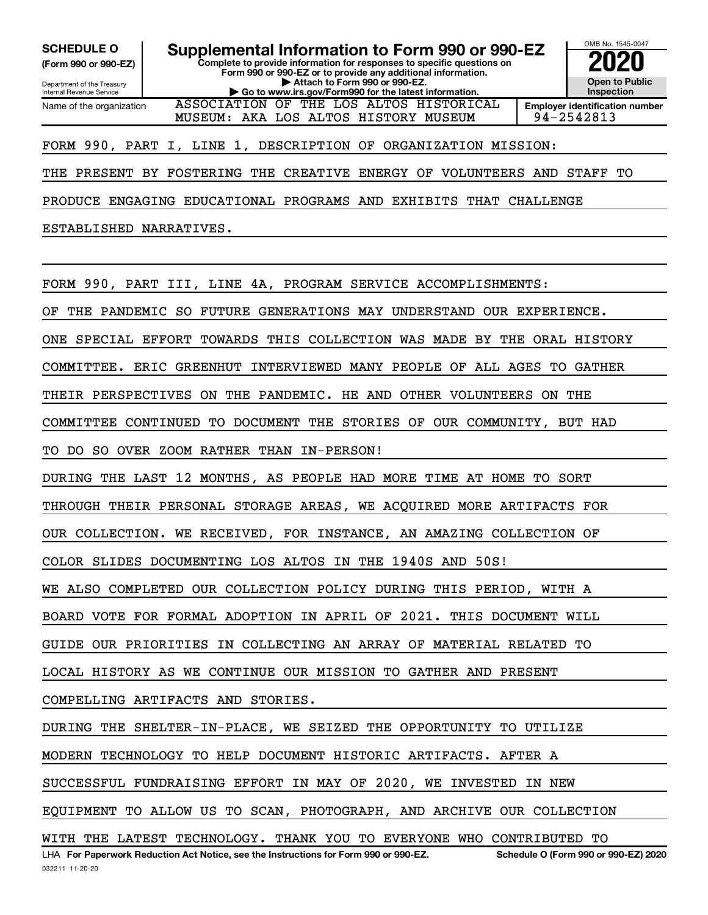**(Form 990 or 990-EZ)**

Name of the organization

Department of the Treasury Internal Revenue Service

**Complete to provide information for responses to specific questions on Form 990 or 990-EZ or to provide any additional information. | Attach to Form 990 or 990-EZ. | Go to www.irs.gov/Form990 for the latest information.**

ASSOCIATION OF THE LOS ALTOS HISTORICAL



MUSEUM: AKA LOS ALTOS HISTORY MUSEUM 94-2542813

FORM 990, PART I, LINE 1, DESCRIPTION OF ORGANIZATION MISSION:

THE PRESENT BY FOSTERING THE CREATIVE ENERGY OF VOLUNTEERS AND STAFF TO

PRODUCE ENGAGING EDUCATIONAL PROGRAMS AND EXHIBITS THAT CHALLENGE

ESTABLISHED NARRATIVES.

FORM 990, PART III, LINE 4A, PROGRAM SERVICE ACCOMPLISHMENTS:

OF THE PANDEMIC SO FUTURE GENERATIONS MAY UNDERSTAND OUR EXPERIENCE.

ONE SPECIAL EFFORT TOWARDS THIS COLLECTION WAS MADE BY THE ORAL HISTORY

COMMITTEE. ERIC GREENHUT INTERVIEWED MANY PEOPLE OF ALL AGES TO GATHER

THEIR PERSPECTIVES ON THE PANDEMIC. HE AND OTHER VOLUNTEERS ON THE

COMMITTEE CONTINUED TO DOCUMENT THE STORIES OF OUR COMMUNITY, BUT HAD

TO DO SO OVER ZOOM RATHER THAN IN-PERSON!

DURING THE LAST 12 MONTHS, AS PEOPLE HAD MORE TIME AT HOME TO SORT

THROUGH THEIR PERSONAL STORAGE AREAS, WE ACQUIRED MORE ARTIFACTS FOR

OUR COLLECTION. WE RECEIVED, FOR INSTANCE, AN AMAZING COLLECTION OF

COLOR SLIDES DOCUMENTING LOS ALTOS IN THE 1940S AND 50S!

WE ALSO COMPLETED OUR COLLECTION POLICY DURING THIS PERIOD, WITH A

BOARD VOTE FOR FORMAL ADOPTION IN APRIL OF 2021. THIS DOCUMENT WILL

GUIDE OUR PRIORITIES IN COLLECTING AN ARRAY OF MATERIAL RELATED TO

LOCAL HISTORY AS WE CONTINUE OUR MISSION TO GATHER AND PRESENT

COMPELLING ARTIFACTS AND STORIES.

DURING THE SHELTER-IN-PLACE, WE SEIZED THE OPPORTUNITY TO UTILIZE

MODERN TECHNOLOGY TO HELP DOCUMENT HISTORIC ARTIFACTS. AFTER A

SUCCESSFUL FUNDRAISING EFFORT IN MAY OF 2020, WE INVESTED IN NEW

EQUIPMENT TO ALLOW US TO SCAN, PHOTOGRAPH, AND ARCHIVE OUR COLLECTION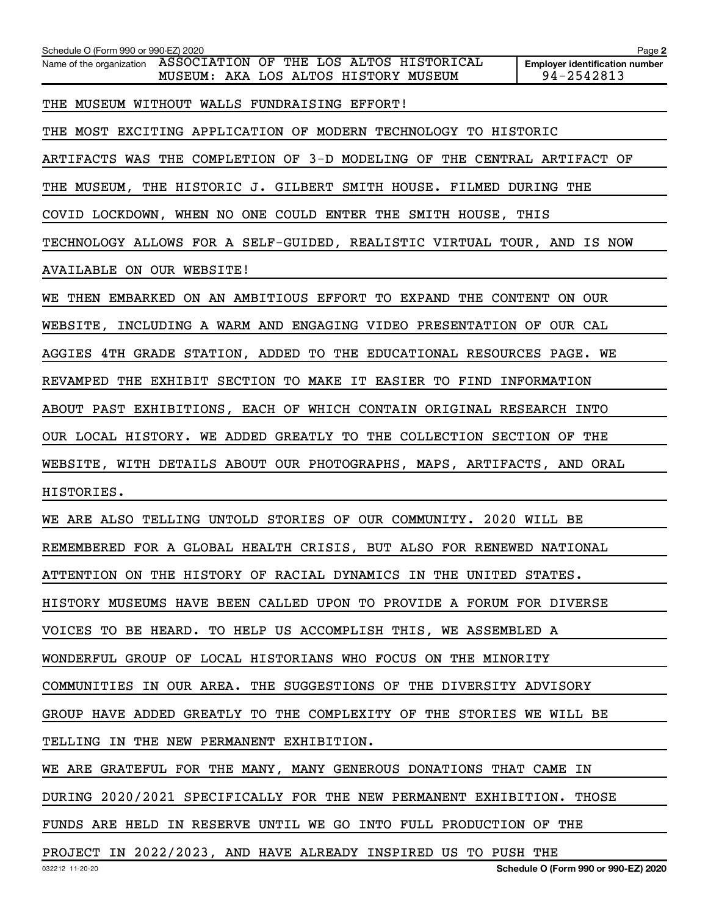| Schedule O (Form 990 or 990-EZ) 2020<br>Name of the organization ASSOCIATION OF THE LOS ALTOS HISTORICAL<br>MUSEUM: AKA LOS ALTOS HISTORY MUSEUM | Page 2<br><b>Employer identification number</b><br>94-2542813 |  |  |  |  |  |  |  |  |  |
|--------------------------------------------------------------------------------------------------------------------------------------------------|---------------------------------------------------------------|--|--|--|--|--|--|--|--|--|
| THE MUSEUM WITHOUT WALLS FUNDRAISING EFFORT!                                                                                                     |                                                               |  |  |  |  |  |  |  |  |  |
| THE MOST EXCITING APPLICATION OF MODERN TECHNOLOGY TO HISTORIC                                                                                   |                                                               |  |  |  |  |  |  |  |  |  |
| ARTIFACTS WAS THE COMPLETION OF 3-D MODELING OF THE CENTRAL ARTIFACT OF                                                                          |                                                               |  |  |  |  |  |  |  |  |  |
| THE MUSEUM, THE HISTORIC J. GILBERT SMITH HOUSE. FILMED DURING THE                                                                               |                                                               |  |  |  |  |  |  |  |  |  |
| COVID LOCKDOWN, WHEN NO ONE COULD ENTER THE SMITH HOUSE, THIS                                                                                    |                                                               |  |  |  |  |  |  |  |  |  |
| TECHNOLOGY ALLOWS FOR A SELF-GUIDED, REALISTIC VIRTUAL TOUR, AND IS NOW                                                                          |                                                               |  |  |  |  |  |  |  |  |  |
| AVAILABLE ON OUR WEBSITE!                                                                                                                        |                                                               |  |  |  |  |  |  |  |  |  |
| WE THEN EMBARKED ON AN AMBITIOUS EFFORT TO EXPAND THE CONTENT ON OUR                                                                             |                                                               |  |  |  |  |  |  |  |  |  |
| WEBSITE, INCLUDING A WARM AND ENGAGING VIDEO PRESENTATION OF OUR CAL                                                                             |                                                               |  |  |  |  |  |  |  |  |  |
| AGGIES 4TH GRADE STATION, ADDED TO THE EDUCATIONAL RESOURCES PAGE. WE                                                                            |                                                               |  |  |  |  |  |  |  |  |  |
| REVAMPED THE EXHIBIT SECTION TO MAKE IT EASIER TO FIND INFORMATION                                                                               |                                                               |  |  |  |  |  |  |  |  |  |
| ABOUT PAST EXHIBITIONS, EACH OF WHICH CONTAIN ORIGINAL RESEARCH INTO                                                                             |                                                               |  |  |  |  |  |  |  |  |  |
| OUR LOCAL HISTORY. WE ADDED GREATLY TO THE COLLECTION SECTION OF THE                                                                             |                                                               |  |  |  |  |  |  |  |  |  |
| WEBSITE, WITH DETAILS ABOUT OUR PHOTOGRAPHS, MAPS, ARTIFACTS, AND ORAL                                                                           |                                                               |  |  |  |  |  |  |  |  |  |
| HISTORIES.                                                                                                                                       |                                                               |  |  |  |  |  |  |  |  |  |
| WE ARE ALSO TELLING UNTOLD STORIES OF OUR COMMUNITY. 2020 WILL BE                                                                                |                                                               |  |  |  |  |  |  |  |  |  |
| REMEMBERED FOR A GLOBAL HEALTH CRISIS, BUT ALSO FOR RENEWED NATIONAL                                                                             |                                                               |  |  |  |  |  |  |  |  |  |
| ATTENTION ON THE HISTORY OF RACIAL DYNAMICS IN THE UNITED STATES.                                                                                |                                                               |  |  |  |  |  |  |  |  |  |
| HISTORY MUSEUMS HAVE BEEN CALLED UPON TO PROVIDE A FORUM FOR DIVERSE                                                                             |                                                               |  |  |  |  |  |  |  |  |  |
| VOICES TO BE HEARD. TO HELP US ACCOMPLISH THIS, WE ASSEMBLED A                                                                                   |                                                               |  |  |  |  |  |  |  |  |  |
| WONDERFUL GROUP OF LOCAL HISTORIANS WHO FOCUS ON THE MINORITY                                                                                    |                                                               |  |  |  |  |  |  |  |  |  |
| COMMUNITIES IN OUR AREA. THE SUGGESTIONS OF THE DIVERSITY ADVISORY                                                                               |                                                               |  |  |  |  |  |  |  |  |  |
| GROUP HAVE ADDED GREATLY TO THE COMPLEXITY OF THE STORIES WE WILL BE                                                                             |                                                               |  |  |  |  |  |  |  |  |  |
| TELLING IN THE NEW PERMANENT EXHIBITION.                                                                                                         |                                                               |  |  |  |  |  |  |  |  |  |
| WE ARE GRATEFUL FOR THE MANY, MANY GENEROUS DONATIONS THAT CAME IN                                                                               |                                                               |  |  |  |  |  |  |  |  |  |
| DURING 2020/2021 SPECIFICALLY FOR THE NEW PERMANENT EXHIBITION. THOSE                                                                            |                                                               |  |  |  |  |  |  |  |  |  |
| FUNDS ARE HELD IN RESERVE UNTIL WE GO INTO FULL PRODUCTION OF THE                                                                                |                                                               |  |  |  |  |  |  |  |  |  |
| PROJECT IN 2022/2023, AND HAVE ALREADY INSPIRED US TO PUSH THE                                                                                   |                                                               |  |  |  |  |  |  |  |  |  |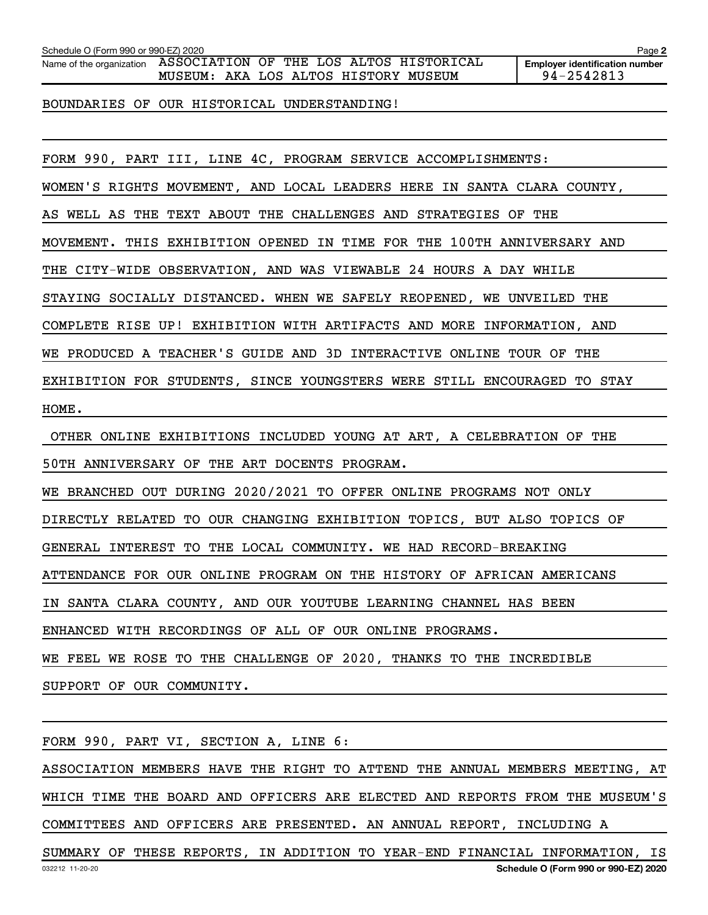| Schedule O (Form 990 or 990-EZ) 2020 | Paɑe |  |
|--------------------------------------|------|--|
|                                      |      |  |

Name of the organization ASSOCIATION OF THE LOS ALTOS HISTORICAL MUSEUM: AKA LOS ALTOS HISTORY MUSEUM 94-2542813

BOUNDARIES OF OUR HISTORICAL UNDERSTANDING!

FORM 990, PART III, LINE 4C, PROGRAM SERVICE ACCOMPLISHMENTS:

WOMEN'S RIGHTS MOVEMENT, AND LOCAL LEADERS HERE IN SANTA CLARA COUNTY,

AS WELL AS THE TEXT ABOUT THE CHALLENGES AND STRATEGIES OF THE

MOVEMENT. THIS EXHIBITION OPENED IN TIME FOR THE 100TH ANNIVERSARY AND

THE CITY-WIDE OBSERVATION, AND WAS VIEWABLE 24 HOURS A DAY WHILE

STAYING SOCIALLY DISTANCED. WHEN WE SAFELY REOPENED, WE UNVEILED THE

COMPLETE RISE UP! EXHIBITION WITH ARTIFACTS AND MORE INFORMATION, AND

WE PRODUCED A TEACHER'S GUIDE AND 3D INTERACTIVE ONLINE TOUR OF THE

EXHIBITION FOR STUDENTS, SINCE YOUNGSTERS WERE STILL ENCOURAGED TO STAY

HOME.

OTHER ONLINE EXHIBITIONS INCLUDED YOUNG AT ART, A CELEBRATION OF THE

50TH ANNIVERSARY OF THE ART DOCENTS PROGRAM.

WE BRANCHED OUT DURING 2020/2021 TO OFFER ONLINE PROGRAMS NOT ONLY

DIRECTLY RELATED TO OUR CHANGING EXHIBITION TOPICS, BUT ALSO TOPICS OF

GENERAL INTEREST TO THE LOCAL COMMUNITY. WE HAD RECORD-BREAKING

ATTENDANCE FOR OUR ONLINE PROGRAM ON THE HISTORY OF AFRICAN AMERICANS

IN SANTA CLARA COUNTY, AND OUR YOUTUBE LEARNING CHANNEL HAS BEEN

ENHANCED WITH RECORDINGS OF ALL OF OUR ONLINE PROGRAMS.

WE FEEL WE ROSE TO THE CHALLENGE OF 2020, THANKS TO THE INCREDIBLE

SUPPORT OF OUR COMMUNITY.

FORM 990, PART VI, SECTION A, LINE 6:

ASSOCIATION MEMBERS HAVE THE RIGHT TO ATTEND THE ANNUAL MEMBERS MEETING, AT WHICH TIME THE BOARD AND OFFICERS ARE ELECTED AND REPORTS FROM THE MUSEUM'S COMMITTEES AND OFFICERS ARE PRESENTED. AN ANNUAL REPORT, INCLUDING A

032212 11-20-20 **Schedule O (Form 990 or 990-EZ) 2020** SUMMARY OF THESE REPORTS, IN ADDITION TO YEAR-END FINANCIAL INFORMATION, IS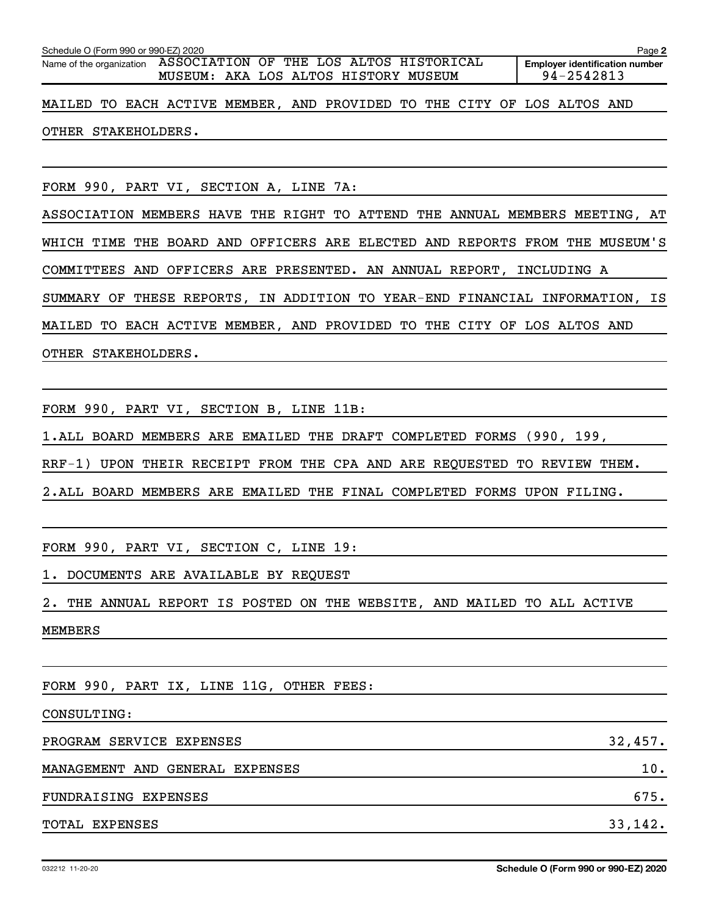| Schedule O (Form 990 or 990-EZ) 2020                                                                     | Page 2                                              |  |  |  |
|----------------------------------------------------------------------------------------------------------|-----------------------------------------------------|--|--|--|
| Name of the organization ASSOCIATION OF THE LOS ALTOS HISTORICAL<br>MUSEUM: AKA LOS ALTOS HISTORY MUSEUM | <b>Employer identification number</b><br>94-2542813 |  |  |  |
| MAILED TO EACH ACTIVE MEMBER, AND PROVIDED TO THE CITY OF LOS ALTOS AND                                  |                                                     |  |  |  |
| OTHER STAKEHOLDERS.                                                                                      |                                                     |  |  |  |
|                                                                                                          |                                                     |  |  |  |
| FORM 990, PART VI, SECTION A, LINE 7A:                                                                   |                                                     |  |  |  |
| ASSOCIATION MEMBERS HAVE THE RIGHT TO ATTEND THE ANNUAL MEMBERS MEETING, AT                              |                                                     |  |  |  |
| WHICH TIME THE BOARD AND OFFICERS ARE ELECTED AND REPORTS FROM THE MUSEUM'S                              |                                                     |  |  |  |
| COMMITTEES AND OFFICERS ARE PRESENTED. AN ANNUAL REPORT, INCLUDING A                                     |                                                     |  |  |  |
| SUMMARY OF THESE REPORTS, IN ADDITION TO YEAR-END FINANCIAL INFORMATION, IS                              |                                                     |  |  |  |
| MAILED TO EACH ACTIVE MEMBER, AND PROVIDED TO THE CITY OF LOS ALTOS AND                                  |                                                     |  |  |  |
| OTHER STAKEHOLDERS.                                                                                      |                                                     |  |  |  |
|                                                                                                          |                                                     |  |  |  |
| FORM 990, PART VI, SECTION B, LINE 11B:                                                                  |                                                     |  |  |  |

1. ALL BOARD MEMBERS ARE EMAILED THE DRAFT COMPLETED FORMS (990, 199,

RRF-1) UPON THEIR RECEIPT FROM THE CPA AND ARE REQUESTED TO REVIEW THEM.

2. ALL BOARD MEMBERS ARE EMAILED THE FINAL COMPLETED FORMS UPON FILING.

FORM 990, PART VI, SECTION C, LINE 19:

1. DOCUMENTS ARE AVAILABLE BY REQUEST

2. THE ANNUAL REPORT IS POSTED ON THE WEBSITE, AND MAILED TO ALL ACTIVE MEMBERS

FORM 990, PART IX, LINE 11G, OTHER FEES:

CONSULTING:

| PROGRAM SERVICE EXPENSES        | 32,457. |
|---------------------------------|---------|
| MANAGEMENT AND GENERAL EXPENSES | 10.     |
| FUNDRAISING EXPENSES            | 675.    |
| TOTAL EXPENSES                  | 33,142. |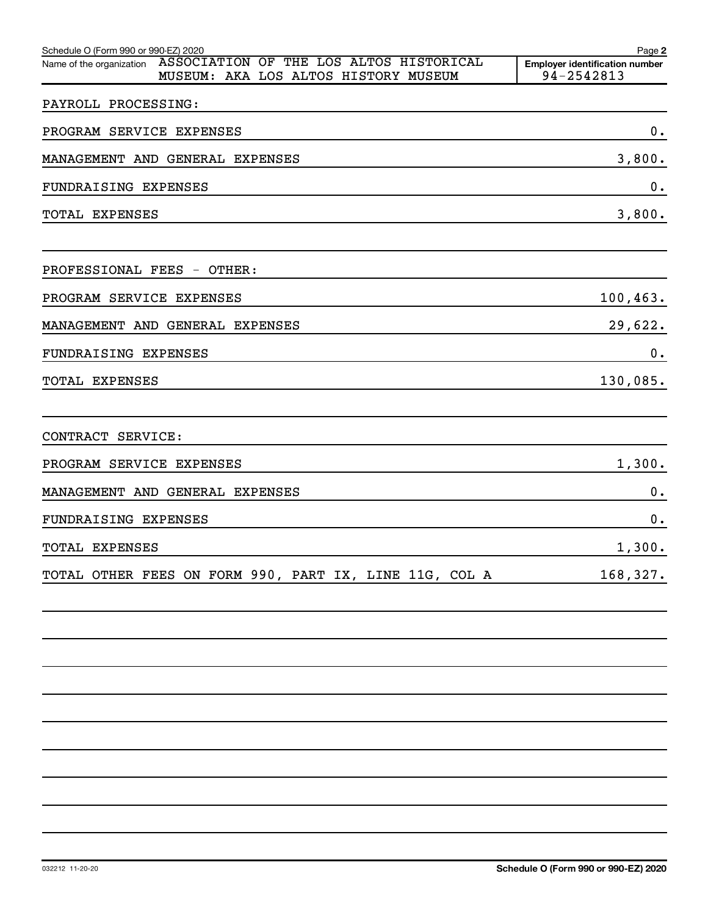| Schedule O (Form 990 or 990-EZ) 2020                                                                        | Page 2                                              |
|-------------------------------------------------------------------------------------------------------------|-----------------------------------------------------|
| ASSOCIATION OF THE LOS ALTOS HISTORICAL<br>Name of the organization<br>MUSEUM: AKA LOS ALTOS HISTORY MUSEUM | <b>Employer identification number</b><br>94-2542813 |
|                                                                                                             |                                                     |
| PAYROLL PROCESSING:                                                                                         |                                                     |
| PROGRAM SERVICE EXPENSES                                                                                    | $\mathbf 0$ .                                       |
| MANAGEMENT AND GENERAL EXPENSES                                                                             | 3,800.                                              |
| FUNDRAISING EXPENSES                                                                                        | 0.                                                  |
| <b>TOTAL EXPENSES</b>                                                                                       | 3,800.                                              |
|                                                                                                             |                                                     |
| PROFESSIONAL FEES - OTHER:                                                                                  |                                                     |
| PROGRAM SERVICE EXPENSES                                                                                    | 100, 463.                                           |
| MANAGEMENT AND GENERAL EXPENSES                                                                             | 29,622.                                             |
| FUNDRAISING EXPENSES                                                                                        | 0.                                                  |
| <b>TOTAL EXPENSES</b>                                                                                       | 130,085.                                            |
|                                                                                                             |                                                     |
| CONTRACT SERVICE:                                                                                           |                                                     |
| PROGRAM SERVICE EXPENSES                                                                                    | 1,300.                                              |
| MANAGEMENT AND GENERAL EXPENSES                                                                             | 0.                                                  |
| FUNDRAISING EXPENSES                                                                                        | 0.                                                  |
| <b>TOTAL EXPENSES</b>                                                                                       | 1,300.                                              |
| TOTAL OTHER FEES ON FORM 990, PART IX, LINE 11G, COL A                                                      | 168,327.                                            |
|                                                                                                             |                                                     |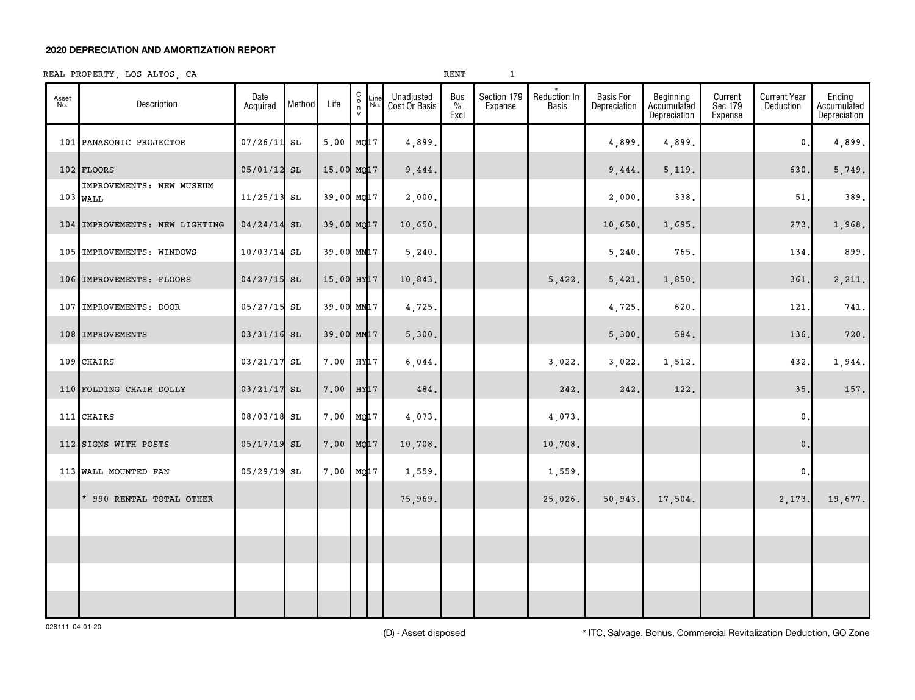#### **2020 DEPRECIATION AND AMORTIZATION REPORT**

#### REAL PROPERTY, LOS ALTOS, CA  $1$

| Asset<br>No. | Description                            | Date<br>Acquired | Method | Life                   | $\begin{matrix} 0 \\ 0 \\ n \end{matrix}$ | Line | Unadjusted<br>Cost Or Basis | Bus<br>$\%$<br>Excl | Section 179<br>Expense | Reduction In<br><b>Basis</b> | <b>Basis For</b><br>Depreciation | Beginning<br>Accumulated<br>Depreciation | Current<br>Sec 179<br>Expense | <b>Current Year</b><br>Deduction | Ending<br>Accumulated<br>Depreciation |
|--------------|----------------------------------------|------------------|--------|------------------------|-------------------------------------------|------|-----------------------------|---------------------|------------------------|------------------------------|----------------------------------|------------------------------------------|-------------------------------|----------------------------------|---------------------------------------|
|              | 101 PANASONIC PROJECTOR                | $07/26/11$ SL    |        | 5.00                   | MQ17                                      |      | 4,899.                      |                     |                        |                              | 4,899                            | 4,899.                                   |                               | 0                                | 4,899.                                |
|              | 102 FLOORS                             | 05/01/12 SL      |        | 15.00 MQ17             |                                           |      | 9,444.                      |                     |                        |                              | 9,444.                           | 5,119.                                   |                               | 630.                             | 5,749.                                |
|              | IMPROVEMENTS: NEW MUSEUM<br>$103$ WALL | $11/25/13$ SL    |        | 39.00 MQ17             |                                           |      | 2,000.                      |                     |                        |                              | 2,000.                           | 338.                                     |                               | 51                               | 389.                                  |
|              | 104 IMPROVEMENTS: NEW LIGHTING         | $04/24/14$ SL    |        | 39.00 MQ17             |                                           |      | 10,650.                     |                     |                        |                              | 10,650.                          | 1,695.                                   |                               | 273.                             | 1,968.                                |
|              | 105 IMPROVEMENTS: WINDOWS              | $10/03/14$ SL    |        | 39.00 MM17             |                                           |      | 5, 240.                     |                     |                        |                              | 5,240                            | 765.                                     |                               | 134                              | 899.                                  |
|              | 106 IMPROVEMENTS: FLOORS               | $04/27/15$ SL    |        | 15.00 HY <sub>17</sub> |                                           |      | 10,843.                     |                     |                        | 5,422.                       | 5,421                            | 1,850.                                   |                               | 361                              | 2,211.                                |
|              | 107 IMPROVEMENTS: DOOR                 | $05/27/15$ SL    |        | 39.00 MM17             |                                           |      | 4,725.                      |                     |                        |                              | 4,725.                           | 620.                                     |                               | 121                              | 741.                                  |
|              | 108 IMPROVEMENTS                       | $03/31/16$ SL    |        | 39.00 MM17             |                                           |      | 5,300.                      |                     |                        |                              | 5,300.                           | 584.                                     |                               | 136                              | 720.                                  |
|              | 109 CHAIRS                             | $03/21/17$ SL    |        | 7.00                   | HY17                                      |      | 6,044.                      |                     |                        | 3,022.                       | 3,022.                           | 1,512.                                   |                               | 432.                             | 1,944.                                |
|              | 110 FOLDING CHAIR DOLLY                | $03/21/17$ SL    |        | 7.00                   | HY17                                      |      | 484.                        |                     |                        | 242.                         | 242.                             | 122.                                     |                               | 35 <sub>1</sub>                  | 157.                                  |
|              | 111 CHAIRS                             | 08/03/18 SL      |        | 7.00                   | MQ17                                      |      | 4,073.                      |                     |                        | 4,073.                       |                                  |                                          |                               | $\pmb{0}$                        |                                       |
|              | 112 SIGNS WITH POSTS                   | $05/17/19$ SL    |        | 7.00                   | MQ17                                      |      | 10,708.                     |                     |                        | 10,708.                      |                                  |                                          |                               | $\pmb{0}$                        |                                       |
|              | 113 WALL MOUNTED FAN                   | $05/29/19$ SL    |        | 7.00                   | MQ17                                      |      | 1,559.                      |                     |                        | 1,559.                       |                                  |                                          |                               | 0                                |                                       |
|              | * 990 RENTAL TOTAL OTHER               |                  |        |                        |                                           |      | 75,969.                     |                     |                        | 25,026.                      | 50,943.                          | 17,504.                                  |                               | 2,173.                           | 19,677.                               |
|              |                                        |                  |        |                        |                                           |      |                             |                     |                        |                              |                                  |                                          |                               |                                  |                                       |
|              |                                        |                  |        |                        |                                           |      |                             |                     |                        |                              |                                  |                                          |                               |                                  |                                       |
|              |                                        |                  |        |                        |                                           |      |                             |                     |                        |                              |                                  |                                          |                               |                                  |                                       |
|              |                                        |                  |        |                        |                                           |      |                             |                     |                        |                              |                                  |                                          |                               |                                  |                                       |